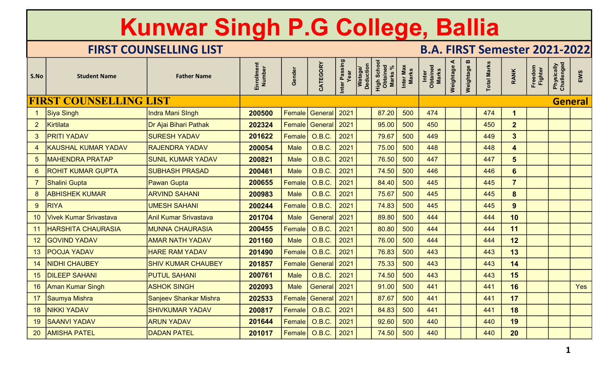|                 |                               | Kunwar Singh P.G College, Ballia |                      |               |                       |                       |                                                            |                    |                                      |                |             |                    |                          |                    |                          |     |
|-----------------|-------------------------------|----------------------------------|----------------------|---------------|-----------------------|-----------------------|------------------------------------------------------------|--------------------|--------------------------------------|----------------|-------------|--------------------|--------------------------|--------------------|--------------------------|-----|
|                 |                               | <b>FIRST COUNSELLING LIST</b>    |                      |               |                       |                       |                                                            |                    | <b>B.A. FIRST Semester 2021-2022</b> |                |             |                    |                          |                    |                          |     |
| S.No            | <b>Student Name</b>           | <b>Father Name</b>               | Enrollment<br>Number | Gender        | CATEGORY              | Inter Passing<br>Year | High School<br>Obtained<br>Marks %<br>Watage/<br>Deduction | Inter Max<br>Marks | Inter<br>Obtained<br>Marks           | ⋖<br>Weightage | Weightage B | <b>Total Marks</b> | <b>RANK</b>              | Freedom<br>Fighter | Physically<br>Challenged | EWS |
|                 | <b>FIRST COUNSELLING LIST</b> |                                  |                      |               |                       |                       |                                                            |                    |                                      |                |             |                    |                          |                    | General                  |     |
|                 | Siya Singh                    | <b>Indra Mani Singh</b>          | 200500               | Female        | General               | 2021                  | 87.20                                                      | 500                | 474                                  |                |             | 474                | $\mathbf 1$              |                    |                          |     |
| $\overline{2}$  | Kirtilata                     | Dr Ajai Bihari Pathak            | 202324               | Female        | General               | 2021                  | 95.00                                                      | 500                | 450                                  |                |             | 450                | 2 <sup>2</sup>           |                    |                          |     |
| 3               | <b>PRITI YADAV</b>            | <b>SURESH YADAV</b>              | 201622               | <b>Female</b> | <b>O.B.C.</b>         | 2021                  | 79.67                                                      | 500                | 449                                  |                |             | 449                | $3\overline{3}$          |                    |                          |     |
| $\overline{4}$  | <b>KAUSHAL KUMAR YADAV</b>    | <b>RAJENDRA YADAV</b>            | 200054               | <b>Male</b>   | O.B.C.                | 2021                  | 75.00                                                      | 500                | 448                                  |                |             | 448                | $\overline{\mathbf{4}}$  |                    |                          |     |
| 5 <sup>5</sup>  | <b>MAHENDRA PRATAP</b>        | <b>SUNIL KUMAR YADAV</b>         | 200821               | <b>Male</b>   | O.B.C.                | 2021                  | 76.50                                                      | 500                | 447                                  |                |             | 447                | $5\phantom{1}$           |                    |                          |     |
| 6               | <b>ROHIT KUMAR GUPTA</b>      | <b>SUBHASH PRASAD</b>            | 200461               | <b>Male</b>   | O.B.C.                | 202 <sup>2</sup>      | 74.50                                                      | 500                | 446                                  |                |             | 446                | $6\phantom{1}$           |                    |                          |     |
|                 | <b>Shalini Gupta</b>          | <b>Pawan Gupta</b>               | 200655               | Female        | O.B.C.                | 2021                  | 84.40                                                      | 500                | 445                                  |                |             | 445                | $\overline{7}$           |                    |                          |     |
| 8 <sup>1</sup>  | <b>ABHISHEK KUMAR</b>         | <b>ARVIND SAHANI</b>             | 200983               | Male          | $O.B.C.$ 2021         |                       | 75.67                                                      | 500                | 445                                  |                |             | 445                | $\Omega$<br>$\mathbf{o}$ |                    |                          |     |
| 9 <sup>°</sup>  | RIYA                          | <b>UMESH SAHANI</b>              | 200244               | Female        | O.B.C.                | 2021                  | 74.83                                                      | 500                | 445                                  |                |             | 445                | 9                        |                    |                          |     |
| 10 <sup>°</sup> | Vivek Kumar Srivastava        | Anil Kumar Srivastava            | 201704               | <b>Male</b>   | <b>General</b>        | 2021                  | 89.80                                                      | 500                | 444                                  |                |             | 444                | 10                       |                    |                          |     |
| 11              | <b>HARSHITA CHAURASIA</b>     | <b>MUNNA CHAURASIA</b>           | 200455               | Female        | O.B.C.                | 2021                  | 80.80                                                      | 500                | 444                                  |                |             | 444                | 11                       |                    |                          |     |
| 12 <sup>7</sup> | <b>GOVIND YADAV</b>           | <b>AMAR NATH YADAV</b>           | 201160               | <b>Male</b>   | <b>O.B.C.</b>         | 2021                  | 76.00                                                      | 500                | 444                                  |                |             | 444                | 12                       |                    |                          |     |
| 13              | <b>POOJA YADAV</b>            | <b>HARE RAM YADAV</b>            | 201490               | <b>Female</b> | <b>O.B.C.</b>         | 2021                  | 76.83                                                      | 500                | 443                                  |                |             | 443                | 13                       |                    |                          |     |
| 14              | <b>NIDHI CHAUBEY</b>          | <b>SHIV KUMAR CHAUBEY</b>        | 201857               |               | Female   General      | 2021                  | 75.33                                                      | 500                | 443                                  |                |             | 443                | 14                       |                    |                          |     |
|                 | 15 DILEEP SAHANI              | <b>PUTUL SAHANI</b>              | 200761               | <b>Male</b>   | O.B.C.                | 2021                  | 74.50                                                      | 500                | 443                                  |                |             | 443                | 15                       |                    |                          |     |
|                 | 16 Aman Kumar Singh           | <b>ASHOK SINGH</b>               | 202093               | <b>Male</b>   | General 2021          |                       | 91.00                                                      | 500                | 441                                  |                |             | 441                | 16                       |                    |                          | Yes |
|                 | 17 Saumya Mishra              | Sanjeev Shankar Mishra           | 202533               |               | <b>Female General</b> | 2021                  | 87.67                                                      | 500                | 441                                  |                |             | 441                | 17                       |                    |                          |     |
|                 | 18   NIKKI YADAV              | <b>SHIVKUMAR YADAV</b>           | 200817               | Female        | O.B.C.                | 2021                  | 84.83                                                      | 500                | 441                                  |                |             | 441                | 18                       |                    |                          |     |
| 19              | <b>SAANVI YADAV</b>           | <b>ARUN YADAV</b>                | 201644               | Female        | O.B.C.                | 2021                  | 92.60                                                      | 500                | 440                                  |                |             | 440                | 19                       |                    |                          |     |
|                 | 20   AMISHA PATEL             | <b>DADAN PATEL</b>               | 201017               | Female        | O.B.C.                | 2021                  | 74.50                                                      | 500                | 440                                  |                |             | 440                | 20                       |                    |                          |     |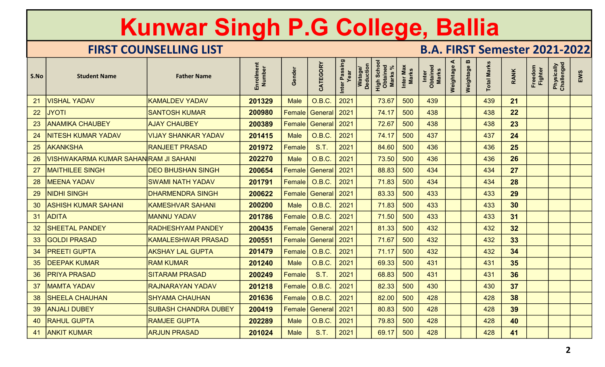|      |                                                          | Kunwar Singh P.G College, Ballia |                      |                      |                         |                       |                      |                                     |                           |                                      |                |                |                    |                 |                    |                          |     |
|------|----------------------------------------------------------|----------------------------------|----------------------|----------------------|-------------------------|-----------------------|----------------------|-------------------------------------|---------------------------|--------------------------------------|----------------|----------------|--------------------|-----------------|--------------------|--------------------------|-----|
|      |                                                          | <b>FIRST COUNSELLING LIST</b>    |                      |                      |                         |                       |                      |                                     |                           | <b>B.A. FIRST Semester 2021-2022</b> |                |                |                    |                 |                    |                          |     |
| S.No | <b>Student Name</b>                                      | <b>Father Name</b>               | Enrollment<br>Number | Gender               | CATEGORY                | Inter Passing<br>Year | Watage/<br>Deduction | High Schoc<br>Obtained<br>Marks $%$ | Inter Max<br><b>Marks</b> | Inter<br>Obtained<br>Marks           | ⋖<br>Weightage | m<br>Weightage | <b>Total Marks</b> | <b>RANK</b>     | Freedom<br>Fighter | Physically<br>Challenged | EWS |
| 21   | <b>VISHAL YADAV</b>                                      | <b>KAMALDEV YADAV</b>            | 201329               | <b>Male</b>          | O.B.C.                  | 2021                  |                      | 73.67                               | 500                       | 439                                  |                |                | 439                | 21              |                    |                          |     |
| 22   | <b>JYOTI</b>                                             | <b>SANTOSH KUMAR</b>             | 200980               | Female               | General                 | 2021                  |                      | 74.17                               | 500                       | 438                                  |                |                | 438                | 22              |                    |                          |     |
| 23   | <b>ANAMIKA CHAUBEY</b>                                   | <b>AJAY CHAUBEY</b>              | 200389               | Female               | General   2021          |                       |                      | 72.67                               | 500                       | 438                                  |                |                | 438                | 23              |                    |                          |     |
| 24   | NITESH KUMAR YADAV                                       | <b>VIJAY SHANKAR YADAV</b>       | 201415               | <b>Male</b>          | O.B.C.                  | 2021                  |                      | 74.17                               | 500                       | 437                                  |                |                | 437                | 24              |                    |                          |     |
| 25   | <b>AKANKSHA</b>                                          | <b>RANJEET PRASAD</b>            | 201972               | Female               | S.T.                    | 2021                  |                      | 84.60                               | 500                       | 436                                  |                |                | 436                | 25              |                    |                          |     |
| 26   | <u>VISHWAKARMA KUMAR SAHAN<mark>RAM JI SAHANI</mark></u> |                                  | 202270               | <b>Male</b>          | O.B.C.                  | 2021                  |                      | 73.50                               | 500                       | 436                                  |                |                | 436                | 26              |                    |                          |     |
| 27   | <b>MAITHILEE SINGH</b>                                   | <b>DEO BHUSHAN SINGH</b>         | 200654               | Female               | General <sup>1</sup>    | $\vert$ 2021          |                      | 88.83                               | 500                       | 434                                  |                |                | 434                | 27              |                    |                          |     |
| 28   | <b>MEENA YADAV</b>                                       | <b>SWAMI NATH YADAV</b>          | 201791               | <b>Female</b>        | O.B.C.                  | 2021                  |                      | 71.83                               | <b>500</b>                | 434                                  |                |                | 434                | 28              |                    |                          |     |
| 29   | NIDHI SINGH                                              | <b>DHARMENDRA SINGH</b>          | 200622               |                      | Female   General   2021 |                       |                      | 83.33                               | 500                       | 433                                  |                |                | 433                | 29              |                    |                          |     |
|      | 30 ASHISH KUMAR SAHANI                                   | <b>KAMESHVAR SAHANI</b>          | 200200               | <b>Male</b>          | O.B.C.                  | $\vert$ 2021          |                      | 71.83                               | 500                       | 433                                  |                |                | 433                | 30 <sup>°</sup> |                    |                          |     |
|      | 31 ADITA                                                 | <b>MANNU YADAV</b>               | 201786               |                      | Female   O.B.C.         | $\vert$ 2021          |                      | 71.50                               | 500                       | 433                                  |                |                | 433                | 31              |                    |                          |     |
|      | 32 SHEETAL PANDEY                                        | <b>RADHESHYAM PANDEY</b>         | 200435               |                      | Female   General   2021 |                       |                      | 81.33                               | 500                       | 432                                  |                |                | 432                | 32              |                    |                          |     |
| 33   | <b>GOLDI PRASAD</b>                                      | <b>KAMALESHWAR PRASAD</b>        | 200551               |                      | Female General 2021     |                       |                      | 71.67                               | 500                       | 432                                  |                |                | 432                | 33              |                    |                          |     |
|      | 34   PREETI GUPTA                                        | <b>AKSHAY LAL GUPTA</b>          | 201479               |                      | Female   O.B.C.         | 2021                  |                      | 71.17                               | 500                       | 432                                  |                |                | 432                | 34              |                    |                          |     |
|      | 35 DEEPAK KUMAR                                          | <b>RAM KUMAR</b>                 | 201240               | <b>Male</b>          | O.B.C.                  | $\vert$ 2021          |                      | 69.33                               | 500                       | 431                                  |                |                | 431                | 35              |                    |                          |     |
|      | 36   PRIYA PRASAD                                        | <b>SITARAM PRASAD</b>            | 200249               | $\mid$ Female $\mid$ | <b>S.T.</b>             | 2021                  |                      | 68.83                               | 500                       | 431                                  |                |                | 431                | 36              |                    |                          |     |
|      | 37   MAMTA YADAV                                         | <b>RAJNARAYAN YADAV</b>          | 201218               |                      | Female   O.B.C.         | 2021                  |                      | 82.33                               | 500                       | 430                                  |                |                | 430                | 37              |                    |                          |     |
|      | 38   SHEELA CHAUHAN                                      | <b>SHYAMA CHAUHAN</b>            | 201636               |                      | Female   O.B.C.         | 2021                  |                      | 82.00                               | 500                       | 428                                  |                |                | 428                | 38              |                    |                          |     |
|      | 39   ANJALI DUBEY                                        | <b>SUBASH CHANDRA DUBEY</b>      | 200419               |                      | Female   General   2021 |                       |                      | 80.83                               | 500                       | 428                                  |                |                | 428                | 39              |                    |                          |     |
|      | 40   RAHUL GUPTA                                         | <b>RAMJEE GUPTA</b>              | 202289               | <b>Male</b>          | O.B.C.                  | $\vert$ 2021          |                      | 79.83                               | 500                       | 428                                  |                |                | 428                | 40              |                    |                          |     |
|      | 41 ANKIT KUMAR                                           | <b>ARJUN PRASAD</b>              | 201024               | <b>Male</b>          | <b>S.T.</b>             | 2021                  |                      | 69.17                               | 500                       | 428                                  |                |                | 428                | 41              |                    |                          |     |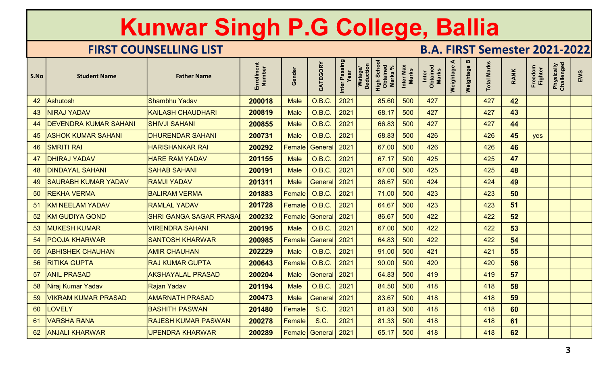|      |                              | Kunwar Singh P.G College, Ballia |                      |               |                                 |                       |                                                                  |                           |                                      |                |                |                    |             |                    |                          |     |
|------|------------------------------|----------------------------------|----------------------|---------------|---------------------------------|-----------------------|------------------------------------------------------------------|---------------------------|--------------------------------------|----------------|----------------|--------------------|-------------|--------------------|--------------------------|-----|
|      |                              | <b>FIRST COUNSELLING LIST</b>    |                      |               |                                 |                       |                                                                  |                           | <b>B.A. FIRST Semester 2021-2022</b> |                |                |                    |             |                    |                          |     |
| S.No | <b>Student Name</b>          | <b>Father Name</b>               | Enrollment<br>Number | Gender        | CATEGORY                        | Inter Passing<br>Year | Watage/<br>Deduction<br><b>High Schoo</b><br>Obtained<br>Marks % | Inter Max<br><b>Marks</b> | Inter<br>Obtained<br>Marks           | ⋖<br>Weightage | m<br>Weightage | <b>Total Marks</b> | <b>RANK</b> | Freedom<br>Fighter | Physically<br>Challenged | EWS |
| 42   | <b>Ashutosh</b>              | Shambhu Yadav                    | 200018               | <b>Male</b>   | O.B.C.                          | 2021                  | 85.60                                                            | 500                       | 427                                  |                |                | 427                | 42          |                    |                          |     |
| 43   | <b>NIRAJ YADAV</b>           | <b>KAILASH CHAUDHARI</b>         | 200819               | <b>Male</b>   | O.B.C.                          | 2021                  | 68.17                                                            | 500                       | 427                                  |                |                | 427                | 43          |                    |                          |     |
| 44   | <b>DEVENDRA KUMAR SAHANI</b> | <b>SHIVJI SAHANI</b>             | 200855               | <b>Male</b>   | O.B.C.                          | 2021                  | 66.83                                                            | 500                       | 427                                  |                |                | 427                | 44          |                    |                          |     |
| 45   | <b>ASHOK KUMAR SAHANI</b>    | <b>DHURENDAR SAHANI</b>          | 200731               | <b>Male</b>   | O.B.C.                          | 2021                  | 68.83                                                            | 500                       | 426                                  |                |                | 426                | 45          | yes                |                          |     |
| 46   | <b>SMRITI RAI</b>            | <b>HARISHANKAR RAI</b>           | 200292               | Female        | General                         | 2021                  | 67.00                                                            | 500                       | 426                                  |                |                | 426                | 46          |                    |                          |     |
| 47   | <b>DHIRAJ YADAV</b>          | <b>HARE RAM YADAV</b>            | 201155               | <b>Male</b>   | O.B.C.                          | 2021                  | 67.17                                                            | 500                       | 425                                  |                |                | 425                | 47          |                    |                          |     |
| 48   | <b>DINDAYAL SAHANI</b>       | <b>SAHAB SAHANI</b>              | 200191               | <b>Male</b>   | O.B.C.                          | 2021                  | 67.00                                                            | 500                       | 425                                  |                |                | 425                | 48          |                    |                          |     |
| 49   | <b>SAURABH KUMAR YADAV</b>   | <b>RAMJI YADAV</b>               | 201311               | <b>Male</b>   | General   2021                  |                       | 86.67                                                            | 500                       | 424                                  |                |                | 424                | 49          |                    |                          |     |
| 50   | <b>REKHA VERMA</b>           | <b>BALIRAM VERMA</b>             | 201883               | $ $ Female    | $\bigcup_{i=1}^{n}$ O.B.C. 2021 |                       | 71.00                                                            | 500                       | 423                                  |                |                | 423                | 50          |                    |                          |     |
|      | 51   KM NEELAM YADAV         | <b>RAMLAL YADAV</b>              | 201728               |               | Female   O.B.C.                 | $\sqrt{2021}$         | 64.67                                                            | 500                       | 423                                  |                |                | 423                | 51          |                    |                          |     |
|      | 52 KM GUDIYA GOND            | <b>SHRI GANGA SAGAR PRASA</b>    | 200232               |               | Female General 2021             |                       | 86.67                                                            | 500                       | 422                                  |                |                | 422                | 52          |                    |                          |     |
|      | 53   MUKESH KUMAR            | <b>VIRENDRA SAHANI</b>           | 200195               | Male          | $O.B.C.$ 2021                   |                       | 67.00                                                            | 500                       | 422                                  |                |                | 422                | 53          |                    |                          |     |
|      | 54   POOJA KHARWAR           | <b>SANTOSH KHARWAR</b>           | 200985               |               | Female General 2021             |                       | 64.83                                                            | 500                       | 422                                  |                |                | 422                | 54          |                    |                          |     |
|      | 55   ABHISHEK CHAUHAN        | <b>AMIR CHAUHAN</b>              | 202229               | <b>Male</b>   | O.B.C.                          | 2021                  | 91.00                                                            | 500                       | 421                                  |                |                | 421                | 55          |                    |                          |     |
| 56   | <b>RITIKA GUPTA</b>          | <b>RAJ KUMAR GUPTA</b>           | 200643               |               | Female   O.B.C.                 | 2021                  | 90.00                                                            | 500                       | 420                                  |                |                | 420                | 56          |                    |                          |     |
|      | 57 ANIL PRASAD               | <b>AKSHAYALAL PRASAD</b>         | 200204               | <b>Male</b>   | General   2021                  |                       | 64.83                                                            | 500                       | 419                                  |                |                | 419                | 57          |                    |                          |     |
|      | 58 Niraj Kumar Yadav         | Rajan Yadav                      | 201194               | <b>Male</b>   | $O.B.C.$ 2021                   |                       | 84.50                                                            | 500                       | 418                                  |                |                | 418                | 58          |                    |                          |     |
| 59   | <b>VIKRAM KUMAR PRASAD</b>   | <b>AMARNATH PRASAD</b>           | 200473               | <b>Male</b>   | General 2021                    |                       | 83.67                                                            | 500                       | 418                                  |                |                | 418                | 59          |                    |                          |     |
| 60   | <b>LOVELY</b>                | <b>BASHITH PASWAN</b>            | 201480               | <b>Female</b> | <b>S.C.</b>                     | 2021                  | 81.83                                                            | 500                       | 418                                  |                |                | 418                | 60          |                    |                          |     |
|      | 61 VARSHA RANA               | <b>RAJESH KUMAR PASWAN</b>       | 200278               | <b>Female</b> | S.C.                            | 2021                  | 81.33                                                            | 500                       | 418                                  |                |                | 418                | 61          |                    |                          |     |
|      | 62 ANJALI KHARWAR            | UPENDRA KHARWAR                  | 200289               |               | Female   General   2021         |                       | 65.17                                                            | 500                       | 418                                  |                |                | 418                | 62          |                    |                          |     |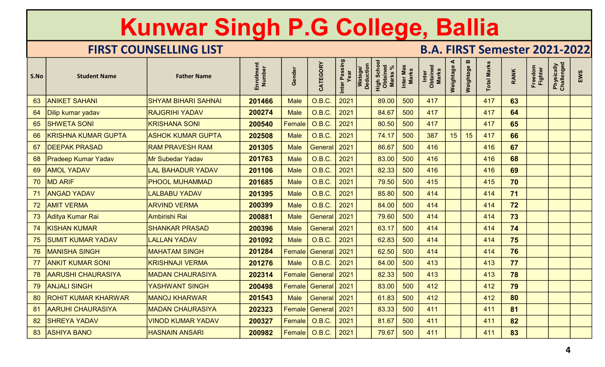|      |                            | Kunwar Singh P.G College, Ballia |                      |               |                            |                       |                                                                  |                           |                                      |                |             |                    |             |                           |                          |     |
|------|----------------------------|----------------------------------|----------------------|---------------|----------------------------|-----------------------|------------------------------------------------------------------|---------------------------|--------------------------------------|----------------|-------------|--------------------|-------------|---------------------------|--------------------------|-----|
|      |                            | <b>FIRST COUNSELLING LIST</b>    |                      |               |                            |                       |                                                                  |                           | <b>B.A. FIRST Semester 2021-2022</b> |                |             |                    |             |                           |                          |     |
| S.No | <b>Student Name</b>        | <b>Father Name</b>               | Enrollment<br>Number | Gender        | CATEGORY                   | Inter Passing<br>Year | Watage/<br>Deduction<br><b>High Schoo</b><br>Obtained<br>Marks % | Inter Max<br><b>Marks</b> | Inter<br>Obtained<br>Marks           | ⋖<br>Weightage | Weightage B | <b>Total Marks</b> | <b>RANK</b> | Freedom<br><b>Fighter</b> | Physically<br>Challenged | EWS |
| 63   | <b>ANIKET SAHANI</b>       | <b>SHYAM BIHARI SAHNAI</b>       | 201466               | <b>Male</b>   | O.B.C.                     | 2021                  | 89.00                                                            | 500                       | 417                                  |                |             | 417                | 63          |                           |                          |     |
| 64   | Dilip kumar yadav          | <b>RAJGRIHI YADAV</b>            | 200274               | <b>Male</b>   | O.B.C.                     | 2021                  | 84.67                                                            | 500                       | 417                                  |                |             | 417                | 64          |                           |                          |     |
| 65   | <b>SHWETA SONI</b>         | <b>KRISHANA SONI</b>             | 200540               | Female        | <b>O.B.C.</b>              | 2021                  | 80.50                                                            | 500                       | 417                                  |                |             | 417                | 65          |                           |                          |     |
| 66   | <b>KRISHNA KUMAR GUPTA</b> | <b>ASHOK KUMAR GUPTA</b>         | 202508               | <b>Male</b>   | <b>O.B.C.</b>              | 2021                  | 74.17                                                            | 500                       | 387                                  | 15             | 15          | 417                | 66          |                           |                          |     |
| 67   | <b>DEEPAK PRASAD</b>       | <b>RAM PRAVESH RAM</b>           | 201305               | <b>Male</b>   | General                    | 2021                  | 86.67                                                            | 500                       | 416                                  |                |             | 416                | 67          |                           |                          |     |
| 68   | <b>Pradeep Kumar Yadav</b> | <b>Mr Subedar Yadav</b>          | 201763               | <b>Male</b>   | O.B.C.                     | 2021                  | 83.00                                                            | 500                       | 416                                  |                |             | 416                | 68          |                           |                          |     |
| 69   | <b>AMOL YADAV</b>          | <b>LAL BAHADUR YADAV</b>         | 201106               | <b>Male</b>   | O.B.C.                     | 2021                  | 82.33                                                            | 500                       | 416                                  |                |             | 416                | 69          |                           |                          |     |
| 70   | <b>MD ARIF</b>             | <b>PHOOL MUHAMMAD</b>            | 201685               | <b>Male</b>   | O.B.C.                     | 2021                  | 79.50                                                            | 500                       | 415                                  |                |             | 415                | 70          |                           |                          |     |
| 71   | <b>ANGAD YADAV</b>         | <b>LALBABU YADAV</b>             | 201395               | <b>Male</b>   | $O.B.C.$ 2021              |                       | 85.80                                                            | 500                       | 414                                  |                |             | 414                | 71          |                           |                          |     |
|      | 72   AMIT VERMA            | <b>ARVIND VERMA</b>              | 200399               | <b>Male</b>   | O.B.C.                     | $\sqrt{2021}$         | 84.00                                                            | 500                       | 414                                  |                |             | 414                | 72          |                           |                          |     |
|      | 73 Aditya Kumar Rai        | Ambirishi Rai                    | 200881               | <b>Male</b>   | General 2021               |                       | 79.60                                                            | 500                       | 414                                  |                |             | 414                | 73          |                           |                          |     |
|      | 74 KISHAN KUMAR            | <b>SHANKAR PRASAD</b>            | 200396               | <b>Male</b>   | General   2021             |                       | 63.17                                                            | 500                       | 414                                  |                |             | 414                | 74          |                           |                          |     |
|      | 75   SUMIT KUMAR YADAV     | <b>LALLAN YADAV</b>              | 201092               | <b>Male</b>   | $O.B.C.$ 2021              |                       | 62.83                                                            | 500                       | 414                                  |                |             | 414                | 75          |                           |                          |     |
|      | 76   MANISHA SINGH         | <b>MAHATAM SINGH</b>             | 201284               | <b>Female</b> | General 2021               |                       | 62.50                                                            | 500                       | 414                                  |                |             | 414                | 76          |                           |                          |     |
| 77   | <b>ANKIT KUMAR SONI</b>    | <b>KRISHNAJI VERMA</b>           | 201276               | <b>Male</b>   | $O.B.C.$ 2021              |                       | 84.00                                                            | 500                       | 413                                  |                |             | 413                | 77          |                           |                          |     |
|      | 78 AARUSHI CHAURASIYA      | <b>MADAN CHAURASIYA</b>          | 202314               |               | <b>Female General 2021</b> |                       | 82.33                                                            | 500                       | 413                                  |                |             | 413                | 78          |                           |                          |     |
|      | 79   ANJALI SINGH          | YASHWANT SINGH                   | 200498               |               | Female   General   2021    |                       | 83.00                                                            | 500                       | 412                                  |                |             | 412                | 79          |                           |                          |     |
| 80   | <b>ROHIT KUMAR KHARWAR</b> | <b>MANOJ KHARWAR</b>             | 201543               | <b>Male</b>   | General   2021             |                       | 61.83                                                            | 500                       | 412                                  |                |             | 412                | 80          |                           |                          |     |
|      | 81 AARUHI CHAURASIYA       | <b>MADAN CHAURASIYA</b>          | 202323               |               | Female General 2021        |                       | 83.33                                                            | 500                       | 411                                  |                |             | 411                | 81          |                           |                          |     |
|      | 82 SHREYA YADAV            | <b>VINOD KUMAR YADAV</b>         | 200327               |               | Female   O.B.C.            | $\vert 2021 \vert$    | 81.67                                                            | 500                       | 411                                  |                |             | 411                | 82          |                           |                          |     |
|      | 83 ASHIYA BANO             | <b>HASNAIN ANSARI</b>            | 200982               |               | Female   O.B.C.            | $\vert 2021 \vert$    | 79.67                                                            | 500                       | 411                                  |                |             | 411                | 83          |                           |                          |     |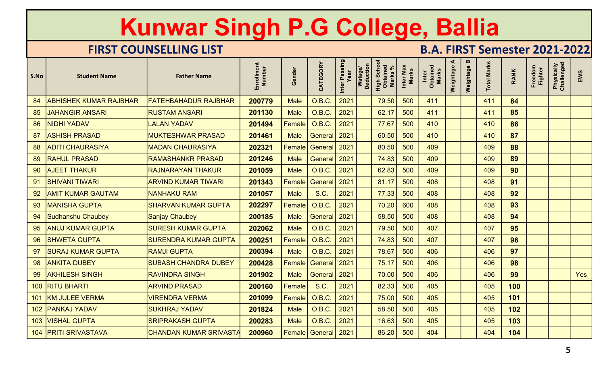|      |                               | <b>Kunwar Singh P.G College, Ballia</b> |                      |               |                                |                       |                             |                                                      |                           |                                      |                |             |                    |             |                    |                          |     |
|------|-------------------------------|-----------------------------------------|----------------------|---------------|--------------------------------|-----------------------|-----------------------------|------------------------------------------------------|---------------------------|--------------------------------------|----------------|-------------|--------------------|-------------|--------------------|--------------------------|-----|
|      |                               | <b>FIRST COUNSELLING LIST</b>           |                      |               |                                |                       |                             |                                                      |                           | <b>B.A. FIRST Semester 2021-2022</b> |                |             |                    |             |                    |                          |     |
| S.No | <b>Student Name</b>           | <b>Father Name</b>                      | Enrollment<br>Number | Gender        | CATEGORY                       | Inter Passing<br>Year | <b>Deduction</b><br>Watage/ | <b>High Schoon</b><br>Obtained<br>Marks <sup>'</sup> | Inter Max<br><b>Marks</b> | Inter<br>Obtained<br>Marks           | ⋖<br>Weightage | Weightage B | <b>Total Marks</b> | <b>RANK</b> | Freedom<br>Fighter | Physically<br>Challenged | EWS |
| 84   | <b>ABHISHEK KUMAR RAJBHAR</b> | <b>FATEHBAHADUR RAJBHAR</b>             | 200779               | <b>Male</b>   | O.B.C.                         | 2021                  |                             | 79.50                                                | 500                       | 411                                  |                |             | 411                | 84          |                    |                          |     |
| 85   | <b>JAHANGIR ANSARI</b>        | <b>RUSTAM ANSARI</b>                    | 201130               | <b>Male</b>   | O.B.C.                         | 2021                  |                             | 62.17                                                | 500                       | 411                                  |                |             | 411                | 85          |                    |                          |     |
| 86   | <b>NIDHI YADAV</b>            | <b>LALAN YADAV</b>                      | 201494               | <b>Female</b> | O.B.C.                         | 2021                  |                             | 77.67                                                | 500                       | 410                                  |                |             | 410                | 86          |                    |                          |     |
| 87   | <b>ASHISH PRASAD</b>          | <b>MUKTESHWAR PRASAD</b>                | 201461               | <b>Male</b>   | General <sup>'</sup>           | 2021                  |                             | 60.50                                                | 500                       | 410                                  |                |             | 410                | 87          |                    |                          |     |
| 88   | <b>ADITI CHAURASIYA</b>       | <b>MADAN CHAURASIYA</b>                 | 202321               | Female        | General                        | 2021                  |                             | 80.50                                                | 500                       | 409                                  |                |             | 409                | 88          |                    |                          |     |
| 89   | <b>RAHUL PRASAD</b>           | <b>RAMASHANKR PRASAD</b>                | 201246               | <b>Male</b>   | General                        | 2021                  |                             | 74.83                                                | 500                       | 409                                  |                |             | 409                | 89          |                    |                          |     |
| 90   | <b>AJEET THAKUR</b>           | <b>RAJNARAYAN THAKUR</b>                | 201059               | <b>Male</b>   | <b>O.B.C.</b>                  | 2021                  |                             | 62.83                                                | 500                       | 409                                  |                |             | 409                | 90          |                    |                          |     |
| 91   | <b>SHIVANI TIWARI</b>         | <b>ARVIND KUMAR TIWARI</b>              | 201343               | Female        | General 2021                   |                       |                             | 81.17                                                | 500                       | 408                                  |                |             | 408                | 91          |                    |                          |     |
| 92   | <b>AMIT KUMAR GAUTAM</b>      | <b>NANHAKU RAM</b>                      | 201057               | <b>Male</b>   | <b>S.C.</b>                    | $\vert 2021 \vert$    |                             | 77.33                                                | 500                       | 408                                  |                |             | 408                | 92          |                    |                          |     |
| 93   | <b>MANISHA GUPTA</b>          | <b>SHARVAN KUMAR GUPTA</b>              | 202297               |               | Female   O.B.C.                | $\vert$ 2021          |                             | 70.20                                                | 600                       | 408                                  |                |             | 408                | 93          |                    |                          |     |
|      | 94 Sudhanshu Chaubey          | <b>Sanjay Chaubey</b>                   | 200185               | <b>Male</b>   | General   2021                 |                       |                             | 58.50                                                | 500                       | 408                                  |                |             | 408                | 94          |                    |                          |     |
|      | 95   ANUJ KUMAR GUPTA         | <b>SURESH KUMAR GUPTA</b>               | 202062               | <b>Male</b>   | $O.B.C.$ 2021                  |                       |                             | 79.50                                                | 500                       | 407                                  |                |             | 407                | 95          |                    |                          |     |
|      | 96 SHWETA GUPTA               | <b>SURENDRA KUMAR GUPTA</b>             | 200251               |               | Female   O.B.C.                | 2021                  |                             | 74.83                                                | 500                       | 407                                  |                |             | 407                | 96          |                    |                          |     |
|      | 97   SURAJ KUMAR GUPTA        | <b>RAMJI GUPTA</b>                      | 200394               | <b>Male</b>   | 0.B.C.                         | $\vert$ 2021          |                             | 78.67                                                | 500                       | 406                                  |                |             | 406                | 97          |                    |                          |     |
|      | 98 ANKITA DUBEY               | <b>SUBASH CHANDRA DUBEY</b>             | 200428               |               | Female General 2021            |                       |                             | 75.17                                                | 500                       | 406                                  |                |             | 406                | 98          |                    |                          |     |
|      | 99 AKHILESH SINGH             | <b>RAVINDRA SINGH</b>                   | 201902               | <b>Male</b>   | General 2021                   |                       |                             | 70.00                                                | 500                       | 406                                  |                |             | 406                | 99          |                    |                          | Yes |
|      | 100 RITU BHARTI               | <b>ARVIND PRASAD</b>                    | 200160               | <b>Female</b> | S.C.                           | 2021                  |                             | 82.33                                                | 500                       | 405                                  |                |             | 405                | 100         |                    |                          |     |
|      | 101 KM JULEE VERMA            | <b>VIRENDRA VERMA</b>                   | 201099               |               | Female 0.B.C.                  | 2021                  |                             | 75.00                                                | 500                       | 405                                  |                |             | 405                | 101         |                    |                          |     |
|      | 102   PANKAJ YADAV            | <b>SUKHRAJ YADAV</b>                    | 201824               | <b>Male</b>   | 0.B.C.                         | 2021                  |                             | 58.50                                                | 500                       | 405                                  |                |             | 405                | 102         |                    |                          |     |
|      | 103   VISHAL GUPTA            | <b>SRIPRAKASH GUPTA</b>                 | 200283               | <b>Male</b>   | 0.B.C.                         | $ 2021\rangle$        |                             | 16.63                                                | 500                       | 405                                  |                |             | 405                | 103         |                    |                          |     |
|      | 104 PRITI SRIVASTAVA          | <b>CHANDAN KUMAR SRIVASTA</b>           | 200960               |               | <b>Female   General   2021</b> |                       |                             | 86.20                                                | 500                       | 404                                  |                |             | 404                | 104         |                    |                          |     |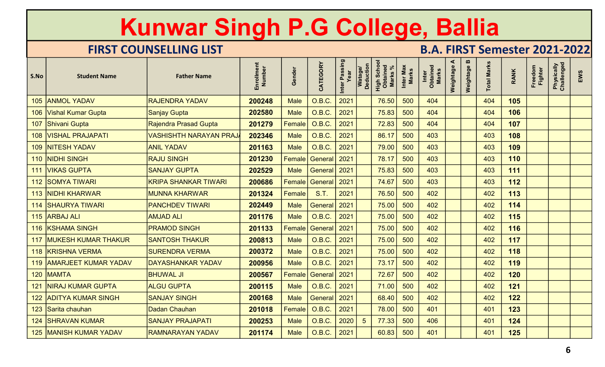|      |                                 | Kunwar Singh P.G College, Ballia |                      |               |                         |                       |                      |                                           |                           |                                      |                |             |                    |             |                    |                          |     |
|------|---------------------------------|----------------------------------|----------------------|---------------|-------------------------|-----------------------|----------------------|-------------------------------------------|---------------------------|--------------------------------------|----------------|-------------|--------------------|-------------|--------------------|--------------------------|-----|
|      |                                 | <b>FIRST COUNSELLING LIST</b>    |                      |               |                         |                       |                      |                                           |                           | <b>B.A. FIRST Semester 2021-2022</b> |                |             |                    |             |                    |                          |     |
| S.No | <b>Student Name</b>             | <b>Father Name</b>               | Enrollment<br>Number | Gender        | CATEGORY                | Inter Passing<br>Year | Watage/<br>Deduction | <b>High Schoon</b><br>Obtained<br>Marks % | Inter Max<br><b>Marks</b> | Inter<br>Obtained<br>Marks           | ⋖<br>Weightage | Weightage B | <b>Total Marks</b> | <b>RANK</b> | Freedom<br>Fighter | Physically<br>Challenged | EWS |
| 105  | <b>ANMOL YADAV</b>              | <b>RAJENDRA YADAV</b>            | 200248               | <b>Male</b>   | O.B.C.                  | 2021                  |                      | 76.50                                     | 500                       | 404                                  |                |             | 404                | 105         |                    |                          |     |
| 106  | <b>Vishal Kumar Gupta</b>       | Sanjay Gupta                     | 202580               | <b>Male</b>   | O.B.C.                  | 2021                  |                      | 75.83                                     | 500                       | 404                                  |                |             | 404                | 106         |                    |                          |     |
| 107  | <b>Shivani Gupta</b>            | Rajendra Prasad Gupta            | 201279               | $\sf Female $ | O.B.C.                  | 2021                  |                      | 72.83                                     | 500                       | 404                                  |                |             | 404                | 107         |                    |                          |     |
| 108  | <b>VISHAL PRAJAPATI</b>         | <b>VASHISHTH NARAYAN PRAJ</b>    | 202346               | <b>Male</b>   | O.B.C.                  | 2021                  |                      | 86.17                                     | 500                       | 403                                  |                |             | 403                | 108         |                    |                          |     |
| 109  | <b>NITESH YADAV</b>             | <b>ANIL YADAV</b>                | 201163               | <b>Male</b>   | O.B.C.                  | 2021                  |                      | 79.00                                     | 500                       | 403                                  |                |             | 403                | 109         |                    |                          |     |
| 110  | <b>NIDHI SINGH</b>              | <b>RAJU SINGH</b>                | 201230               | Female        | General                 | 2021                  |                      | 78.17                                     | 500                       | 403                                  |                |             | 403                | 110         |                    |                          |     |
| 111  | <b>VIKAS GUPTA</b>              | <b>SANJAY GUPTA</b>              | 202529               | <b>Male</b>   | <b>General</b>          | 2021                  |                      | 75.83                                     | 500                       | 403                                  |                |             | 403                | 111         |                    |                          |     |
| 112  | <b>SOMYA TIWARI</b>             | <b>KRIPA SHANKAR TIWARI</b>      | 200686               | $\sf Female $ | General   2021          |                       |                      | 74.67                                     | 500                       | 403                                  |                |             | 403                | 112         |                    |                          |     |
|      | 113 NIDHI KHARWAR               | <b>MUNNA KHARWAR</b>             | $201324$   Female    |               | S.T.                    |                       |                      | 76.50                                     | 500                       | 402                                  |                |             | 402                | 113         |                    |                          |     |
|      | 114 SHAURYA TIWARI              | <b>PANCHDEV TIWARI</b>           | 202449               | <b>Male</b>   | General 2021            |                       |                      | 75.00                                     | 500                       | 402                                  |                |             | 402                | 114         |                    |                          |     |
|      | 115 ARBAJ ALI                   | <b>AMJAD ALI</b>                 | 201176               | <b>Male</b>   | $O.B.C.$ 2021           |                       |                      | 75.00                                     | 500                       | 402                                  |                |             | 402                | 115         |                    |                          |     |
|      | 116 KSHAMA SINGH                | <b>PRAMOD SINGH</b>              | 201133               |               | Female   General   2021 |                       |                      | 75.00                                     | 500                       | 402                                  |                |             | 402                | 116         |                    |                          |     |
|      | 117 MUKESH KUMAR THAKUR         | <b>SANTOSH THAKUR</b>            | 200813               | Male          | $O.B.C.$ 2021           |                       |                      | 75.00                                     | 500                       | 402                                  |                |             | 402                | 117         |                    |                          |     |
|      | 118 KRISHNA VERMA               | <b>SURENDRA VERMA</b>            | 200372               | <b>Male</b>   | O.B.C.                  | $\vert$ 2021          |                      | 75.00                                     | 500                       | 402                                  |                |             | 402                | 118         |                    |                          |     |
|      | 119   AMARJEET KUMAR YADAV      | <b>DAYASHANKAR YADAV</b>         | 200956               | <b>Male</b>   | 0.B.C.                  | $\vert 2021$          |                      | 73.17                                     | 500                       | 402                                  |                |             | 402                | 119         |                    |                          |     |
|      | 120 MAMTA                       | <b>BHUWAL JI</b>                 | 200567               |               | Female   General   2021 |                       |                      | 72.67                                     | 500                       | 402                                  |                |             | 402                | 120         |                    |                          |     |
|      | 121   NIRAJ KUMAR GUPTA         | <b>ALGU GUPTA</b>                | 200115               | Male          | $O.B.C.$ 2021           |                       |                      | 71.00                                     | 500                       | 402                                  |                |             | 402                | 121         |                    |                          |     |
|      | 122 ADITYA KUMAR SINGH          | <b>SANJAY SINGH</b>              | 200168               | <b>Male</b>   | General 2021            |                       |                      | 68.40                                     | 500                       | 402                                  |                |             | 402                | 122         |                    |                          |     |
|      | 123 Sarita chauhan              | Dadan Chauhan                    | 201018               | <b>Female</b> | 0.B.C.                  | 2021                  |                      | 78.00                                     | 500                       | 401                                  |                |             | 401                | 123         |                    |                          |     |
|      | <b>124   SHRAVAN KUMAR</b>      | <b>SANJAY PRAJAPATI</b>          | 200253               | <b>Male</b>   | O.B.C.                  | 2020                  | $\sqrt{5}$           | 77.33                                     | 500                       | 406                                  |                |             | 401                | 124         |                    |                          |     |
|      | <b>125   MANISH KUMAR YADAV</b> | <b>RAMNARAYAN YADAV</b>          | 201174               | Male          | 0.B.C.                  | 2021                  |                      | 60.83                                     | 500                       | 401                                  |                |             | 401                | 125         |                    |                          |     |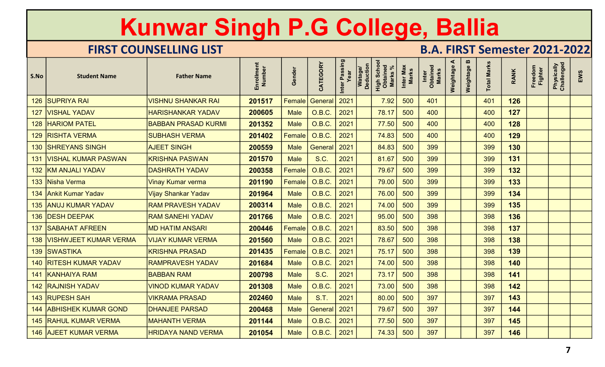|      |                              | Kunwar Singh P.G College, Ballia |                      |               |                 |                       |                                                                  |                           |                                      |                |                |                    |             |                           |                          |     |
|------|------------------------------|----------------------------------|----------------------|---------------|-----------------|-----------------------|------------------------------------------------------------------|---------------------------|--------------------------------------|----------------|----------------|--------------------|-------------|---------------------------|--------------------------|-----|
|      |                              | <b>FIRST COUNSELLING LIST</b>    |                      |               |                 |                       |                                                                  |                           | <b>B.A. FIRST Semester 2021-2022</b> |                |                |                    |             |                           |                          |     |
| S.No | <b>Student Name</b>          | <b>Father Name</b>               | Enrollment<br>Number | Gender        | CATEGORY        | Inter Passing<br>Year | Watage/<br>Deduction<br><b>High Schoo</b><br>Obtained<br>Marks % | Inter Max<br><b>Marks</b> | Inter<br>Obtained<br>Marks           | ⋖<br>Weightage | m<br>Weightage | <b>Total Marks</b> | <b>RANK</b> | Freedom<br><b>Fighter</b> | Physically<br>Challenged | EWS |
| 126  | <b>SUPRIYA RAI</b>           | <b>VISHNU SHANKAR RAI</b>        | 201517               | Female        | General         | 2021                  | 7.92                                                             | 500                       | 401                                  |                |                | 401                | 126         |                           |                          |     |
| 127  | <b>VISHAL YADAV</b>          | <b>HARISHANKAR YADAV</b>         | 200605               | <b>Male</b>   | O.B.C.          | 2021                  | 78.17                                                            | 500                       | 400                                  |                |                | 400                | 127         |                           |                          |     |
|      | <b>128 HARIOM PATEL</b>      | <b>BABBAN PRASAD KURMI</b>       | 201352               | <b>Male</b>   | O.B.C.          | 2021                  | 77.50                                                            | 500                       | 400                                  |                |                | 400                | 128         |                           |                          |     |
|      | 129 RISHTA VERMA             | <b>SUBHASH VERMA</b>             | 201402               | Female        | O.B.C.          | 2021                  | 74.83                                                            | 500                       | 400                                  |                |                | 400                | 129         |                           |                          |     |
|      | <b>130 SHREYANS SINGH</b>    | <b>AJEET SINGH</b>               | 200559               | <b>Male</b>   | General         | 2021                  | 84.83                                                            | 500                       | 399                                  |                |                | 399                | 130         |                           |                          |     |
| 131  | <b>VISHAL KUMAR PASWAN</b>   | <b>KRISHNA PASWAN</b>            | 201570               | <b>Male</b>   | S.C.            | 2021                  | 81.67                                                            | 500                       | 399                                  |                |                | 399                | 131         |                           |                          |     |
|      | 132 KM ANJALI YADAV          | <b>DASHRATH YADAV</b>            | 200358               | Female        | O.B.C.          | 2021                  | 79.67                                                            | 500                       | 399                                  |                |                | 399                | 132         |                           |                          |     |
|      | 133 Nisha Verma              | <b>Vinay Kumar verma</b>         | 201190               | $\sf Female $ | <b>O.B.C.</b>   | 2021                  | 79.00                                                            | 500                       | 399                                  |                |                | 399                | 133         |                           |                          |     |
|      | 134 Ankit Kumar Yadav        | Vijay Shankar Yadav              | 201964               | <b>Male</b>   | $O.B.C.$ 2021   |                       | 76.00                                                            | 500                       | 399                                  |                |                | 399                | 134         |                           |                          |     |
|      | 135 ANUJ KUMAR YADAV         | <b>RAM PRAVESH YADAV</b>         | 200314               | <b>Male</b>   | O.B.C.          | 2021                  | 74.00                                                            | 500                       | 399                                  |                |                | 399                | 135         |                           |                          |     |
|      | 136   DESH DEEPAK            | <b>RAM SANEHI YADAV</b>          | 201766               | <b>Male</b>   | O.B.C.          | $\vert$ 2021          | 95.00                                                            | 500                       | 398                                  |                |                | 398                | 136         |                           |                          |     |
|      | <b>137   SABAHAT AFREEN</b>  | <b>MD HATIM ANSARI</b>           | 200446               |               | Female   O.B.C. | $ 2021\rangle$        | 83.50                                                            | 500                       | 398                                  |                |                | 398                | 137         |                           |                          |     |
|      | 138   VISHWJEET KUMAR VERMA  | VIJAY KUMAR VERMA                | 201560               | <b>Male</b>   | O.B.C.          | $ 2021\rangle$        | 78.67                                                            | 500                       | 398                                  |                |                | 398                | 138         |                           |                          |     |
|      | 139 SWASTIKA                 | <b>KRISHNA PRASAD</b>            | 201435               | <b>Female</b> | O.B.C.          | 2021                  | 75.17                                                            | 500                       | 398                                  |                |                | 398                | 139         |                           |                          |     |
|      | 140 RITESH KUMAR YADAV       | <b>RAMPRAVESH YADAV</b>          | 201684               | <b>Male</b>   | 0.B.C.          | 2021                  | 74.00                                                            | 500                       | 398                                  |                |                | 398                | 140         |                           |                          |     |
|      | 141 KANHAIYA RAM             | <b>BABBAN RAM</b>                | 200798               | <b>Male</b>   | <b>S.C.</b>     | 2021                  | 73.17                                                            | 500                       | 398                                  |                |                | 398                | 141         |                           |                          |     |
|      | <b>142 RAJNISH YADAV</b>     | <b>VINOD KUMAR YADAV</b>         | 201308               | <b>Male</b>   | <b>O.B.C.</b>   | 2021                  | 73.00                                                            | 500                       | 398                                  |                |                | 398                | 142         |                           |                          |     |
|      | 143 RUPESH SAH               | <b>VIKRAMA PRASAD</b>            | 202460               | <b>Male</b>   | <b>S.T.</b>     | 2021                  | 80.00                                                            | 500                       | 397                                  |                |                | 397                | 143         |                           |                          |     |
|      | 144 ABHISHEK KUMAR GOND      | <b>DHANJEE PARSAD</b>            | 200468               | <b>Male</b>   | General 2021    |                       | 79.67                                                            | 500                       | 397                                  |                |                | 397                | 144         |                           |                          |     |
|      | <b>145 RAHUL KUMAR VERMA</b> | <b>MAHANTH VERMA</b>             | 201144               | <b>Male</b>   | O.B.C.          | $\sqrt{2021}$         | 77.50                                                            | 500                       | 397                                  |                |                | 397                | 145         |                           |                          |     |
|      | 146 AJEET KUMAR VERMA        | <b>HRIDAYA NAND VERMA</b>        | 201054               | <b>Male</b>   | 0.B.C.          | $ 2021\rangle$        | 74.33                                                            | 500                       | 397                                  |                |                | 397                | 146         |                           |                          |     |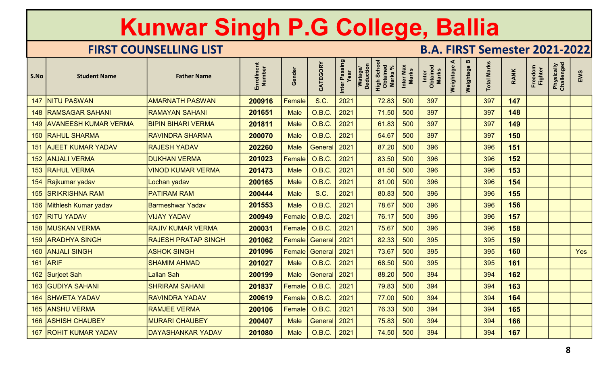|      |                             | Kunwar Singh P.G College, Ballia |                      |             |                              |                       |                                                                   |                           |                                      |                |                                    |                    |             |                           |                          |     |
|------|-----------------------------|----------------------------------|----------------------|-------------|------------------------------|-----------------------|-------------------------------------------------------------------|---------------------------|--------------------------------------|----------------|------------------------------------|--------------------|-------------|---------------------------|--------------------------|-----|
|      |                             | <b>FIRST COUNSELLING LIST</b>    |                      |             |                              |                       |                                                                   |                           | <b>B.A. FIRST Semester 2021-2022</b> |                |                                    |                    |             |                           |                          |     |
| S.No | <b>Student Name</b>         | <b>Father Name</b>               | Enrollment<br>Number | Gender      | CATEGORY                     | Inter Passing<br>Year | Watage/<br>Deduction<br><b>High Schoon</b><br>Obtained<br>Marks % | Inter Max<br><b>Marks</b> | Inter<br>Obtained<br>Marks           | ⋖<br>Weightage | $\boldsymbol{\omega}$<br>Weightage | <b>Total Marks</b> | <b>RANK</b> | Freedom<br><b>Fighter</b> | Physically<br>Challenged | EWS |
| 147  | <b>NITU PASWAN</b>          | <b>AMARNATH PASWAN</b>           | 200916               | Female      | S.C.                         | 2021                  | 72.83                                                             | 500                       | 397                                  |                |                                    | 397                | 147         |                           |                          |     |
| 148  | <b>RAMSAGAR SAHANI</b>      | <b>RAMAYAN SAHANI</b>            | 201651               | <b>Male</b> | O.B.C.                       | 2021                  | 71.50                                                             | 500                       | 397                                  |                |                                    | 397                | 148         |                           |                          |     |
| 149  | <b>AVANEESH KUMAR VERMA</b> | <b>BIPIN BIHARI VERMA</b>        | 201811               | <b>Male</b> | <b>O.B.C.</b>                | 2021                  | 61.83                                                             | 500                       | 397                                  |                |                                    | 397                | 149         |                           |                          |     |
|      | 150 RAHUL SHARMA            | <b>RAVINDRA SHARMA</b>           | 200070               | <b>Male</b> | <b>O.B.C.</b>                | 2021                  | 54.67                                                             | 500                       | 397                                  |                |                                    | 397                | 150         |                           |                          |     |
| 151  | <b>AJEET KUMAR YADAV</b>    | <b>RAJESH YADAV</b>              | 202260               | <b>Male</b> | General                      | 2021                  | 87.20                                                             | 500                       | 396                                  |                |                                    | 396                | 151         |                           |                          |     |
|      | 152 ANJALI VERMA            | <b>DUKHAN VERMA</b>              | 201023               | Female      | <b>O.B.C.</b>                | 2021                  | 83.50                                                             | 500                       | 396                                  |                |                                    | 396                | 152         |                           |                          |     |
|      | 153 RAHUL VERMA             | <b>VINOD KUMAR VERMA</b>         | 201473               | <b>Male</b> | O.B.C.                       | 2021                  | 81.50                                                             | 500                       | 396                                  |                |                                    | 396                | 153         |                           |                          |     |
| 154  | Rajkumar yadav              | Lochan yadav                     | 200165               | <b>Male</b> | O.B.C.                       | 2021                  | 81.00                                                             | 500                       | 396                                  |                |                                    | 396                | 154         |                           |                          |     |
|      | 155 SRIKRISHNA RAM          | <b>PATIRAM RAM</b>               | 200444               | <b>Male</b> | <b>S.C.</b>                  | 2021<br>$\sim$        | 80.83                                                             | 500                       | 396                                  |                |                                    | 396                | 155         |                           |                          |     |
|      | 156 Mithlesh Kumar yadav    | <b>Barmeshwar Yadav</b>          | 201553               | <b>Male</b> | O.B.C.                       | 2021                  | 78.67                                                             | 500                       | 396                                  |                |                                    | 396                | 156         |                           |                          |     |
|      | 157 RITU YADAV              | <b>VIJAY YADAV</b>               | 200949               |             | Female   O.B.C.              | $\vert$ 2021          | 76.17                                                             | 500                       | 396                                  |                |                                    | 396                | 157         |                           |                          |     |
|      | <b>158   MUSKAN VERMA</b>   | <b>RAJIV KUMAR VERMA</b>         | 200031               |             | Female   O.B.C.              | $ 2021\rangle$        | 75.67                                                             | 500                       | 396                                  |                |                                    | 396                | 158         |                           |                          |     |
|      | 159 ARADHYA SINGH           | <b>RAJESH PRATAP SINGH</b>       | 201062               |             | Female General 2021          |                       | 82.33                                                             | 500                       | 395                                  |                |                                    | 395                | 159         |                           |                          |     |
|      | 160 ANJALI SINGH            | <b>ASHOK SINGH</b>               | 201096               |             | Female General 2021          |                       | 73.67                                                             | 500                       | 395                                  |                |                                    | 395                | 160         |                           |                          | Yes |
|      | 161 ARIF                    | <b>SHAMIM AHMAD</b>              | 201027               | <b>Male</b> | O.B.C.                       | $\vert$ 2021          | 68.50                                                             | 500                       | 395                                  |                |                                    | 395                | 161         |                           |                          |     |
|      | 162 Surjeet Sah             | Lallan Sah                       | 200199               | <b>Male</b> | General 2021                 |                       | 88.20                                                             | 500                       | 394                                  |                |                                    | 394                | 162         |                           |                          |     |
|      | 163 GUDIYA SAHANI           | <b>SHRIRAM SAHANI</b>            | 201837               |             | Female   O.B.C.   2021       |                       | 79.83                                                             | 500                       | 394                                  |                |                                    | 394                | 163         |                           |                          |     |
|      | 164 SHWETA YADAV            | <b>RAVINDRA YADAV</b>            | 200619               |             | Female $\overline{O}$ O.B.C. | 2021                  | 77.00                                                             | 500                       | 394                                  |                |                                    | 394                | 164         |                           |                          |     |
|      | 165 ANSHU VERMA             | <b>RAMJEE VERMA</b>              | 200106               |             | Female 0.B.C.                | 2021                  | 76.33                                                             | 500                       | 394                                  |                |                                    | 394                | 165         |                           |                          |     |
|      | 166   ASHISH CHAUBEY        | <b>MURARI CHAUBEY</b>            | 200407               | <b>Male</b> | General   2021               |                       | 75.83                                                             | 500                       | 394                                  |                |                                    | 394                | 166         |                           |                          |     |
|      | 167 ROHIT KUMAR YADAV       | DAYASHANKAR YADAV                | 201080               | <b>Male</b> | O.B.C.                       | $ 2021\rangle$        | 74.50                                                             | 500                       | 394                                  |                |                                    | 394                | 167         |                           |                          |     |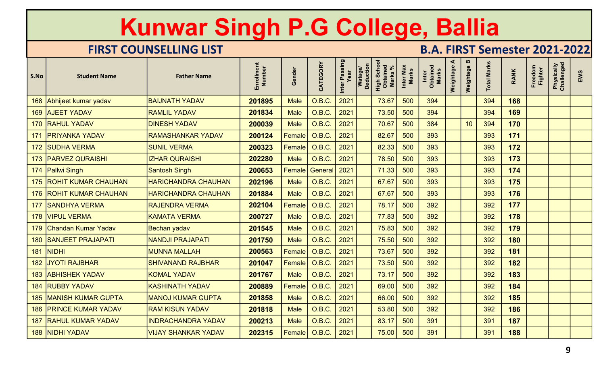|      |                               | Kunwar Singh P.G College, Ballia |                      |               |                 |                       |                      |                                           |                           |                                      |           |             |                    |             |                    |                          |     |
|------|-------------------------------|----------------------------------|----------------------|---------------|-----------------|-----------------------|----------------------|-------------------------------------------|---------------------------|--------------------------------------|-----------|-------------|--------------------|-------------|--------------------|--------------------------|-----|
|      |                               | <b>FIRST COUNSELLING LIST</b>    |                      |               |                 |                       |                      |                                           |                           | <b>B.A. FIRST Semester 2021-2022</b> | ⋖         |             |                    |             |                    |                          |     |
| S.No | <b>Student Name</b>           | <b>Father Name</b>               | Enrollment<br>Number | Gender        | CATEGORY        | Inter Passing<br>Year | Watage/<br>Deduction | <b>High Schoon</b><br>Obtained<br>Marks % | Inter Max<br><b>Marks</b> | Inter<br>Obtained<br>Marks           | Weightage | Weightage B | <b>Total Marks</b> | <b>RANK</b> | Freedom<br>Fighter | Physically<br>Challenged | EWS |
|      | 168 Abhijeet kumar yadav      | <b>BAIJNATH YADAV</b>            | 201895               | <b>Male</b>   | O.B.C.          | 2021                  |                      | 73.67                                     | 500                       | 394                                  |           |             | 394                | 168         |                    |                          |     |
|      | 169 AJEET YADAV               | <b>RAMLIL YADAV</b>              | 201834               | <b>Male</b>   | O.B.C.          | 2021                  |                      | 73.50                                     | 500                       | 394                                  |           |             | 394                | 169         |                    |                          |     |
|      | 170 RAHUL YADAV               | <b>DINESH YADAV</b>              | 200039               | <b>Male</b>   | <b>O.B.C.</b>   | 2021                  |                      | 70.67                                     | 500                       | 384                                  |           | 10          | 394                | 170         |                    |                          |     |
|      | 171   PRIYANKA YADAV          | <b>RAMASHANKAR YADAV</b>         | 200124               | Female        | O.B.C.          | 2021                  |                      | 82.67                                     | 500                       | 393                                  |           |             | 393                | 171         |                    |                          |     |
|      | 172 SUDHA VERMA               | <b>SUNIL VERMA</b>               | 200323               | Female        | O.B.C.          | 2021                  |                      | 82.33                                     | 500                       | 393                                  |           |             | 393                | 172         |                    |                          |     |
|      | 173 PARVEZ QURAISHI           | <b>IZHAR QURAISHI</b>            | 202280               | <b>Male</b>   | O.B.C.          | 2021                  |                      | 78.50                                     | 500                       | 393                                  |           |             | 393                | 173         |                    |                          |     |
|      | 174 Pallwi Singh              | <b>Santosh Singh</b>             | 200653               | Female        | General         | 2021                  |                      | 71.33                                     | 500                       | 393                                  |           |             | 393                | 174         |                    |                          |     |
|      | 175 ROHIT KUMAR CHAUHAN       | <b>HARICHANDRA CHAUHAN</b>       | 202196               | <b>Male</b>   | <b>O.B.C.</b>   | 2021                  |                      | 67.67                                     | 500                       | 393                                  |           |             | 393                | 175         |                    |                          |     |
|      | 176 ROHIT KUMAR CHAUHAN       | <b>HARICHANDRA CHAUHAN</b>       | 201884               | Male          | $O.B.C.$ 2021   |                       |                      | 67.67                                     | 500                       | 393                                  |           |             | 393                | 176         |                    |                          |     |
|      | 177 SANDHYA VERMA             | <b>RAJENDRA VERMA</b>            | 202104               | <b>Female</b> | O.B.C.          | 2021                  |                      | 78.17                                     | 500                       | 392                                  |           |             | 392                | 177         |                    |                          |     |
|      | 178 VIPUL VERMA               | <b>KAMATA VERMA</b>              | 200727               | <b>Male</b>   | <b>O.B.C.</b>   | 2021                  |                      | 77.83                                     | 500                       | 392                                  |           |             | 392                | 178         |                    |                          |     |
|      | 179 Chandan Kumar Yadav       | Bechan yadav                     | 201545               | <b>Male</b>   | 0.B.C.          | 2021                  |                      | 75.83                                     | 500                       | 392                                  |           |             | 392                | 179         |                    |                          |     |
|      | 180 SANJEET PRAJAPATI         | <b>NANDJI PRAJAPATI</b>          | 201750               | <b>Male</b>   | O.B.C.          | 2021                  |                      | 75.50                                     | 500                       | 392                                  |           |             | 392                | 180         |                    |                          |     |
|      | <b>181 NIDHI</b>              | <b>MUNNA MALLAH</b>              | 200563               | <b>Female</b> | O.B.C.          | 2021                  |                      | 73.67                                     | 500                       | 392                                  |           |             | 392                | 181         |                    |                          |     |
|      | 182 JYOTI RAJBHAR             | <b>SHIVANAND RAJBHAR</b>         | 201047               | Female        | O.B.C.          | 2021                  |                      | 73.50                                     | 500                       | 392                                  |           |             | 392                | 182         |                    |                          |     |
|      | 183 ABHISHEK YADAV            | <b>KOMAL YADAV</b>               | 201767               | <b>Male</b>   | O.B.C.          | 2021                  |                      | 73.17                                     | 500                       | 392                                  |           |             | 392                | 183         |                    |                          |     |
|      | 184 RUBBY YADAV               | <b>KASHINATH YADAV</b>           | 200889               | <b>Female</b> | <b>O.B.C.</b>   | 2021                  |                      | 69.00                                     | 500                       | 392                                  |           |             | 392                | 184         |                    |                          |     |
|      | <b>185 MANISH KUMAR GUPTA</b> | <b>MANOJ KUMAR GUPTA</b>         | 201858               | <b>Male</b>   | 0.B.C.          | 2021                  |                      | 66.00                                     | 500                       | 392                                  |           |             | 392                | 185         |                    |                          |     |
|      | 186 PRINCE KUMAR YADAV        | <b>RAM KISUN YADAV</b>           | 201818               | <b>Male</b>   | <b>O.B.C.</b>   | 2021                  |                      | 53.80                                     | 500                       | 392                                  |           |             | 392                | 186         |                    |                          |     |
|      | 187 RAHUL KUMAR YADAV         | <b>INDRACHANDRA YADAV</b>        | 200213               | <b>Male</b>   | 0.B.C.          | 2021                  |                      | 83.17                                     | 500                       | 391                                  |           |             | 391                | 187         |                    |                          |     |
|      | 188 NIDHI YADAV               | <b>VIJAY SHANKAR YADAV</b>       | 202315               |               | Female   O.B.C. | 2021                  |                      | 75.00                                     | 500                       | 391                                  |           |             | 391                | 188         |                    |                          |     |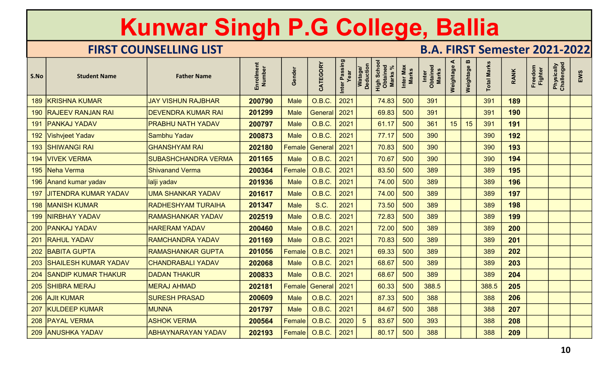|      |                          | Kunwar Singh P.G College, Ballia |                      |               |                         |                       |                      |                                           |                           |                                      |                |                                    |                    |             |                    |                          |     |
|------|--------------------------|----------------------------------|----------------------|---------------|-------------------------|-----------------------|----------------------|-------------------------------------------|---------------------------|--------------------------------------|----------------|------------------------------------|--------------------|-------------|--------------------|--------------------------|-----|
|      |                          | <b>FIRST COUNSELLING LIST</b>    |                      |               |                         |                       |                      |                                           |                           | <b>B.A. FIRST Semester 2021-2022</b> |                |                                    |                    |             |                    |                          |     |
| S.No | <b>Student Name</b>      | <b>Father Name</b>               | Enrollment<br>Number | Gender        | CATEGORY                | Inter Passing<br>Year | Watage/<br>Deduction | <b>High Schoon</b><br>Obtained<br>Marks % | Inter Max<br><b>Marks</b> | Inter<br>Obtained<br>Marks           | ⋖<br>Weightage | $\boldsymbol{\omega}$<br>Weightage | <b>Total Marks</b> | <b>RANK</b> | Freedom<br>Fighter | Physically<br>Challenged | EWS |
|      | 189 KRISHNA KUMAR        | <b>JAY VISHUN RAJBHAR</b>        | 200790               | <b>Male</b>   | O.B.C.                  | 2021                  |                      | 74.83                                     | 500                       | 391                                  |                |                                    | 391                | 189         |                    |                          |     |
|      | 190 RAJEEV RANJAN RAI    | <b>DEVENDRA KUMAR RAI</b>        | 201299               | <b>Male</b>   | General                 | 2021                  |                      | 69.83                                     | 500                       | 391                                  |                |                                    | 391                | 190         |                    |                          |     |
|      | 191   PANKAJ YADAV       | <b>PRABHU NATH YADAV</b>         | 200797               | <b>Male</b>   | <b>O.B.C.</b>           | 2021                  |                      | 61.17                                     | 500                       | 361                                  | 15             | 15                                 | 391                | 191         |                    |                          |     |
|      | 192 Vishvjeet Yadav      | Sambhu Yadav                     | 200873               | <b>Male</b>   | O.B.C.                  | 2021                  |                      | 77.17                                     | 500                       | 390                                  |                |                                    | 390                | 192         |                    |                          |     |
|      | 193 SHIWANGI RAI         | <b>GHANSHYAM RAI</b>             | 202180               | Female        | General                 | 2021                  |                      | 70.83                                     | 500                       | 390                                  |                |                                    | 390                | 193         |                    |                          |     |
|      | 194   VIVEK VERMA        | <b>SUBASHCHANDRA VERMA</b>       | 201165               | <b>Male</b>   | O.B.C.                  | 2021                  |                      | 70.67                                     | 500                       | 390                                  |                |                                    | 390                | 194         |                    |                          |     |
|      | 195 Neha Verma           | <b>Shivanand Verma</b>           | 200364               | Female        | O.B.C.                  | 2021                  |                      | 83.50                                     | 500                       | 389                                  |                |                                    | 389                | 195         |                    |                          |     |
|      | 196 Anand kumar yadav    | lalji yadav                      | 201936               | <b>Male</b>   | <b>O.B.C.</b>           | 2021                  |                      | 74.00                                     | 500                       | 389                                  |                |                                    | 389                | 196         |                    |                          |     |
|      | 197 JITENDRA KUMAR YADAV | <b>UMA SHANKAR YADAV</b>         | 201617               | <b>Male</b>   | O.B.C.                  |                       |                      | 74.00                                     | 500                       | 389                                  |                |                                    | 389                | 197         |                    |                          |     |
|      | 198   MANISH KUMAR       | <b>RADHESHYAM TURAIHA</b>        | 201347               | <b>Male</b>   | <b>S.C.</b>             | 2021                  |                      | 73.50                                     | 500                       | 389                                  |                |                                    | 389                | 198         |                    |                          |     |
|      | 199 NIRBHAY YADAV        | <b>RAMASHANKAR YADAV</b>         | 202519               | <b>Male</b>   | O.B.C.                  | 2021                  |                      | 72.83                                     | 500                       | 389                                  |                |                                    | 389                | 199         |                    |                          |     |
|      | 200 PANKAJ YADAV         | <b>HARERAM YADAV</b>             | 200460               | <b>Male</b>   | 0.B.C.                  | 2021                  |                      | 72.00                                     | 500                       | 389                                  |                |                                    | 389                | 200         |                    |                          |     |
|      | 201 RAHUL YADAV          | <b>RAMCHANDRA YADAV</b>          | 201169               | <b>Male</b>   | 0.B.C.                  | 2021                  |                      | 70.83                                     | 500                       | 389                                  |                |                                    | 389                | 201         |                    |                          |     |
|      | 202 BABITA GUPTA         | <b>RAMASHANKAR GUPTA</b>         | 201056               | <b>Female</b> | O.B.C.                  | 2021                  |                      | 69.33                                     | 500                       | 389                                  |                |                                    | 389                | 202         |                    |                          |     |
|      | 203 SHAILESH KUMAR YADAV | <b>CHANDRABALI YADAV</b>         | 202068               | <b>Male</b>   | <b>O.B.C.</b>           | 2021                  |                      | 68.67                                     | 500                       | 389                                  |                |                                    | 389                | 203         |                    |                          |     |
|      | 204 SANDIP KUMAR THAKUR  | <b>DADAN THAKUR</b>              | 200833               | <b>Male</b>   | O.B.C.                  | 2021                  |                      | 68.67                                     | 500                       | 389                                  |                |                                    | 389                | 204         |                    |                          |     |
|      | 205 SHIBRA MERAJ         | <b>MERAJ AHMAD</b>               | 202181               |               | Female   General   2021 |                       |                      | 60.33                                     | 500                       | 388.5                                |                |                                    | 388.5              | 205         |                    |                          |     |
|      | 206 AJIt KUMAR           | <b>SURESH PRASAD</b>             | 200609               | <b>Male</b>   | $O.B.C.$ 2021           |                       |                      | 87.33                                     | 500                       | 388                                  |                |                                    | 388                | 206         |                    |                          |     |
|      | 207 KULDEEP KUMAR        | <b>MUNNA</b>                     | 201797               | Male          | <b>O.B.C.</b>           | 2021                  |                      | 84.67                                     | 500                       | 388                                  |                |                                    | 388                | 207         |                    |                          |     |
|      | 208   PAYAL VERMA        | <b>ASHOK VERMA</b>               | 200564               |               | Female   O.B.C.         | 2020                  | $\sqrt{5}$           | 83.67                                     | 500                       | 393                                  |                |                                    | 388                | 208         |                    |                          |     |
|      | 209 ANUSHKA YADAV        | <b>ABHAYNARAYAN YADAV</b>        | 202193               |               | Female   O.B.C.         | 2021                  |                      | 80.17                                     | 500                       | 388                                  |                |                                    | 388                | 209         |                    |                          |     |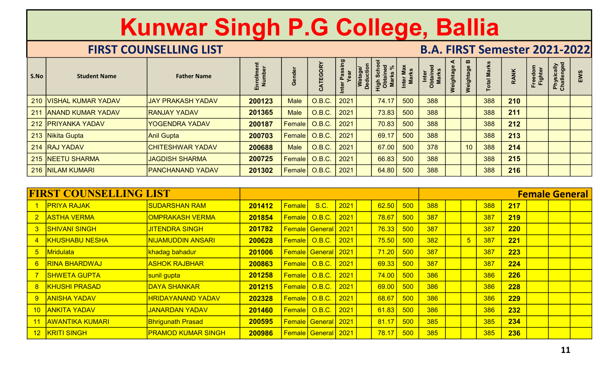|                |                               | Kunwar Singh P.G College, Ballia<br><b>FIRST COUNSELLING LIST</b> |                      |               |                            |                       |                                                                  |                           | <b>B.A. FIRST Semester 2021-2022</b> |                |                 |                    |             |                           |                          |     |
|----------------|-------------------------------|-------------------------------------------------------------------|----------------------|---------------|----------------------------|-----------------------|------------------------------------------------------------------|---------------------------|--------------------------------------|----------------|-----------------|--------------------|-------------|---------------------------|--------------------------|-----|
| S.No           | <b>Student Name</b>           | <b>Father Name</b>                                                | Enrollment<br>Number | Gender        | CATEGORY                   | Inter Passing<br>Year | Watage/<br>Deduction<br><b>High Schoo</b><br>Obtained<br>Marks % | Inter Max<br><b>Marks</b> | Inter<br>Obtained<br>Marks           | ⋖<br>Weightage | m<br>Weightage  | <b>Total Marks</b> | <b>RANK</b> | Freedom<br><b>Fighter</b> | Physically<br>Challenged | EWS |
| 210            | <b>VISHAL KUMAR YADAV</b>     | <b>JAY PRAKASH YADAV</b>                                          | 200123               | <b>Male</b>   | O.B.C.                     | 2021                  | 74.17                                                            | 500                       | 388                                  |                |                 | 388                | 210         |                           |                          |     |
| 211            | <b>ANAND KUMAR YADAV</b>      | <b>RANJAY YADAV</b>                                               | 201365               | <b>Male</b>   | O.B.C.                     | 2021                  | 73.83                                                            | 500                       | 388                                  |                |                 | 388                | 211         |                           |                          |     |
|                | 212 PRIYANKA YADAV            | <b>YOGENDRA YADAV</b>                                             | 200187               | Female        | <b>O.B.C.</b>              | 2021                  | 70.83                                                            | 500                       | 388                                  |                |                 | 388                | 212         |                           |                          |     |
|                | 213 Nikita Gupta              | <b>Anil Gupta</b>                                                 | 200703               | Female        | O.B.C.                     | 2021                  | 69.17                                                            | 500                       | 388                                  |                |                 | 388                | 213         |                           |                          |     |
|                | 214 RAJ YADAV                 | <b>CHITESHWAR YADAV</b>                                           | 200688               | <b>Male</b>   | O.B.C.                     | 2021                  | 67.00                                                            | 500                       | 378                                  |                | 10              | 388                | 214         |                           |                          |     |
|                | 215 NEETU SHARMA              | <b>JAGDISH SHARMA</b>                                             | 200725               | Female        | O.B.C.                     | 2021                  | 66.83                                                            | 500                       | 388                                  |                |                 | 388                | 215         |                           |                          |     |
|                | 216 NILAM KUMARI              | <b>PANCHANAND YADAV</b>                                           | 201302               | Female        | <b>O.B.C.</b>              | 2021                  | 64.80                                                            | 500                       | 388                                  |                |                 | 388                | 216         |                           |                          |     |
|                | <b>FIRST COUNSELLING LIST</b> |                                                                   |                      |               |                            |                       |                                                                  |                           |                                      |                |                 |                    |             | <b>Female General</b>     |                          |     |
|                | <b>PRIYA RAJAK</b>            | <b>SUDARSHAN RAM</b>                                              | 201412               | <b>Female</b> | S.C.                       | 2021                  | 62.50                                                            | 500                       | 388                                  |                |                 | 388                | 217         |                           |                          |     |
|                | 2 ASTHA VERMA                 | <b>OMPRAKASH VERMA</b>                                            | 201854               |               | Female   O.B.C.            | 2021                  | 78.67                                                            | 500                       | 387                                  |                |                 | 387                | 219         |                           |                          |     |
|                | 3 SHIVANI SINGH               | <b>JITENDRA SINGH</b>                                             | 201782               |               | <b>Female General 2021</b> |                       | 76.33                                                            | $-500$                    | 387                                  |                |                 | 387                | <b>220</b>  |                           |                          |     |
| $\overline{4}$ | <b>KHUSHABU NESHA</b>         | <b>NIJAMUDDIN ANSARI</b>                                          | 200628               |               | Female 0.B.C.              | 2021                  |                                                                  | $75.50$ 500               | 382                                  |                | $5\overline{)}$ | 387                | 221         |                           |                          |     |
| 5 <sub>1</sub> | Mridulata                     | khadag bahadur                                                    | 201006               |               | <b>Female General</b> 2021 |                       | 71.20                                                            | 500                       | 387                                  |                |                 | 387                | 223         |                           |                          |     |
|                | 6 RINA BHARDWAJ               | <b>ASHOK RAJBHAR</b>                                              | 200863               |               | Female   O.B.C.   2021     |                       |                                                                  | $ 69.33 $ 500             | 387                                  |                |                 | 387                | 224         |                           |                          |     |

|                 |                               |                           | ᇤᅎ     | ৺               | $\mathbf{\ddot{3}}$   | Inte | اة <sup>≍</sup> ا | $rac{5}{5}$ $rac{5}{5}$ $\ge$ | $\Xi$ | $\overline{\mathsf{o}}$ | Wei | <b>S</b>        | P   |            | ᄠᄟ                    | 6 중 |  |
|-----------------|-------------------------------|---------------------------|--------|-----------------|-----------------------|------|-------------------|-------------------------------|-------|-------------------------|-----|-----------------|-----|------------|-----------------------|-----|--|
|                 | 210 VISHAL KUMAR YADAV        | <b>JAY PRAKASH YADAV</b>  | 200123 | <b>Male</b>     | O.B.C.                | 2021 |                   | 74.17                         | 500   | 388                     |     |                 | 388 | 210        |                       |     |  |
|                 | 211 ANAND KUMAR YADAV         | <b>RANJAY YADAV</b>       | 201365 | <b>Male</b>     | <b>O.B.C.</b>         | 2021 |                   | 73.83                         | 500   | 388                     |     |                 | 388 | 211        |                       |     |  |
|                 | 212 PRIYANKA YADAV            | <b>YOGENDRA YADAV</b>     | 200187 | <b>Female</b>   | <b>O.B.C.</b>         | 2021 |                   | 70.83                         | 500   | 388                     |     |                 | 388 | 212        |                       |     |  |
|                 | 213 Nikita Gupta              | <b>Anil Gupta</b>         | 200703 | <b>Female</b>   | <b>O.B.C.</b>         | 2021 |                   | 69.17                         | 500   | 388                     |     |                 | 388 | 213        |                       |     |  |
|                 | 214 RAJ YADAV                 | <b>CHITESHWAR YADAV</b>   | 200688 | <b>Male</b>     | O.B.C.                | 2021 |                   | 67.00                         | 500   | 378                     |     | 10 <sup>°</sup> | 388 | 214        |                       |     |  |
|                 | 215 NEETU SHARMA              | <b>JAGDISH SHARMA</b>     | 200725 | Female          | <b>O.B.C.</b>         | 2021 |                   | 66.83                         | 500   | 388                     |     |                 | 388 | 215        |                       |     |  |
|                 | 216 NILAM KUMARI              | <b>PANCHANAND YADAV</b>   | 201302 | Female   O.B.C. |                       | 2021 |                   | 64.80                         | 500   | 388                     |     |                 | 388 | 216        |                       |     |  |
|                 |                               |                           |        |                 |                       |      |                   |                               |       |                         |     |                 |     |            |                       |     |  |
|                 | <b>FIRST COUNSELLING LIST</b> |                           |        |                 |                       |      |                   |                               |       |                         |     |                 |     |            | <b>Female General</b> |     |  |
|                 | <b>PRIYA RAJAK</b>            | <b>SUDARSHAN RAM</b>      | 201412 | Female          | <b>S.C.</b>           | 2021 |                   | 62.50                         | 500   | 388                     |     |                 | 388 | 217        |                       |     |  |
| 2 <sup>1</sup>  | <b>ASTHA VERMA</b>            | <b>OMPRAKASH VERMA</b>    | 201854 | <b>Female</b>   | 0.B.C.                | 2021 |                   | 78.67                         | 500   | 387                     |     |                 | 387 | 219        |                       |     |  |
| 3 <sup>1</sup>  | <mark>ISHIVANI SINGH</mark>   | <b>JITENDRA SINGH</b>     | 201782 |                 | Female General        | 2021 |                   | 76.33                         | 500   | 387                     |     |                 | 387 | <b>220</b> |                       |     |  |
|                 | <b>KHUSHABU NESHA</b>         | <b>NIJAMUDDIN ANSARI</b>  | 200628 | Female   O.B.C. |                       | 2021 |                   | 75.50                         | 500   | 382                     |     | $5\overline{)}$ | 387 | 221        |                       |     |  |
| 5 <sub>1</sub>  | <u>Mridulata</u>              | khadag bahadur            | 201006 |                 | <b>Female</b> General | 2021 |                   | 71.20                         | 500   | 387                     |     |                 | 387 | 223        |                       |     |  |
| 6 <sup>1</sup>  | <b>RINA BHARDWAJ</b>          | <b>ASHOK RAJBHAR</b>      | 200863 | <b>Female</b>   | O.B.C.                | 2021 |                   | 69.33                         | 500   | 387                     |     |                 | 387 | 224        |                       |     |  |
|                 | <b>SHWETA GUPTA</b>           | sunil gupta               | 201258 | <b>Female</b>   | <b>O.B.C.</b>         | 2021 |                   | 74.00                         | 500   | 386                     |     |                 | 386 | 226        |                       |     |  |
| 8 <sup>°</sup>  | <b>KHUSHI PRASAD</b>          | <b>DAYA SHANKAR</b>       | 201215 | <b>Female</b>   | O.B.C.                | 2021 |                   | 69.00                         | 500   | 386                     |     |                 | 386 | 228        |                       |     |  |
| 9 <sup>°</sup>  | <b>ANISHA YADAV</b>           | <b>HRIDAYANAND YADAV</b>  | 202328 | Female          | <b>O.B.C.</b>         | 2021 |                   | 68.67                         | 500   | 386                     |     |                 | 386 | 229        |                       |     |  |
| 10 <sup>°</sup> | <b>ANKITA YADAV</b>           | <b>JANARDAN YADAV</b>     | 201460 | <b>Female</b>   | O.B.C.                | 2021 |                   | 61.83                         | 500   | 386                     |     |                 | 386 | 232        |                       |     |  |
| 11              | <b>AWANTIKA KUMARI</b>        | <b>Bhrigunath Prasad</b>  | 200595 |                 | Female General        | 2021 |                   | 81.17                         | 500   | 385                     |     |                 | 385 | 234        |                       |     |  |
| 12 <sup>2</sup> | <b>KRITI SINGH</b>            | <b>PRAMOD KUMAR SINGH</b> | 200986 |                 | <b>Female</b> General | 2021 |                   | 78.17                         | 500   | 385                     |     |                 | 385 | 236        |                       |     |  |
|                 |                               |                           |        |                 |                       |      |                   |                               |       |                         |     |                 |     |            |                       | 11  |  |
|                 |                               |                           |        |                 |                       |      |                   |                               |       |                         |     |                 |     |            |                       |     |  |
|                 |                               |                           |        |                 |                       |      |                   |                               |       |                         |     |                 |     |            |                       |     |  |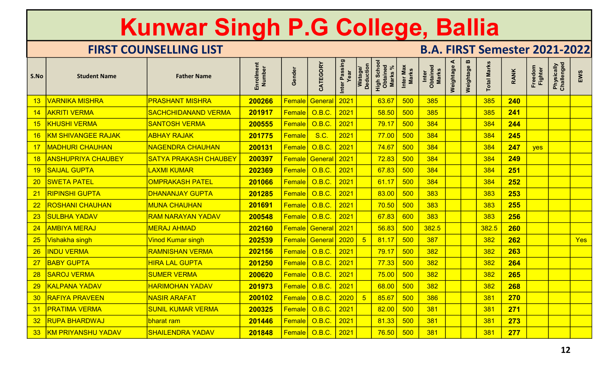|                 |                           | Kunwar Singh P.G College, Ballia |                      |               |                                 |                       |                                    |                                                      |                           |                                      |                |                |                    |             |                    |                          |     |
|-----------------|---------------------------|----------------------------------|----------------------|---------------|---------------------------------|-----------------------|------------------------------------|------------------------------------------------------|---------------------------|--------------------------------------|----------------|----------------|--------------------|-------------|--------------------|--------------------------|-----|
|                 |                           | <b>FIRST COUNSELLING LIST</b>    |                      |               |                                 |                       |                                    |                                                      |                           | <b>B.A. FIRST Semester 2021-2022</b> |                |                |                    |             |                    |                          |     |
| S.No            | <b>Student Name</b>       | <b>Father Name</b>               | Enrollment<br>Number | Gender        | CATEGORY                        | Inter Passing<br>Year | <b>Deduction</b><br><b>Watage/</b> | <b>High School</b><br>Obtained<br>Marks <sup>'</sup> | Inter Max<br><b>Marks</b> | Inter<br>Obtained<br>Marks           | ⋖<br>Weightage | m<br>Weightage | <b>Total Marks</b> | <b>RANK</b> | Freedom<br>Fighter | Physically<br>Challenged | EWS |
| 13              | <b>VARNIKA MISHRA</b>     | <b>PRASHANT MISHRA</b>           | 200266               | <b>Female</b> | Genera                          | 2021                  |                                    | 63.67                                                | 500                       | 385                                  |                |                | 385                | 240         |                    |                          |     |
| 14              | <b>AKRITI VERMA</b>       | <b>SACHCHIDANAND VERMA</b>       | 201917               | Female        | <b>O.B.C.</b>                   | 2021                  |                                    | 58.50                                                | 500                       | 385                                  |                |                | 385                | 241         |                    |                          |     |
| 15              | <b>KHUSHI VERMA</b>       | <b>SANTOSH VERMA</b>             | 200555               | <b>Female</b> | $\overline{\phantom{a}}$ O.B.C. | 2021                  |                                    | 79.17                                                | 500                       | 384                                  |                |                | 384                | 244         |                    |                          |     |
|                 | <b>KM SHIVANGEE RAJAK</b> | <b>ABHAY RAJAK</b>               | 201775               | Female        | <b>S.C.</b>                     | 2021                  |                                    | 77.00                                                | 500                       | 384                                  |                |                | 384                | 245         |                    |                          |     |
| 17              | <b>MADHURI CHAUHAN</b>    | <b>NAGENDRA CHAUHAN</b>          | 200131               | Female        | <b>O.B.C.</b>                   | 2021                  |                                    | 74.67                                                | 500                       | 384                                  |                |                | 384                | 247         | yes                |                          |     |
| 18              | <b>ANSHUPRIYA CHAUBEY</b> | <b>SATYA PRAKASH CHAUBEY</b>     | 200397               | Female        | General                         | 2021                  |                                    | 72.83                                                | 500                       | 384                                  |                |                | 384                | 249         |                    |                          |     |
| 19              | <b>SAIJAL GUPTA</b>       | LAXMI KUMAR                      | 202369               | <b>Female</b> | O.B.C                           | 2021                  |                                    | 67.83                                                | 500                       | 384                                  |                |                | 384                | 251         |                    |                          |     |
| 20              | <b>SWETA PATEL</b>        | <b>OMPRAKASH PATEL</b>           | 201066               |               | Female   O.B.C.                 | 2021                  |                                    | 61.17                                                | 500                       | 384                                  |                |                | 384                | 252         |                    |                          |     |
| 21              | <b>RIPINSHI GUPTA</b>     | DHANANJAY GUPTA                  | 201285               |               | Female O.B.C. 2021              |                       |                                    | 83.00                                                | 500<br><u>, vvv</u>       | 383                                  |                |                | 383                | 253         |                    |                          |     |
|                 | 22 ROSHANI CHAUHAN        | <b>MUNA CHAUHAN</b>              | 201691               |               | │ <mark>Female│ O.B.C.</mark>   | 2021                  |                                    | 70.50                                                | 500                       | 383                                  |                |                | 383                | 255         |                    |                          |     |
|                 | 23 SULBHA YADAV           | <b>RAM NARAYAN YADAV</b>         | 200548               |               |                                 | $ 2021\rangle$        |                                    | 67.83                                                | 600                       | 383                                  |                |                | 383                | 256         |                    |                          |     |
|                 | 24 AMBIYA MERAJ           | <b>MERAJ AHMAD</b>               | 202160               |               | <b>Female General</b> 2021      |                       |                                    | $ 56.83 $ 500                                        |                           | 382.5                                |                |                | 382.5              | <b>260</b>  |                    |                          |     |
| 25              | Vishakha singh            | Vinod Kumar singh                | 202539               |               | <b>Female General 2020</b>      |                       | $-5$                               | $81.17$ 500                                          |                           | 387                                  |                |                | 382                | 262         |                    |                          | Yes |
| 26              | <b>INDU VERMA</b>         | <b>RAMNISHAN VERMA</b>           | 202156               |               | Female   O.B.C.                 | 2021                  |                                    | 79.17                                                | 500                       | 382                                  |                |                | 382                | 263         |                    |                          |     |
|                 | 27 BABY GUPTA             | <b>HIRA LAL GUPTA</b>            | 201250               |               | Female   O.B.C.                 | 2021                  |                                    | 77.33                                                | 500                       | 382                                  |                |                | 382                | 264         |                    |                          |     |
| 28              | <b>SAROJ VERMA</b>        | <b>SUMER VERMA</b>               | 200620               |               | Female 0.B.C.                   | $ 2021\rangle$        |                                    | 75.00                                                | 500                       | 382                                  |                |                | 382                | 265         |                    |                          |     |
| 29 <sub>o</sub> | <b>KALPANA YADAV</b>      | <b>HARIMOHAN YADAV</b>           | 201973               |               | Female 0.B.C.                   | $ 2021\rangle$        |                                    | $ 68.00 $ 500                                        |                           | 382                                  |                |                | 382                | 268         |                    |                          |     |
| 30 <sub>o</sub> | <b>RAFIYA PRAVEEN</b>     | <b>NASIR ARAFAT</b>              | 200102               |               | Female 0.B.C.                   | 2020                  | $-5$                               | 85.67                                                | 500                       | 386                                  |                |                | 381                | 270         |                    |                          |     |
|                 | 31   PRATIMA VERMA        | <b>SUNIL KUMAR VERMA</b>         | 200325               |               | Female 0.B.C.                   | 2021                  |                                    | 82.00                                                | 500                       | 381                                  |                |                | 381                | 271         |                    |                          |     |
| 32 <sub>2</sub> | <b>RUPA BHARDWAJ</b>      | bharat ram                       | 201446               |               | Female   O.B.C.                 | 2021                  |                                    | 81.33                                                | 500                       | 381                                  |                |                | 381                | 273         |                    |                          |     |
|                 | 33 KM PRIYANSHU YADAV     | <b>SHAILENDRA YADAV</b>          | 201848               |               | Female   O.B.C.                 | $ 2021\rangle$        |                                    | 76.50                                                | 500                       | 381                                  |                |                | 381                | 277         |                    |                          |     |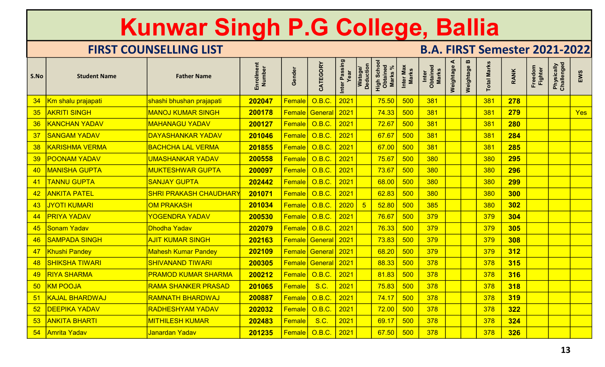|                 |                                 | Kunwar Singh P.G College, Ballia |                      |               |                            |                       |                             |                                                      |                           |                                      |                |             |                    |             |                    |                          |     |
|-----------------|---------------------------------|----------------------------------|----------------------|---------------|----------------------------|-----------------------|-----------------------------|------------------------------------------------------|---------------------------|--------------------------------------|----------------|-------------|--------------------|-------------|--------------------|--------------------------|-----|
|                 |                                 | <b>FIRST COUNSELLING LIST</b>    |                      |               |                            |                       |                             |                                                      |                           | <b>B.A. FIRST Semester 2021-2022</b> |                |             |                    |             |                    |                          |     |
| S.No            | <b>Student Name</b>             | <b>Father Name</b>               | Enrollment<br>Number | Gender        | CATEGORY                   | Inter Passing<br>Year | <b>Deduction</b><br>Watage/ | <b>High School</b><br>Obtained<br>Marks <sup>'</sup> | Inter Max<br><b>Marks</b> | Inter<br>Obtained<br>Marks           | ⋖<br>Weightage | Weightage B | <b>Total Marks</b> | <b>RANK</b> | Freedom<br>Fighter | Physically<br>Challenged | EWS |
| 34              | Km shalu prajapati              | shashi bhushan prajapati         | 202047               | Female        | <b>O.B.C.</b>              | 2021                  |                             | 75.50                                                | 500                       | 381                                  |                |             | 381                | 278         |                    |                          |     |
| 35              | <b>AKRITI SINGH</b>             | <b>MANOJ KUMAR SINGH</b>         | 200178               | Female        | General                    | 2021                  |                             | 74.33                                                | 500                       | 381                                  |                |             | 381                | 279         |                    |                          | Yes |
| 36              | <b>KANCHAN YADAV</b>            | <b>MAHANAGU YADAV</b>            | 200127               | <b>Female</b> | ⊦ <mark>  O.B.C.</mark>    | 2021                  |                             | 72.67                                                | 500                       | 381                                  |                |             | 381                | 280         |                    |                          |     |
| 37              | <b>SANGAM YADAV</b>             | <b>DAYASHANKAR YADAV</b>         | 201046               | <b>Female</b> | <b>O.B.C.</b>              | 2021                  |                             | 67.67                                                | 500                       | 381                                  |                |             | 381                | 284         |                    |                          |     |
| 38              | <b>KARISHMA VERMA</b>           | <b>BACHCHA LAL VERMA</b>         | 201855               | Female        | <b>O.B.C.</b>              | 2021                  |                             | 67.00                                                | 500                       | 381                                  |                |             | 381                | 285         |                    |                          |     |
| 39              | <b>POONAM YADAV</b>             | <b>UMASHANKAR YADAV</b>          | 200558               | Female        | <b>O.B.C.</b>              | 2021                  |                             | 75.67                                                | 500                       | 380                                  |                |             | 380                | 295         |                    |                          |     |
| 40              | <b>MANISHA GUPTA</b>            | <b>MUKTESHWAR GUPTA</b>          | 200097               | <b>Female</b> | O.B.C                      | 2021                  |                             | 73.67                                                | 500                       | 380                                  |                |             | 380                | 296         |                    |                          |     |
| 41              | <b>TANNU GUPTA</b>              | <b>SANJAY GUPTA</b>              | 202442               |               | Female   O.B.C.            | 2021                  |                             | 68.00                                                | 500                       | 380                                  |                |             | 380                | <b>299</b>  |                    |                          |     |
| 42 <sub>2</sub> | <b>ANKITA PATEL</b>             | <b>SHRI PRAKASH CHAUDHARY</b>    | 201071               |               | Female O.B.C. 2021         |                       |                             | 62.83                                                | 500<br><u>, vvv</u>       | 380                                  |                |             | 380                | 300         |                    |                          |     |
|                 | 43 JYOTI KUMARI                 | <b>OM PRAKASH</b>                | 201034               |               | Female O.B.C.              | 2020                  | $-5$                        | 52.80                                                | 500                       | 385                                  |                |             | 380                | 302         |                    |                          |     |
|                 | 44   PRIYA YADAV                | <b>YOGENDRA YADAV</b>            | 200530               |               |                            | $ 2021\rangle$        |                             | 76.67                                                | 500                       | 379                                  |                |             | 379                | 304         |                    |                          |     |
|                 | 45 Sonam Yadav                  | Dhodha Yadav                     | 202079               |               | Female   O.B.C.            | 2021                  |                             | <mark>76.33 500</mark>                               |                           | 379                                  |                |             | 379                | 305         |                    |                          |     |
|                 | 46 SAMPADA SINGH                | <b>AJIT KUMAR SINGH</b>          | 202163               |               | <b>Female General 2021</b> |                       |                             | 73.83                                                | 500                       | 379                                  |                |             | 379                | 308         |                    |                          |     |
|                 | 47 Khushi Pandey                | <b>Mahesh Kumar Pandey</b>       | 202109               |               | <b>Female General</b> 2021 |                       |                             | 68.20                                                | 500                       | 379                                  |                |             | 379                | 312         |                    |                          |     |
| 48              | <b>SHIKSHA TIWARI</b>           | <b>SHIVANAND TIWARI</b>          | 200305               |               | <b>Female General</b> 2021 |                       |                             | 88.33                                                | 500                       | 378                                  |                |             | 378                | 315         |                    |                          |     |
|                 | 49 RIYA SHARMA                  | <b>PRAMOD KUMAR SHARMA</b>       | 200212               |               | Female   O.B.C.            | $ 2021\rangle$        |                             | 81.83                                                | 500                       | 378                                  |                |             | 378                | 316         |                    |                          |     |
| 50 <sub>o</sub> | <b>KM POOJA</b>                 | RAMA SHANKER PRASAD              | 201065               | <b>Female</b> | <b>S.C.</b>                | 2021                  |                             | <mark>75.83</mark> 500                               |                           | 378                                  |                |             | 378                | 318         |                    |                          |     |
|                 | <b>51 KAJAL BHARDWAJ</b>        | <b>RAMNATH BHARDWAJ</b>          | 200887               |               | Female   O.B.C.            | 2021                  |                             | $74.17$ 500                                          |                           | 378                                  |                |             | 378                | 319         |                    |                          |     |
|                 | 52 DEEPIKA YADAV                | <b>RADHESHYAM YADAV</b>          | 202032               |               | Female   O.B.C.            | 2021                  |                             | 72.00                                                | 500                       | 378                                  |                |             | 378                | 322         |                    |                          |     |
| 53 <sub>o</sub> | <b>ANKITA BHARTI</b>            | <b>MITHILESH KUMAR</b>           | 202483               | <b>Female</b> | <b>S.C.</b>                | 2021                  |                             | 69.17                                                | 500                       | 378                                  |                |             | 378                | 324         |                    |                          |     |
|                 | <mark>_54   Amrita Yadav</mark> | <mark>Janardan Yadav</mark>      | 201235               |               | Female   O.B.C.            | 2021                  |                             | 67.50                                                | 500                       | 378                                  |                |             | 378                | 326         |                    |                          |     |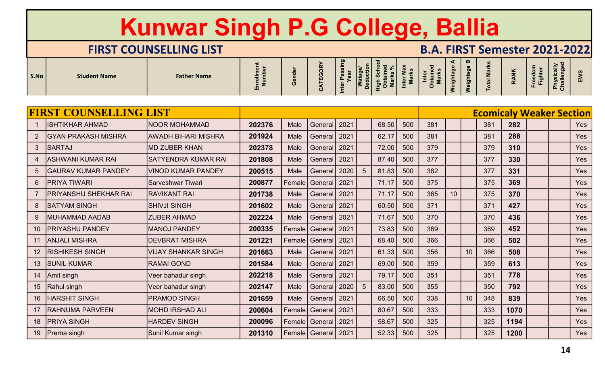# Kunwar Singh P.G College, Ballia FIRST COUNSELLING LIST<br>
FIRST COUNSELLING LIST<br>
Father Name  $\begin{array}{|c|c|c|c|}\hline \text{F+RST} & \text{F+RST} & \text{F+RST} & \text{F+RST} & \text{F+RST} & \text{F+RST} & \text{F+RST} \end{array}$

|                |            | semester    |  |
|----------------|------------|-------------|--|
| m<br>leightage | otal Marks | <b>RANK</b> |  |

|                |                               | Kunwar Singh P.G College, Ballia |                      |              |                         |                       |                      |                                    |                    |                                      |                |                                    |                    |                                 |                    |                          |            |
|----------------|-------------------------------|----------------------------------|----------------------|--------------|-------------------------|-----------------------|----------------------|------------------------------------|--------------------|--------------------------------------|----------------|------------------------------------|--------------------|---------------------------------|--------------------|--------------------------|------------|
|                |                               | <b>FIRST COUNSELLING LIST</b>    |                      |              |                         |                       |                      |                                    |                    | <b>B.A. FIRST Semester 2021-2022</b> |                |                                    |                    |                                 |                    |                          |            |
| S.No           | <b>Student Name</b>           | <b>Father Name</b>               | Enrollment<br>Number | Gender       | CATEGORY                | Inter Passing<br>Year | Watage/<br>Deduction | High School<br>Obtained<br>Marks % | Inter Max<br>Marks | Obtained<br>Marks<br>Inter           | ⋖<br>Weightage | $\boldsymbol{\omega}$<br>Weightage | <b>Total Marks</b> | <b>RANK</b>                     | Freedom<br>Fighter | Physically<br>Challenged | EWS        |
|                | <b>FIRST COUNSELLING LIST</b> |                                  |                      |              |                         |                       |                      |                                    |                    |                                      |                |                                    |                    |                                 |                    |                          |            |
|                | <b>ISHTIKHAR AHMAD</b>        | <b>NOOR MOHAMMAD</b>             | 202376               |              | General                 | 2021                  |                      |                                    | 500                | 381                                  |                |                                    |                    | <b>Ecomicaly Weaker Section</b> |                    |                          |            |
|                | <b>GYAN PRAKASH MISHRA</b>    | <b>AWADH BIHARI MISHRA</b>       | 201924               | Male<br>Male | General                 | 2021                  |                      | 68.50<br>62.17                     | 500                | 381                                  |                |                                    | 381<br>381         | 282<br>288                      |                    |                          | Yes<br>Yes |
| $\mathbf{3}$   | SARTAJ                        | <b>MD ZUBER KHAN</b>             | 202378               | Male         | General                 | 2021                  |                      | 72.00                              | 500                | 379                                  |                |                                    | 379                | 310                             |                    |                          | Yes        |
|                | <b>ASHWANI KUMAR RAI</b>      | <b>SATYENDRA KUMAR RAI</b>       | 201808               | Male         | General                 | 2021                  |                      | 87.40                              | 500                | 377                                  |                |                                    | 377                | 330                             |                    |                          | Yes        |
|                | <b>GAURAV KUMAR PANDEY</b>    | <b>VINOD KUMAR PANDEY</b>        | 200515               | Male         | General                 | 2020                  | 5 <sup>5</sup>       | 81.83                              | 500                | 382                                  |                |                                    | 377                | 331                             |                    |                          | Yes        |
| 6 <sup>1</sup> | <b>PRIYA TIWARI</b>           | <b>Sarveshwar Tiwari</b>         | 200877               | Female       | General                 | 2021                  |                      | 71.17                              | 500                | 375                                  |                |                                    | 375                | 369                             |                    |                          | Yes        |
|                | <b>PRIYANSHU SHEKHAR RAI</b>  | <b>RAVIKANT RAI</b>              | 201738               | Male         | General                 | 2021                  |                      | 71.17                              | 500                | 365                                  | 10             |                                    | 375                | 370                             |                    |                          | Yes        |
|                | <b>SATYAM SINGH</b>           | <b>SHIVJI SINGH</b>              | 201602               | Male         | General                 | 2021                  |                      | 60.50                              | 500                | 371                                  |                |                                    | 371                | 427                             |                    |                          | Yes        |
|                | <b>MUHAMMAD AADAB</b>         | <b>ZUBER AHMAD</b>               | 202224               | Male         | General   2021          |                       |                      | 71.67                              | 500                | 370                                  |                |                                    | 370                | 436                             |                    |                          | Yes        |
| 10             | <b>PRIYASHU PANDEY</b>        | <b>MANOJ PANDEY</b>              | 200335               | Female       | General                 | 2021                  |                      | 73.83                              | 500                | 369                                  |                |                                    | 369                | 452                             |                    |                          | Yes        |
|                | 11 ANJALI MISHRA              | <b>DEVBRAT MISHRA</b>            | 201221               |              | Female   General   2021 |                       |                      | 68.40                              | 500                | 366                                  |                |                                    | 366                | 502                             |                    |                          | Yes        |
|                | 12 RISHIKESH SINGH            | <b>VIJAY SHANKAR SINGH</b>       | 201663               | Male         | General 2021            |                       |                      | 61.33                              | 500                | 356                                  |                | 10                                 | 366                | 508                             |                    |                          | Yes        |
|                | 13 SUNIL KUMAR                | <b>RAMAI GOND</b>                | 201584               | Male         | General   2021          |                       |                      | 69.00                              | 500                | 359                                  |                |                                    | 359                | 613                             |                    |                          | Yes        |
|                | 14 Amit singh                 | Veer bahadur singh               | 202218               | Male         | General 2021            |                       |                      | 79.17                              | 500                | 351                                  |                |                                    | 351                | 778                             |                    |                          | Yes        |
|                | 15   Rahul singh              | Veer bahadur singh               | 202147               | Male         | General   2020          |                       | 5 <sup>5</sup>       | 83.00                              | 500                | 355                                  |                |                                    | 350                | 792                             |                    |                          | Yes        |
|                | 16   HARSHIT SINGH            | <b>PRAMOD SINGH</b>              | 201659               | Male         | General 2021            |                       |                      | 66.50                              | 500                | 338                                  |                | 10                                 | 348                | 839                             |                    |                          | Yes        |
|                | 17 RAHNUMA PARVEEN            | <b>MOHD IRSHAD ALI</b>           | 200604               |              | Female General 2021     |                       |                      | 80.67                              | 500                | 333                                  |                |                                    | 333                | 1070                            |                    |                          | Yes        |
|                | 18   PRIYA SINGH              | <b>HARDEV SINGH</b>              | 200096               |              | Female   General   2021 |                       |                      | 58.67                              | 500                | 325                                  |                |                                    | 325                | 1194                            |                    |                          | Yes        |
|                | 19   Prerna singh             | Sunil Kumar singh                | 201310               |              | Female   General   2021 |                       |                      | 52.33                              | 500                | 325                                  |                |                                    | 325                | 1200                            |                    |                          | Yes        |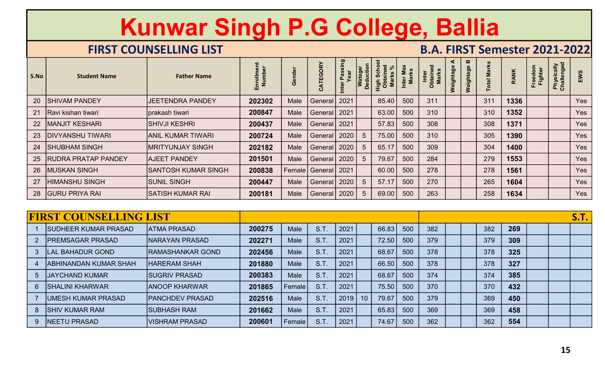|                |                               | Kunwar Singh P.G College, Ballia                    |                      |               |                                         |                       |                            |                                         |                           |                                                                           |                |             |                    |              |                    |                          |             |
|----------------|-------------------------------|-----------------------------------------------------|----------------------|---------------|-----------------------------------------|-----------------------|----------------------------|-----------------------------------------|---------------------------|---------------------------------------------------------------------------|----------------|-------------|--------------------|--------------|--------------------|--------------------------|-------------|
| S.No           | <b>Student Name</b>           | <b>FIRST COUNSELLING LIST</b><br><b>Father Name</b> | Enrollment<br>Number | Gender        | CATEGORY                                | Inter Passing<br>Year | <b>Deduction</b><br>Watago | <b>High Schoon</b><br>Obtained<br>Marks | Inter Max<br><b>Marks</b> | <b>B.A. FIRST Semester 2021-2022</b><br>Inter<br>Obtained<br><b>Marks</b> | ⋖<br>Weightage | Weightage B | <b>Total Marks</b> | <b>RANK</b>  | Freedom<br>Fighter | Physically<br>Challenged | EWS         |
| 20             | <b>SHIVAM PANDEY</b>          | <b>JEETENDRA PANDEY</b>                             | 202302               | Male          | General                                 | 2021                  |                            | 85.40                                   | 500                       | 311                                                                       |                |             | 311                | 1336         |                    |                          | Yes         |
| 21             | Ravi kishan tiwari            | prakash tiwari                                      | 200847               | Male          | General                                 | 2021                  |                            | 63.00                                   | 500                       | 310                                                                       |                |             | 310                | 1352         |                    |                          | Yes         |
| 22             | MANJIT KESHARI                | <b>SHIVJI KESHRI</b>                                | 200437               | Male          | General   2021                          |                       |                            | 57.83                                   | 500                       | 308                                                                       |                |             | 308                | 1371         |                    |                          | Yes         |
| 23             | <b>DIVYANSHU TIWARI</b>       | ANIL KUMAR TIWARI                                   | 200724               | Male          | General                                 | 2020                  | 5                          | 75.00                                   | 500                       | 310                                                                       |                |             | 305                | 1390         |                    |                          | Yes         |
| 24             | <b>SHUBHAM SINGH</b>          | <b>MRITYUNJAY SINGH</b>                             | 202182               | Male          | General                                 | 2020                  | $\sqrt{5}$                 | 65.17                                   | 500                       | 309                                                                       |                |             | 304                | 1400         |                    |                          | Yes         |
| 25             | RUDRA PRATAP PANDEY           | <b>AJEET PANDEY</b>                                 | 201501               | Male          | General <sup>1</sup>                    | 2020                  | $5\overline{)}$            | 79.67                                   | 500                       | 284                                                                       |                |             | 279                | 1553         |                    |                          | Yes         |
| 26             | MUSKAN SINGH                  | <b>SANTOSH KUMAR SINGH</b>                          | 200838               | Female        | General   2021                          |                       |                            | 60.00                                   | 500                       | 278                                                                       |                |             | 278                | 1561         |                    |                          | Yes         |
| 27             | HIMANSHU SINGH                | SUNIL SINGH                                         | 200447               | Male          | General   2020                          |                       | $5\overline{)}$            | 57.17                                   | 500                       | 270                                                                       |                |             | 265                | 1604         |                    |                          | Yes         |
|                | 28 GURU PRIYA RAI             | SATISH KUMAR RAI                                    | 200181               |               | Male   General   2020   5   69.00   500 |                       |                            |                                         |                           | 263                                                                       |                |             |                    | $258$   1634 |                    |                          | Yes         |
|                |                               |                                                     |                      |               |                                         |                       |                            |                                         |                           |                                                                           |                |             |                    |              |                    |                          |             |
|                | <b>FIRST COUNSELLING LIST</b> |                                                     |                      |               |                                         |                       |                            |                                         |                           |                                                                           |                |             |                    |              |                    |                          | <b>S.T.</b> |
|                | <b>SUDHEER KUMAR PRASAD</b>   | <b>ATMA PRASAD</b>                                  | 200275               | Male          | S.T.                                    | 2021                  |                            | 66.83                                   | 500                       | 382                                                                       |                |             | 382                | 269          |                    |                          |             |
| $\overline{2}$ | <b>PREMSAGAR PRASAD</b>       | <b>NARAYAN PRASAD</b>                               | 202271               | Male          | S.T.                                    | 2021                  |                            | 72.50                                   | 500                       | 379                                                                       |                |             | 379                | 309          |                    |                          |             |
| 3 <sup>2</sup> | <b>LAL BAHADUR GOND</b>       | <b>RAMASHANKAR GOND</b>                             | 202456               | Male          | S.T.                                    | 2021                  |                            | 68.67                                   | 500                       | 378                                                                       |                |             | 378                | 325          |                    |                          |             |
|                | <b>ABHINANDAN KUMAR SHAH</b>  | <b>HARERAM SHAH</b>                                 | 201880               | Male          | S.T.                                    | 2021                  |                            | 66.50                                   | 500                       | 378                                                                       |                |             | 378                | 327          |                    |                          |             |
|                | 5 JAYCHAND KUMAR              | <b>SUGRIV PRASAD</b>                                | 200383               | Male          | <b>S.T.</b>                             | 2021                  |                            | 68.67                                   | 500                       | 374                                                                       |                |             | 374                | 385          |                    |                          |             |
| 6 <sup>1</sup> | <b>SHALINI KHARWAR</b>        | <b>ANOOP KHARWAR</b>                                | 201865               | <b>Female</b> | S.T.                                    | 2021                  |                            | 75.50                                   | 500                       | 370                                                                       |                |             | 370                | 432          |                    |                          |             |
|                | UMESH KUMAR PRASAD            | <b>PANCHDEV PRASAD</b>                              | 202516               | Male          | S.T.                                    | 2019                  | 10                         | 79.67                                   | 500                       | 379                                                                       |                |             | 369                | 450          |                    |                          |             |

| 22             | <b>MANJIT KESHARI</b>         | <b>SHIVJI KESHRI</b>       | 200437 | Male   | General   2021 |      |                 | 57.83 | 500 | 308 |  | 308 | 1371 | Yes         |
|----------------|-------------------------------|----------------------------|--------|--------|----------------|------|-----------------|-------|-----|-----|--|-----|------|-------------|
| 23             | <b>DIVYANSHU TIWARI</b>       | <b>ANIL KUMAR TIWARI</b>   | 200724 | Male   | General        | 2020 | $5\phantom{.0}$ | 75.00 | 500 | 310 |  | 305 | 1390 | Yes         |
| 24             | <b>SHUBHAM SINGH</b>          | <b>MRITYUNJAY SINGH</b>    | 202182 | Male   | General        | 2020 | $5\phantom{.0}$ | 65.17 | 500 | 309 |  | 304 | 1400 | Yes         |
| 25             | <b>IRUDRA PRATAP PANDEY</b>   | <b>AJEET PANDEY</b>        | 201501 | Male   | General        | 2020 | $5\overline{)}$ | 79.67 | 500 | 284 |  | 279 | 1553 | Yes         |
| 26             | <b>IMUSKAN SINGH</b>          | <b>SANTOSH KUMAR SINGH</b> | 200838 |        | Female General | 2021 |                 | 60.00 | 500 | 278 |  | 278 | 1561 | Yes         |
| 27             | <b>HIMANSHU SINGH</b>         | <b>SUNIL SINGH</b>         | 200447 | Male   | General        | 2020 | $5\phantom{.0}$ | 57.17 | 500 | 270 |  | 265 | 1604 | Yes         |
| 28             | <b>GURU PRIYA RAI</b>         | <b>SATISH KUMAR RAI</b>    | 200181 | Male   | General   2020 |      | $5\overline{)}$ | 69.00 | 500 | 263 |  | 258 | 1634 | Yes         |
|                |                               |                            |        |        |                |      |                 |       |     |     |  |     |      |             |
|                | <b>FIRST COUNSELLING LIST</b> |                            |        |        |                |      |                 |       |     |     |  |     |      | <b>S.T.</b> |
|                | <b>SUDHEER KUMAR PRASAD</b>   | <b>ATMA PRASAD</b>         | 200275 | Male   | S.T.           | 2021 |                 | 66.83 | 500 | 382 |  | 382 | 269  |             |
|                | <b>PREMSAGAR PRASAD</b>       | <b>NARAYAN PRASAD</b>      | 202271 | Male   | S.T.           | 2021 |                 | 72.50 | 500 | 379 |  | 379 | 309  |             |
|                | <b>LAL BAHADUR GOND</b>       | <b>RAMASHANKAR GOND</b>    | 202456 | Male   | S.T.           | 2021 |                 | 68.67 | 500 | 378 |  | 378 | 325  |             |
|                | <b>ABHINANDAN KUMAR SHAH</b>  | <b>HARERAM SHAH</b>        | 201880 | Male   | S.T.           | 2021 |                 | 66.50 | 500 | 378 |  | 378 | 327  |             |
| 5 <sup>5</sup> | <b>JAYCHAND KUMAR</b>         | <b>SUGRIV PRASAD</b>       | 200383 | Male   | S.T.           | 2021 |                 | 68.67 | 500 | 374 |  | 374 | 385  |             |
| 6 <sup>1</sup> | <b>SHALINI KHARWAR</b>        | <b>ANOOP KHARWAR</b>       | 201865 | Female | <b>S.T.</b>    | 2021 |                 | 75.50 | 500 | 370 |  | 370 | 432  |             |
|                | UMESH KUMAR PRASAD            | <b>PANCHDEV PRASAD</b>     | 202516 | Male   | <b>S.T.</b>    | 2019 | 10              | 79.67 | 500 | 379 |  | 369 | 450  |             |
| 8              | <b>SHIV KUMAR RAM</b>         | <b>SUBHASH RAM</b>         | 201662 | Male   | S.T.           | 2021 |                 | 65.83 | 500 | 369 |  | 369 | 458  |             |
| 9 <sup>°</sup> | <b>NEETU PRASAD</b>           | <b>VISHRAM PRASAD</b>      | 200601 | Female | <b>S.T.</b>    | 2021 |                 | 74.67 | 500 | 362 |  | 362 | 554  |             |
|                |                               |                            |        |        |                |      |                 |       |     |     |  |     |      |             |
|                |                               |                            |        |        |                |      |                 |       |     |     |  |     |      | 15          |
|                |                               |                            |        |        |                |      |                 |       |     |     |  |     |      |             |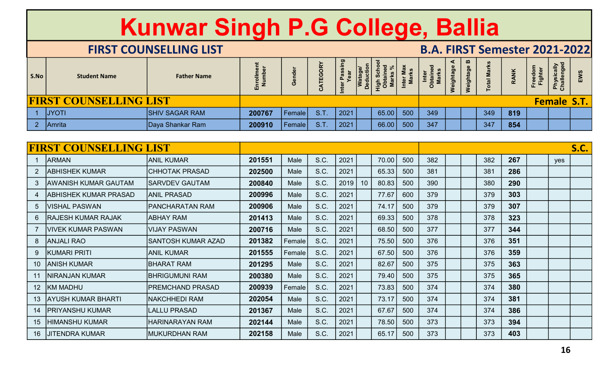|                |                               | Kunwar Singh P.G College, Ballia |                      |        |             |                       |                      |                                    |                    |                                      |                               |                    |      |                    |                          |             |
|----------------|-------------------------------|----------------------------------|----------------------|--------|-------------|-----------------------|----------------------|------------------------------------|--------------------|--------------------------------------|-------------------------------|--------------------|------|--------------------|--------------------------|-------------|
|                |                               | <b>FIRST COUNSELLING LIST</b>    |                      |        |             |                       |                      |                                    |                    | <b>B.A. FIRST Semester 2021-2022</b> |                               |                    |      |                    |                          |             |
| S.No           | <b>Student Name</b>           | <b>Father Name</b>               | Enrollment<br>Number | Gender | CATEGORY    | Inter Passing<br>Year | Watage/<br>Deduction | High School<br>Obtained<br>Marks % | Inter Max<br>Marks | Inter<br>Obtained<br>Marks           | ⋖<br>Weightage B<br>Weightage | <b>Total Marks</b> | RANK | Freedom<br>Fighter | Physically<br>Challenged | EWS         |
|                | <b>FIRST COUNSELLING LIST</b> |                                  |                      |        |             |                       |                      |                                    |                    |                                      |                               |                    |      |                    | <b>Female S.T.</b>       |             |
|                | 1 JYOTI                       | <b>SHIV SAGAR RAM</b>            | 200767               | Female | <b>S.T.</b> | 2021                  |                      | 65.00                              | 500                | 349                                  |                               | 349                | 819  |                    |                          |             |
|                | 2 Amrita                      | Daya Shankar Ram                 | 200910               | Female | S.T.        | 2021                  |                      | 66.00                              | 500                | 347                                  |                               | 347                | 854  |                    |                          |             |
|                | <b>FIRST COUNSELLING LIST</b> |                                  |                      |        |             |                       |                      |                                    |                    |                                      |                               |                    |      |                    |                          | <b>S.C.</b> |
|                | <b>ARMAN</b>                  | <b>ANIL KUMAR</b>                | 201551               | Male   | S.C.        | 2021                  |                      | 70.00                              | 500                | 382                                  |                               | 382                | 267  |                    | yes                      |             |
| 2 <sup>7</sup> | <b>ABHISHEK KUMAR</b>         | <b>CHHOTAK PRASAD</b>            | 202500               | Male   | S.C.        | 2021                  |                      | 65.33                              | 500                | 381                                  |                               | 381                | 286  |                    |                          |             |
| 3 <sup>5</sup> | <b>AWANISH KUMAR GAUTAM</b>   | <b>SARVDEV GAUTAM</b>            | 200840               | Male   | S.C.        | 2019                  | 10                   | 80.83                              | 500                | 390                                  |                               | 380                | 290  |                    |                          |             |
|                | <b>ABHISHEK KUMAR PRASAD</b>  | <b>ANIL PRASAD</b>               | 200996               | Male   | S.C.        | 2021                  |                      | 77.67                              | 600                | 379                                  |                               | 379                | 303  |                    |                          |             |
| 5 <sup>5</sup> | <b>VISHAL PASWAN</b>          | <b>PANCHARATAN RAM</b>           | 200906               | Male   | S.C.        | 2021                  |                      | 74.17                              | 500                | 379                                  |                               | 379                | 307  |                    |                          |             |

|                 |                               | Nullwal Əliiğli F.G College, Dalila |                      |        |             |                       |                      |                                               |                           |                            |           |             |                    |                                      |                    |                          |             |
|-----------------|-------------------------------|-------------------------------------|----------------------|--------|-------------|-----------------------|----------------------|-----------------------------------------------|---------------------------|----------------------------|-----------|-------------|--------------------|--------------------------------------|--------------------|--------------------------|-------------|
|                 |                               | <b>FIRST COUNSELLING LIST</b>       |                      |        |             |                       |                      |                                               |                           |                            |           |             |                    | <b>B.A. FIRST Semester 2021-2022</b> |                    |                          |             |
| S.No            | <b>Student Name</b>           | <b>Father Name</b>                  | Enrollment<br>Number | Gender | CATEGORY    | Inter Passing<br>Year | Watage/<br>Deduction | High School<br>Obtained<br>Marks <sup>'</sup> | Inter Max<br><b>Marks</b> | Obtained<br>Marks<br>Inter | Weightage | Weightage B | <b>Total Marks</b> | <b>RANK</b>                          | Freedom<br>Fighter | Physically<br>Challenged | EWS         |
|                 | <b>FIRST COUNSELLING LIST</b> |                                     |                      |        |             |                       |                      |                                               |                           |                            |           |             |                    |                                      |                    | <b>Female</b>            | <b>S.T.</b> |
| $\overline{1}$  | <b>JYOTI</b>                  | <b>SHIV SAGAR RAM</b>               | 200767               | Female | <b>S.T.</b> | 2021                  |                      | 65.00                                         | 500                       | 349                        |           |             | 349                | 819                                  |                    |                          |             |
| $\mathbf{2}$    | Amrita                        | Daya Shankar Ram                    | 200910               | Female | <b>S.T.</b> | 2021                  |                      | 66.00                                         | 500                       | 347                        |           |             | 347                | 854                                  |                    |                          |             |
|                 |                               |                                     |                      |        |             |                       |                      |                                               |                           |                            |           |             |                    |                                      |                    |                          |             |
|                 | <b>FIRST COUNSELLING LIST</b> |                                     |                      |        |             |                       |                      |                                               |                           |                            |           |             |                    |                                      |                    |                          | <b>S.C.</b> |
|                 | <b>ARMAN</b>                  | <b>ANIL KUMAR</b>                   | 201551               | Male   | S.C.        | 2021                  |                      | 70.00                                         | 500                       | 382                        |           |             | 382                | 267                                  |                    | yes                      |             |
| $\overline{2}$  | <b>ABHISHEK KUMAR</b>         | <b>CHHOTAK PRASAD</b>               | 202500               | Male   | S.C.        | 2021                  |                      | 65.33                                         | 500                       | 381                        |           |             | 381                | 286                                  |                    |                          |             |
| 3               | <b>AWANISH KUMAR GAUTAM</b>   | <b>SARVDEV GAUTAM</b>               | 200840               | Male   | S.C.        | 2019                  | 10                   | 80.83                                         | 500                       | 390                        |           |             | 380                | 290                                  |                    |                          |             |
|                 | <b>ABHISHEK KUMAR PRASAD</b>  | <b>ANIL PRASAD</b>                  | 200996               | Male   | S.C.        | 2021                  |                      | 77.67                                         | 600                       | 379                        |           |             | 379                | 303                                  |                    |                          |             |
| 5               | <b>VISHAL PASWAN</b>          | <b>PANCHARATAN RAM</b>              | 200906               | Male   | S.C.        | 2021                  |                      | 74.17                                         | 500                       | 379                        |           |             | 379                | 307                                  |                    |                          |             |
| 6               | <b>RAJESH KUMAR RAJAK</b>     | <b>ABHAY RAM</b>                    | 201413               | Male   | S.C.        | 2021                  |                      | 69.33                                         | 500                       | 378                        |           |             | 378                | 323                                  |                    |                          |             |
|                 | <b>VIVEK KUMAR PASWAN</b>     | <b>VIJAY PASWAN</b>                 | 200716               | Male   | S.C.        | 2021                  |                      | 68.50                                         | 500                       | 377                        |           |             | 377                | 344                                  |                    |                          |             |
| 8               | <b>ANJALI RAO</b>             | <b>SANTOSH KUMAR AZAD</b>           | 201382               | Female | S.C.        | 2021                  |                      | 75.50                                         | 500                       | 376                        |           |             | 376                | 351                                  |                    |                          |             |
|                 | <b>KUMARI PRITI</b>           | <b>ANIL KUMAR</b>                   | 201555               | Female | S.C.        | 2021                  |                      | 67.50                                         | 500                       | 376                        |           |             | 376                | 359                                  |                    |                          |             |
|                 | <b>ANISH KUMAR</b>            | <b>BHARAT RAM</b>                   | 201295               | Male   | S.C.        | 2021                  |                      | 82.67                                         | 500                       | 375                        |           |             | 375                | 363                                  |                    |                          |             |
|                 | <b>NIRANJAN KUMAR</b>         | <b>BHRIGUMUNI RAM</b>               | 200380               | Male   | S.C.        | 2021                  |                      | 79.40                                         | 500                       | 375                        |           |             | 375                | 365                                  |                    |                          |             |
| 12              | <b>KM MADHU</b>               | <b>PREMCHAND PRASAD</b>             | 200939               | Female | S.C.        | 2021                  |                      | 73.83                                         | 500                       | 374                        |           |             | 374                | 380                                  |                    |                          |             |
|                 | <b>AYUSH KUMAR BHARTI</b>     | NAKCHHEDI RAM                       | 202054               | Male   | S.C.        | 2021                  |                      | 73.17                                         | 500                       | 374                        |           |             | 374                | 381                                  |                    |                          |             |
|                 | 14   PRIYANSHU KUMAR          | <b>LALLU PRASAD</b>                 | 201367               | Male   | S.C.        | 2021                  |                      | 67.67                                         | 500                       | 374                        |           |             | 374                | 386                                  |                    |                          |             |
| 15 <sup>2</sup> | HIMANSHU KUMAR                | <b>HARINARAYAN RAM</b>              | 202144               | Male   | S.C.        | 2021                  |                      | 78.50                                         | 500                       | 373                        |           |             | 373                | 394                                  |                    |                          |             |
| 16              | <b>JITENDRA KUMAR</b>         | MUKURDHAN RAM                       | 202158               | Male   | S.C.        | 2021                  |                      | 65.17                                         | 500                       | 373                        |           |             | 373                | 403                                  |                    |                          |             |
|                 |                               |                                     |                      |        |             |                       |                      |                                               |                           |                            |           |             |                    |                                      |                    | <b>16</b>                |             |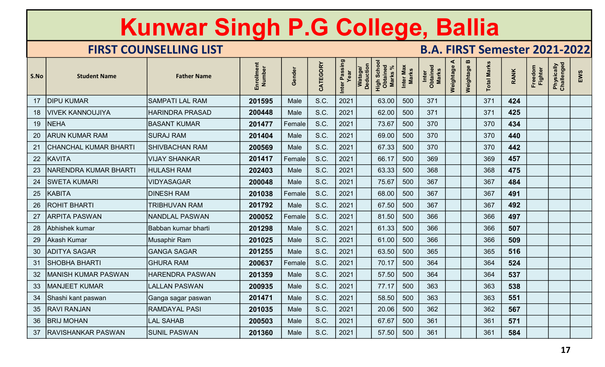|                 |                              | Kunwar Singh P.G College, Ballia |                      |        |          |                       |                      |                                              |                           |                                      |                |                |                    |             |                    |                          |     |
|-----------------|------------------------------|----------------------------------|----------------------|--------|----------|-----------------------|----------------------|----------------------------------------------|---------------------------|--------------------------------------|----------------|----------------|--------------------|-------------|--------------------|--------------------------|-----|
|                 |                              | <b>FIRST COUNSELLING LIST</b>    |                      |        |          |                       |                      |                                              |                           | <b>B.A. FIRST Semester 2021-2022</b> |                |                |                    |             |                    |                          |     |
| S.No            | <b>Student Name</b>          | <b>Father Name</b>               | Enrollment<br>Number | Gender | CATEGORY | Inter Passing<br>Year | Watage/<br>Deduction | High Schoc<br>Obtained<br>Marks <sup>q</sup> | Inter Max<br><b>Marks</b> | Inter<br>Obtained<br>Marks           | ⋖<br>Weightage | m<br>Weightage | <b>Total Marks</b> | <b>RANK</b> | Freedom<br>Fighter | Physically<br>Challenged | EWS |
| 17              | <b>DIPU KUMAR</b>            | <b>SAMPATI LAL RAM</b>           | 201595               | Male   | S.C.     | 2021                  |                      | 63.00                                        | 500                       | 371                                  |                |                | 371                | 424         |                    |                          |     |
| 18              | VIVEK KANNOUJIYA             | <b>HARINDRA PRASAD</b>           | 200448               | Male   | S.C.     | 2021                  |                      | 62.00                                        | 500                       | 371                                  |                |                | 371                | 425         |                    |                          |     |
| 19              | <b>NEHA</b>                  | <b>BASANT KUMAR</b>              | 201477               | Female | S.C.     | 2021                  |                      | 73.67                                        | 500                       | 370                                  |                |                | 370                | 434         |                    |                          |     |
| 20              | <b>ARUN KUMAR RAM</b>        | <b>SURAJ RAM</b>                 | 201404               | Male   | S.C.     | 2021                  |                      | 69.00                                        | 500                       | 370                                  |                |                | 370                | 440         |                    |                          |     |
| 21              | <b>CHANCHAL KUMAR BHARTI</b> | <b>SHIVBACHAN RAM</b>            | 200569               | Male   | S.C.     | 2021                  |                      | 67.33                                        | 500                       | 370                                  |                |                | 370                | 442         |                    |                          |     |
| 22              | <b>KAVITA</b>                | VIJAY SHANKAR                    | 201417               | Female | S.C.     | 2021                  |                      | 66.17                                        | 500                       | 369                                  |                |                | 369                | 457         |                    |                          |     |
| 23              | NARENDRA KUMAR BHARTI        | <b>HULASH RAM</b>                | 202403               | Male   | S.C.     | 2021                  |                      | 63.33                                        | 500                       | 368                                  |                |                | 368                | 475         |                    |                          |     |
| 24              | <b>SWETA KUMARI</b>          | <b>VIDYASAGAR</b>                | 200048               | Male   | S.C.     | 2021                  |                      | 75.67                                        | <b>500</b>                | 367                                  |                |                | 367                | 484         |                    |                          |     |
| 25              | KABITA                       | <b>DINESH RAM</b>                | 201038               | Female | S.C.     | 2021                  |                      | 68.00                                        | 500                       | 367                                  |                |                | 367                | 491         |                    |                          |     |
| 26              | <b>ROHIT BHARTI</b>          | <b>TRIBHUVAN RAM</b>             | 201792               | Male   | S.C.     | 2021                  |                      | 67.50                                        | 500                       | 367                                  |                |                | 367                | 492         |                    |                          |     |
| 27              | <b>ARPITA PASWAN</b>         | <b>NANDLAL PASWAN</b>            | 200052               | Female | S.C.     | 2021                  |                      | 81.50                                        | 500                       | 366                                  |                |                | 366                | 497         |                    |                          |     |
| 28              | Abhishek kumar               | Babban kumar bharti              | 201298               | Male   | S.C.     | 2021                  |                      | 61.33                                        | 500                       | 366                                  |                |                | 366                | 507         |                    |                          |     |
| 29              | Akash Kumar                  | Musaphir Ram                     | 201025               | Male   | S.C.     | 2021                  |                      | 61.00                                        | 500                       | 366                                  |                |                | 366                | 509         |                    |                          |     |
| 30 <sup>°</sup> | <b>ADITYA SAGAR</b>          | <b>GANGA SAGAR</b>               | 201255               | Male   | S.C.     | 2021                  |                      | 63.50                                        | 500                       | 365                                  |                |                | 365                | 516         |                    |                          |     |
| 31              | SHOBHA BHARTI                | <b>GHURA RAM</b>                 | 200637               | Female | S.C.     | 2021                  |                      | 70.17                                        | 500                       | 364                                  |                |                | 364                | 524         |                    |                          |     |
| 32 <sup>2</sup> | MANISH KUMAR PASWAN          | <b>HARENDRA PASWAN</b>           | 201359               | Male   | S.C.     | 2021                  |                      | 57.50                                        | 500                       | 364                                  |                |                | 364                | 537         |                    |                          |     |
| 33              | MANJEET KUMAR                | <b>LALLAN PASWAN</b>             | 200935               | Male   | S.C.     | 2021                  |                      | 77.17                                        | 500                       | 363                                  |                |                | 363                | 538         |                    |                          |     |
| 34              | Shashi kant paswan           | Ganga sagar paswan               | 201471               | Male   | S.C.     | 2021                  |                      | 58.50                                        | 500                       | 363                                  |                |                | 363                | 551         |                    |                          |     |
|                 | 35   RAVI RANJAN             | <b>RAMDAYAL PASI</b>             | 201035               | Male   | S.C.     | 2021                  |                      | 20.06                                        | 500                       | 362                                  |                |                | 362                | 567         |                    |                          |     |
| 36              | <b>BRIJ MOHAN</b>            | <b>LAL SAHAB</b>                 | 200503               | Male   | S.C.     | 2021                  |                      | 67.67                                        | 500                       | 361                                  |                |                | 361                | 571         |                    |                          |     |
|                 | 37   RAVISHANKAR PASWAN      | <b>SUNIL PASWAN</b>              | 201360               | Male   | S.C.     | 2021                  |                      | 57.50                                        | 500                       | 361                                  |                |                | 361                | 584         |                    |                          |     |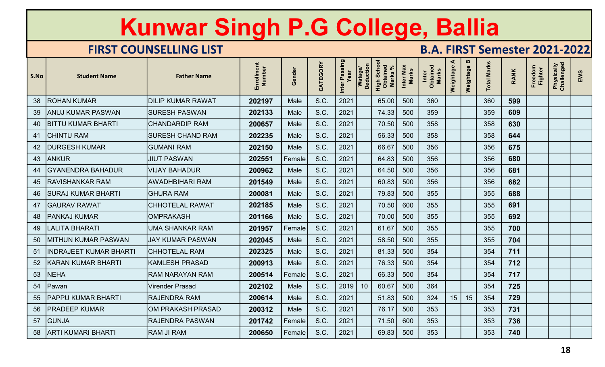|      |                               | <b>Kunwar Singh P.G College, Ballia</b> |                      |               |          |                       |                             |                                                |                           |                                      |                |             |                    |             |                    |                          |     |
|------|-------------------------------|-----------------------------------------|----------------------|---------------|----------|-----------------------|-----------------------------|------------------------------------------------|---------------------------|--------------------------------------|----------------|-------------|--------------------|-------------|--------------------|--------------------------|-----|
|      |                               | <b>FIRST COUNSELLING LIST</b>           |                      |               |          |                       |                             |                                                |                           | <b>B.A. FIRST Semester 2021-2022</b> |                |             |                    |             |                    |                          |     |
| S.No | <b>Student Name</b>           | <b>Father Name</b>                      | Enrollment<br>Number | Gender        | CATEGORY | Inter Passing<br>Year | <b>Deduction</b><br>Watage/ | <b>High Schoon</b><br>Obtained<br><b>Marks</b> | Inter Max<br><b>Marks</b> | Inter<br>Obtained<br>Marks           | ⋖<br>Weightage | Weightage B | <b>Total Marks</b> | <b>RANK</b> | Freedom<br>Fighter | Physically<br>Challenged | EWS |
| 38   | <b>ROHAN KUMAR</b>            | <b>DILIP KUMAR RAWAT</b>                | 202197               | Male          | S.C.     | 2021                  |                             | 65.00                                          | 500                       | 360                                  |                |             | 360                | 599         |                    |                          |     |
| 39   | <b>ANUJ KUMAR PASWAN</b>      | <b>SURESH PASWAN</b>                    | 202133               | Male          | S.C.     | 2021                  |                             | 74.33                                          | 500                       | 359                                  |                |             | 359                | 609         |                    |                          |     |
| 40   | <b>BITTU KUMAR BHARTI</b>     | <b>CHANDARDIP RAM</b>                   | 200657               | Male          | S.C.     | 2021                  |                             | 70.50                                          | 500                       | 358                                  |                |             | 358                | 630         |                    |                          |     |
| 41   | <b>CHINTU RAM</b>             | <b>SURESH CHAND RAM</b>                 | 202235               | Male          | S.C.     | 2021                  |                             | 56.33                                          | 500                       | 358                                  |                |             | 358                | 644         |                    |                          |     |
| 42   | <b>DURGESH KUMAR</b>          | <b>GUMANI RAM</b>                       | 202150               | Male          | S.C.     | 2021                  |                             | 66.67                                          | 500                       | 356                                  |                |             | 356                | 675         |                    |                          |     |
| 43   | <b>ANKUR</b>                  | <b>JIUT PASWAN</b>                      | 202551               | Female        | S.C.     | 2021                  |                             | 64.83                                          | 500                       | 356                                  |                |             | 356                | 680         |                    |                          |     |
| 44   | <b>GYANENDRA BAHADUR</b>      | VIJAY BAHADUR                           | 200962               | Male          | S.C.     | 2021                  |                             | 64.50                                          | 500                       | 356                                  |                |             | 356                | 681         |                    |                          |     |
| 45   | <b>RAVISHANKAR RAM</b>        | <b>AWADHBIHARI RAM</b>                  | 201549               | Male          | S.C.     | 2021                  |                             | 60.83                                          | 500                       | 356                                  |                |             | 356                | 682         |                    |                          |     |
|      | 46 SURAJ KUMAR BHARTI         | <b>GHURA RAM</b>                        | 200081               | Male          | S.C.     | 2021                  |                             | 79.83                                          | 500                       | 355                                  |                |             | 355                | 688         |                    |                          |     |
| 47   | <b>GAURAV RAWAT</b>           | CHHOTELAL RAWAT                         | 202185               | Male          | S.C.     | 2021                  |                             | 70.50                                          | 600                       | 355                                  |                |             | 355                | 691         |                    |                          |     |
|      | 48   PANKAJ KUMAR             | <b>OMPRAKASH</b>                        | 201166               | Male          | S.C.     | 2021                  |                             | 70.00                                          | 500                       | 355                                  |                |             | 355                | 692         |                    |                          |     |
| 49   | LALITA BHARATI                | <b>UMA SHANKAR RAM</b>                  | 201957               | Female        | S.C.     | 2021                  |                             | 61.67                                          | 500                       | 355                                  |                |             | 355                | 700         |                    |                          |     |
|      | 50 MITHUN KUMAR PASWAN        | <b>JAY KUMAR PASWAN</b>                 | 202045               | Male          | S.C.     | 2021                  |                             | 58.50                                          | 500                       | 355                                  |                |             | 355                | 704         |                    |                          |     |
| 51   | <b>INDRAJEET KUMAR BHARTI</b> | <b>CHHOTELAL RAM</b>                    | 202325               | Male          | S.C.     | 2021                  |                             | 81.33                                          | 500                       | 354                                  |                |             | 354                | 711         |                    |                          |     |
| 52   | KARAN KUMAR BHARTI            | <b>KAMLESH PRASAD</b>                   | 200913               | Male          | S.C.     | 2021                  |                             | 76.33                                          | 500                       | 354                                  |                |             | 354                | 712         |                    |                          |     |
| 53   | <b>NEHA</b>                   | <b>RAM NARAYAN RAM</b>                  | 200514               | Female        | S.C.     | 2021                  |                             | 66.33                                          | 500                       | 354                                  |                |             | 354                | 717         |                    |                          |     |
| 54   | Pawan                         | <b>Virender Prasad</b>                  | 202102               | Male          | S.C.     | 2019                  | 10                          | 60.67                                          | 500                       | 364                                  |                |             | 354                | 725         |                    |                          |     |
| 55   | <b>PAPPU KUMAR BHARTI</b>     | RAJENDRA RAM                            | 200614               | Male          | S.C.     | 2021                  |                             | 51.83                                          | 500                       | 324                                  | 15             | 15          | 354                | 729         |                    |                          |     |
| 56   | <b>PRADEEP KUMAR</b>          | OM PRAKASH PRASAD                       | 200312               | Male          | S.C.     | 2021                  |                             | 76.17                                          | 500                       | 353                                  |                |             | 353                | 731         |                    |                          |     |
| 57   | <b>GUNJA</b>                  | <b>RAJENDRA PASWAN</b>                  | 201742               | <b>Female</b> | S.C.     | 2021                  |                             | 71.50                                          | 600                       | 353                                  |                |             | 353                | 736         |                    |                          |     |
|      | 58   ARTI KUMARI BHARTI       | <b>RAM JI RAM</b>                       | 200650               | Female        | S.C.     | 2021                  |                             | 69.83                                          | 500                       | 353                                  |                |             | 353                | 740         |                    |                          |     |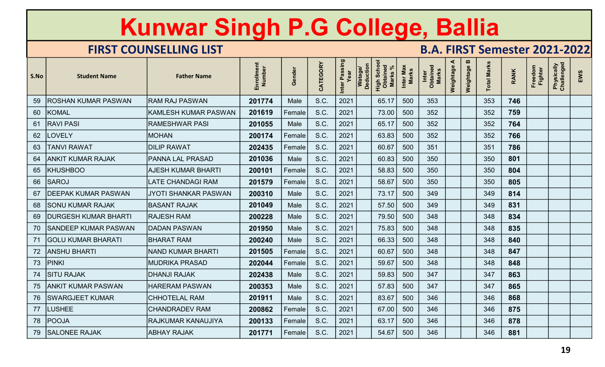|      |                            | <b>Kunwar Singh P.G College, Ballia</b> |                      |               |          |                       |                                    |                                        |                           |                                      |                |                |                    |             |                    |                          |     |
|------|----------------------------|-----------------------------------------|----------------------|---------------|----------|-----------------------|------------------------------------|----------------------------------------|---------------------------|--------------------------------------|----------------|----------------|--------------------|-------------|--------------------|--------------------------|-----|
|      |                            | <b>FIRST COUNSELLING LIST</b>           |                      |               |          |                       |                                    |                                        |                           | <b>B.A. FIRST Semester 2021-2022</b> |                |                |                    |             |                    |                          |     |
| S.No | <b>Student Name</b>        | <b>Father Name</b>                      | Enrollment<br>Number | Gender        | CATEGORY | Inter Passing<br>Year | <b>Deduction</b><br><b>Watage/</b> | High Schoo<br>Obtained<br><b>Marks</b> | Inter Max<br><b>Marks</b> | Inter<br>Obtained<br><b>Marks</b>    | ⋖<br>Weightage | m<br>Weightage | <b>Total Marks</b> | <b>RANK</b> | Freedom<br>Fighter | Physically<br>Challenged | EWS |
| 59   | ROSHAN KUMAR PASWAN        | <b>RAM RAJ PASWAN</b>                   | 201774               | Male          | S.C.     | 2021                  |                                    | 65.17                                  | 500                       | 353                                  |                |                | 353                | 746         |                    |                          |     |
| 60   | <b>KOMAL</b>               | <b>KAMLESH KUMAR PASWAN</b>             | 201619               | Female        | S.C.     | 2021                  |                                    | 73.00                                  | 500                       | 352                                  |                |                | 352                | 759         |                    |                          |     |
| 61   | <b>RAVI PASI</b>           | <b>RAMESHWAR PASI</b>                   | 201055               | Male          | S.C.     | 2021                  |                                    | 65.17                                  | 500                       | 352                                  |                |                | 352                | 764         |                    |                          |     |
| 62   | <b>LOVELY</b>              | <b>MOHAN</b>                            | 200174               | Female        | S.C.     | 2021                  |                                    | 63.83                                  | 500                       | 352                                  |                |                | 352                | 766         |                    |                          |     |
| 63   | <b>TANVI RAWAT</b>         | <b>DILIP RAWAT</b>                      | 202435               | Female        | S.C.     | 2021                  |                                    | 60.67                                  | 500                       | 351                                  |                |                | 351                | 786         |                    |                          |     |
| 64   | ANKIT KUMAR RAJAK          | PANNA LAL PRASAD                        | 201036               | Male          | S.C.     | 2021                  |                                    | 60.83                                  | 500                       | 350                                  |                |                | 350                | 801         |                    |                          |     |
| 65   | <b>KHUSHBOO</b>            | <b>AJESH KUMAR BHARTI</b>               | 200101               | Female        | S.C.     | 2021                  |                                    | 58.83                                  | 500                       | 350                                  |                |                | 350                | 804         |                    |                          |     |
| 66   | <b>SAROJ</b>               | <b>LATE CHANDAGI RAM</b>                | 201579               | Female        | S.C.     | 2021                  |                                    | 58.67                                  | 500                       | 350                                  |                |                | 350                | 805         |                    |                          |     |
| 67   | <b>DEEPAK KUMAR PASWAN</b> | JYOTI SHANKAR PASWAN                    | 200310               | Male          | S.C.     | 2021                  |                                    | 73.17                                  | 500                       | 349                                  |                |                | 349                | 814         |                    |                          |     |
|      | 68 SONU KUMAR RAJAK        | <b>BASANT RAJAK</b>                     | 201049               | Male          | S.C.     | 2021                  |                                    | 57.50                                  | 500                       | 349                                  |                |                | 349                | 831         |                    |                          |     |
|      | 69   DURGESH KUMAR BHARTI  | <b>RAJESH RAM</b>                       | 200228               | Male          | S.C.     | 2021                  |                                    | 79.50                                  | 500                       | 348                                  |                |                | 348                | 834         |                    |                          |     |
|      | 70 SANDEEP KUMAR PASWAN    | DADAN PASWAN                            | 201950               | Male          | S.C.     | 2021                  |                                    | 75.83                                  | 500                       | 348                                  |                |                | 348                | 835         |                    |                          |     |
|      | 71   GOLU KUMAR BHARATI    | <b>BHARAT RAM</b>                       | 200240               | Male          | S.C.     | 2021                  |                                    | 66.33                                  | 500                       | 348                                  |                |                | 348                | 840         |                    |                          |     |
|      | 72   ANSHU BHARTI          | <b>NAND KUMAR BHARTI</b>                | 201505               | Female        | S.C.     | 2021                  |                                    | 60.67                                  | 500                       | 348                                  |                |                | 348                | 847         |                    |                          |     |
|      | 73 PINKI                   | <b>MUDRIKA PRASAD</b>                   | 202044               | <b>Female</b> | S.C.     | 2021                  |                                    | 59.67                                  | 500                       | 348                                  |                |                | 348                | 848         |                    |                          |     |
|      | 74 SITU RAJAK              | <b>DHANJI RAJAK</b>                     | 202438               | Male          | S.C.     | 2021                  |                                    | 59.83                                  | 500                       | 347                                  |                |                | 347                | 863         |                    |                          |     |
|      | 75   ANKIT KUMAR PASWAN    | <b>HARERAM PASWAN</b>                   | 200353               | Male          | S.C.     | 2021                  |                                    | 57.83                                  | 500                       | 347                                  |                |                | 347                | 865         |                    |                          |     |
|      | 76   SWARGJEET KUMAR       | <b>CHHOTELAL RAM</b>                    | 201911               | Male          | S.C.     | 2021                  |                                    | 83.67                                  | 500                       | 346                                  |                |                | 346                | 868         |                    |                          |     |
| 77   | <b>LUSHEE</b>              | <b>CHANDRADEV RAM</b>                   | 200862               | Female        | S.C.     | 2021                  |                                    | 67.00                                  | 500                       | 346                                  |                |                | 346                | 875         |                    |                          |     |
|      | 78   POOJA                 | RAJKUMAR KANAUJIYA                      | 200133               | Female        | S.C.     | 2021                  |                                    | 63.17                                  | 500                       | 346                                  |                |                | 346                | 878         |                    |                          |     |
|      | 79 SALONEE RAJAK           | <b>ABHAY RAJAK</b>                      | 201771               | Female        | S.C.     | 2021                  |                                    | 54.67                                  | 500                       | 346                                  |                |                | 346                | 881         |                    |                          |     |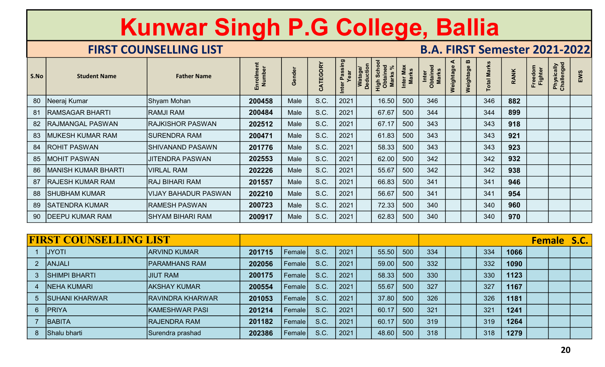|                |                               | <b>Kunwar Singh P.G College, Ballia</b> |                      |        |          |                       |                             |                                                |                           |                                      |                |             |                    |             |                    |                          |                    |
|----------------|-------------------------------|-----------------------------------------|----------------------|--------|----------|-----------------------|-----------------------------|------------------------------------------------|---------------------------|--------------------------------------|----------------|-------------|--------------------|-------------|--------------------|--------------------------|--------------------|
|                |                               |                                         |                      |        |          |                       |                             |                                                |                           |                                      |                |             |                    |             |                    |                          |                    |
|                |                               | <b>FIRST COUNSELLING LIST</b>           |                      |        |          |                       |                             |                                                |                           | <b>B.A. FIRST Semester 2021-2022</b> |                |             |                    |             |                    |                          |                    |
| S.No           | <b>Student Name</b>           | <b>Father Name</b>                      | Enrollment<br>Number | Gender | CATEGORY | Inter Passing<br>Year | <b>Deduction</b><br>Watage/ | <b>High Schoon</b><br>Obtained<br><b>Marks</b> | Inter Max<br><b>Marks</b> | Inter<br>Obtained<br>Marks           | ⋖<br>Weightage | Weightage B | <b>Total Marks</b> | <b>RANK</b> | Freedom<br>Fighter | Physically<br>Challenged | EWS                |
| 80             | Neeraj Kumar                  | Shyam Mohan                             | 200458               | Male   | S.C.     | 2021                  |                             | 16.50                                          | 500                       | 346                                  |                |             | 346                | 882         |                    |                          |                    |
| 81             | <b>RAMSAGAR BHARTI</b>        | <b>RAMJI RAM</b>                        | 200484               | Male   | S.C.     | 2021                  |                             | 67.67                                          | 500                       | 344                                  |                |             | 344                | 899         |                    |                          |                    |
| 82             | RAJMANGAL PASWAN              | <b>RAJKISHOR PASWAN</b>                 | 202512               | Male   | S.C.     | 2021                  |                             | 67.17                                          | 500                       | 343                                  |                |             | 343                | 918         |                    |                          |                    |
| 83             | MUKESH KUMAR RAM              | <b>SURENDRA RAM</b>                     | 200471               | Male   | S.C.     | 2021                  |                             | 61.83                                          | 500                       | 343                                  |                |             | 343                | 921         |                    |                          |                    |
| 84             | <b>ROHIT PASWAN</b>           | <b>SHIVANAND PASAWN</b>                 | 201776               | Male   | S.C.     | 2021                  |                             | 58.33                                          | 500                       | 343                                  |                |             | 343                | 923         |                    |                          |                    |
| 85             | <b>MOHIT PASWAN</b>           | <b>JITENDRA PASWAN</b>                  | 202553               | Male   | S.C.     | 2021                  |                             | 62.00                                          | 500                       | 342                                  |                |             | 342                | 932         |                    |                          |                    |
| 86             | <b>MANISH KUMAR BHARTI</b>    | <b>VIRLAL RAM</b>                       | 202226               | Male   | S.C.     | 2021                  |                             | 55.67                                          | 500                       | 342                                  |                |             | 342                | 938         |                    |                          |                    |
| 87             | <b>RAJESH KUMAR RAM</b>       | <b>RAJ BIHARI RAM</b>                   | 201557               | Male   | S.C.     | 2021                  |                             | 66.83                                          | 500                       | 341                                  |                |             | 341                | 946         |                    |                          |                    |
| 88             | SHUBHAM KUMAR                 | VIJAY BAHADUR PASWAN                    | 202210               | Male   | S.C.     | 2021                  |                             | 56.67                                          | 500                       | 341                                  |                |             | 341<br>ᇅ           | 954         |                    |                          |                    |
|                | 89 SATENDRA KUMAR             | <b>RAMESH PASWAN</b>                    | 200723               | Male   | S.C.     | 2021                  |                             | 72.33                                          | 500                       | 340                                  |                |             | 340                | 960         |                    |                          |                    |
|                | 90   DEEPU KUMAR RAM          | SHYAM BIHARI RAM                        | 200917               | Male   | S.C.     | 2021                  |                             | 62.83                                          | 500                       | 340                                  |                |             | 340                | 970         |                    |                          |                    |
|                |                               |                                         |                      |        |          |                       |                             |                                                |                           |                                      |                |             |                    |             |                    |                          |                    |
|                | <b>FIRST COUNSELLING LIST</b> |                                         |                      |        |          |                       |                             |                                                |                           |                                      |                |             |                    |             |                    |                          | <b>Female S.C.</b> |
|                | 1 JYOTI                       | <b>ARVIND KUMAR</b>                     | 201715               | Female | S.C.     | 2021                  |                             | 55.50                                          | 500                       | 334                                  |                |             | 334                | 1066        |                    |                          |                    |
| 2 <sup>1</sup> | ANJALI                        | <b>PARAMHANS RAM</b>                    | 202056               | Female | S.C.     | 2021                  |                             | 59.00                                          | 500                       | 332                                  |                |             | 332                | 1090        |                    |                          |                    |
|                | 3 SHIMPI BHARTI               | <b>JIUT RAM</b>                         | 200175               | Female | S.C.     | 2021                  |                             | 58.33                                          | 500                       | 330                                  |                |             | 330                | 1123        |                    |                          |                    |
|                | <b>NEHA KUMARI</b>            | <b>AKSHAY KUMAR</b>                     | 200554               | Female | S.C.     | 2021                  |                             | 55.67                                          | 500                       | 327                                  |                |             | 327                | 1167        |                    |                          |                    |
| 5 <sup>5</sup> | <b>SUHANI KHARWAR</b>         | <b>RAVINDRA KHARWAR</b>                 | 201053               | Female | S.C.     | 2021                  |                             | 37.80                                          | 500                       | 326                                  |                |             | 326                | 1181        |                    |                          |                    |
|                | 6 PRIYA                       | <b>KAMESHWAR PASI</b>                   | 201214               | Female | S.C.     | 2021                  |                             | 60.17                                          | 500                       | 321                                  |                |             | 321                | 1241        |                    |                          |                    |

| 83             | <b>MUKESH KUMAR RAM</b>       | <b>SURENDRA RAM</b>         | 200471 | Male   | S.C. | 2021 | 61.83 | 500 | 343 | 343 | 921  |                    |  |
|----------------|-------------------------------|-----------------------------|--------|--------|------|------|-------|-----|-----|-----|------|--------------------|--|
| 84             | <b>ROHIT PASWAN</b>           | <b>SHIVANAND PASAWN</b>     | 201776 | Male   | S.C. | 2021 | 58.33 | 500 | 343 | 343 | 923  |                    |  |
| 85             | <b>MOHIT PASWAN</b>           | <b>JITENDRA PASWAN</b>      | 202553 | Male   | S.C. | 2021 | 62.00 | 500 | 342 | 342 | 932  |                    |  |
| 86             | <b>MANISH KUMAR BHARTI</b>    | <b>VIRLAL RAM</b>           | 202226 | Male   | S.C. | 2021 | 55.67 | 500 | 342 | 342 | 938  |                    |  |
| 87             | <b>RAJESH KUMAR RAM</b>       | RAJ BIHARI RAM              | 201557 | Male   | S.C. | 2021 | 66.83 | 500 | 341 | 341 | 946  |                    |  |
| 88             | <b>SHUBHAM KUMAR</b>          | <b>VIJAY BAHADUR PASWAN</b> | 202210 | Male   | S.C. | 2021 | 56.67 | 500 | 341 | 341 | 954  |                    |  |
| 89             | <b>SATENDRA KUMAR</b>         | <b>RAMESH PASWAN</b>        | 200723 | Male   | S.C. | 2021 | 72.33 | 500 | 340 | 340 | 960  |                    |  |
|                | 90   DEEPU KUMAR RAM          | <b>SHYAM BIHARI RAM</b>     | 200917 | Male   | S.C. | 2021 | 62.83 | 500 | 340 | 340 | 970  |                    |  |
|                |                               |                             |        |        |      |      |       |     |     |     |      |                    |  |
|                | <b>FIRST COUNSELLING LIST</b> |                             |        |        |      |      |       |     |     |     |      | <b>Female S.C.</b> |  |
|                | <b>JYOTI</b>                  | <b>ARVIND KUMAR</b>         | 201715 | Female | S.C. | 2021 | 55.50 | 500 | 334 | 334 | 1066 |                    |  |
| 2 <sup>1</sup> | ANJALI                        | <b>PARAMHANS RAM</b>        | 202056 | Female | S.C. | 2021 | 59.00 | 500 | 332 | 332 | 1090 |                    |  |
|                | <b>SHIMPI BHARTI</b>          | <b>JIUT RAM</b>             | 200175 | Female | S.C. | 2021 | 58.33 | 500 | 330 | 330 | 1123 |                    |  |
|                | <b>NEHA KUMARI</b>            | <b>AKSHAY KUMAR</b>         | 200554 | Female | S.C. | 2021 | 55.67 | 500 | 327 | 327 | 1167 |                    |  |
| 5 <sup>1</sup> | <b>SUHANI KHARWAR</b>         |                             |        |        |      |      |       | 500 | 326 | 326 | 1181 |                    |  |
|                |                               | RAVINDRA KHARWAR            | 201053 | Female | S.C. | 2021 | 37.80 |     |     |     |      |                    |  |
| 6 <sup>1</sup> | <b>PRIYA</b>                  | <b>KAMESHWAR PASI</b>       | 201214 | Female | S.C. | 2021 | 60.17 | 500 | 321 | 321 | 1241 |                    |  |
|                | BABITA                        | <b>RAJENDRA RAM</b>         | 201182 | Female | S.C. | 2021 | 60.17 | 500 | 319 | 319 | 1264 |                    |  |
|                | 8 Shalu bharti                | Surendra prashad            | 202386 | Female | S.C. | 2021 | 48.60 | 500 | 318 | 318 | 1279 |                    |  |
|                |                               |                             |        |        |      |      |       |     |     |     |      |                    |  |
|                |                               |                             |        |        |      |      |       |     |     |     |      | 20                 |  |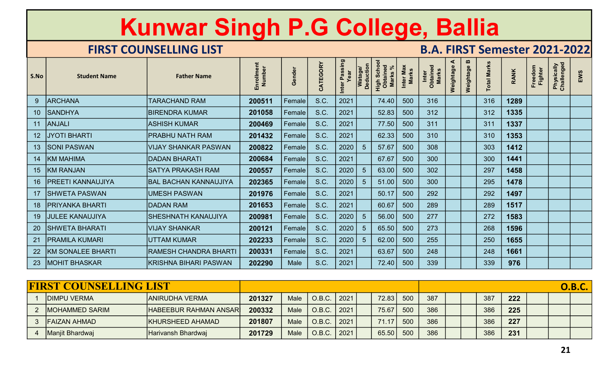|                 |                               | Kunwar Singh P.G College, Ballia |                      |                |          |                       |                      |                                        |                    |                                      |                |             |                    |             |                    |                          |               |
|-----------------|-------------------------------|----------------------------------|----------------------|----------------|----------|-----------------------|----------------------|----------------------------------------|--------------------|--------------------------------------|----------------|-------------|--------------------|-------------|--------------------|--------------------------|---------------|
|                 |                               | <b>FIRST COUNSELLING LIST</b>    |                      |                |          |                       |                      |                                        |                    | <b>B.A. FIRST Semester 2021-2022</b> |                |             |                    |             |                    |                          |               |
| S.No            | <b>Student Name</b>           | <b>Father Name</b>               | Enrollment<br>Number | Gender         | CATEGORY | Inter Passing<br>Year | Watage/<br>Deduction | High Schoc<br>Obtained<br><b>Marks</b> | Inter Max<br>Marks | Inter<br>Obtained<br><b>Marks</b>    | ⋖<br>Weightage | Weightage B | <b>Total Marks</b> | <b>RANK</b> | Freedom<br>Fighter | Physically<br>Challenged | EWS           |
| 9 <sup>°</sup>  | <b>ARCHANA</b>                | <b>TARACHAND RAM</b>             | 200511               | Female         | S.C.     | 2021                  |                      | 74.40                                  | 500                | 316                                  |                |             | 316                | 1289        |                    |                          |               |
| 10 <sup>°</sup> | <b>SANDHYA</b>                | <b>BIRENDRA KUMAR</b>            | 201058               | Female         | S.C.     | 2021                  |                      | 52.83                                  | 500                | 312                                  |                |             | 312                | 1335        |                    |                          |               |
|                 | 11 ANJALI                     | ASHISH KUMAR                     | 200469               | Female         | S.C.     | 2021                  |                      | 77.50                                  | 500                | 311                                  |                |             | 311                | 1337        |                    |                          |               |
| 12              | <b>JYOTI BHARTI</b>           | <b>PRABHU NATH RAM</b>           | 201432               | Female         | S.C.     | 2021                  |                      | 62.33                                  | 500                | 310                                  |                |             | 310                | 1353        |                    |                          |               |
| 13 <sup>°</sup> | <b>SONI PASWAN</b>            | VIJAY SHANKAR PASWAN             | 200822               | Female         | S.C.     | 2020                  | 5                    | 57.67                                  | 500                | 308                                  |                |             | 303                | 1412        |                    |                          |               |
| 14              | <b>KM MAHIMA</b>              | DADAN BHARATI                    | 200684               | Female         | S.C.     | 2021                  |                      | 67.67                                  | 500                | 300                                  |                |             | 300                | 1441        |                    |                          |               |
| 15              | <b>KM RANJAN</b>              | <b>SATYA PRAKASH RAM</b>         | 200557               | Female         | S.C.     | 2020                  | 5                    | 63.00                                  | 500                | 302                                  |                |             | 297                | 1458        |                    |                          |               |
| 16              | <b>IPREETI KANNAUJIYA</b>     | <b>BAL BACHAN KANNAUJIYA</b>     | 202365               | Female         | S.C.     | 2020                  | 5                    | 51.00                                  | 500                | 300                                  |                |             | 295                | 1478        |                    |                          |               |
|                 | 17   SHWETA PASWAN            | <b>UMESH PASWAN</b>              | 201976               | Female         | S.C.     | 2021                  |                      | 50.17                                  | 500                | 292                                  |                |             | 292                | 1497        |                    |                          |               |
|                 | 18   PRIYANKA BHARTI          | DADAN RAM                        | 201653               | $ $ Female $ $ | S.C.     | 2021                  |                      | 60.67                                  | 500                | 289                                  |                |             | 289                | 1517        |                    |                          |               |
|                 | 19 JULEE KANAUJIYA            | <b>SHESHNATH KANAUJIYA</b>       | 200981               | Female         | S.C.     | 2020                  | $5\overline{5}$      | 56.00                                  | 500                | 277                                  |                |             | 272                | 1583        |                    |                          |               |
|                 | 20   SHWETA BHARATI           | VIJAY SHANKAR                    | 200121               | <b>Female</b>  | S.C.     | 2020                  | -5                   | 65.50                                  | 500                | 273                                  |                |             | 268                | 1596        |                    |                          |               |
|                 | 21 PRAMILA KUMARI             | <b>UTTAM KUMAR</b>               | 202233               | Female         | S.C.     | 2020                  | -5                   | 62.00                                  | 500                | 255                                  |                |             | 250                | 1655        |                    |                          |               |
|                 | 22   KM SONALEE BHARTI        | <b>RAMESH CHANDRA BHARTI</b>     | 200331               | Female         | S.C.     | 2021                  |                      | 63.67                                  | 500                | 248                                  |                |             | 248                | 1661        |                    |                          |               |
|                 | 23 MOHIT BHASKAR              | KRISHNA BIHARI PASWAN            | 202290               | Male           | S.C.     | 2021                  |                      | 72.40                                  | 500                | 339                                  |                |             | 339                | 976         |                    |                          |               |
|                 |                               |                                  |                      |                |          |                       |                      |                                        |                    |                                      |                |             |                    |             |                    |                          |               |
|                 | <b>FIRST COUNSELLING LIST</b> |                                  |                      |                |          |                       |                      |                                        |                    |                                      |                |             |                    |             |                    |                          | <b>O.B.C.</b> |
|                 | <b>DIMPU VERMA</b>            | <b>ANIRUDHA VERMA</b>            | 201327               | Male           | O.B.C.   | 2021                  |                      | 72.83                                  | 500                | 387                                  |                |             | 387                | 222         |                    |                          |               |
|                 | 2   MOHAMMED SARIM            | <b>HABEEBUR RAHMAN ANSAR</b>     | 200332               | Male           | O.B.C.   | 2021                  |                      | 75.67                                  | 500                | 386                                  |                |             | 386                | 225         |                    |                          |               |
|                 | 3   FAIZAN AHMAD              | KHURSHEED AHAMAD                 | 201807               | Male           | O.B.C.   | 2021                  |                      | 71.17                                  | 500                | 386                                  |                |             | 386                | 227         |                    |                          |               |
|                 | 4   Manjit Bhardwaj           | Harivansh Bhardwaj               | 201729               | Male           | O.B.C.   | 2021                  |                      | 65.50                                  | 500                | 386                                  |                |             | 386                | 231         |                    |                          |               |

| <b>FIRST COUNSELLING LIST</b> |                         |        |             |       |      |       |     |     |  |     |     |  | <b>O.B.C.</b> |
|-------------------------------|-------------------------|--------|-------------|-------|------|-------|-----|-----|--|-----|-----|--|---------------|
| <b>DIMPU VERMA</b>            | <b>ANIRUDHA VERMA</b>   | 201327 | <b>Male</b> | O.B.C | 2021 | 72.83 | 500 | 387 |  | 387 | 222 |  |               |
| <b>IMOHAMMED SARIM</b>        | HABEEBUR RAHMAN ANSAR   | 200332 | Male        | O.B.C | 2021 | 75.67 | 500 | 386 |  | 386 | 225 |  |               |
| FAIZAN AHMAD                  | <b>KHURSHEED AHAMAD</b> | 201807 | Male        | O.B.C | 2021 | 71.17 | 500 | 386 |  | 386 | 227 |  |               |
| Manjit Bhardwaj               | Harivansh Bhardwaj      | 201729 | Male        | O.B.C | 2021 | 65.50 | 500 | 386 |  | 386 | 231 |  |               |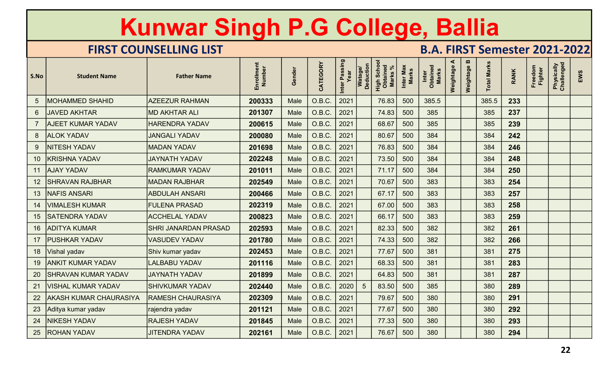|                 |                               | Kunwar Singh P.G College, Ballia |                      |             |          |                       |                             |                                        |                           |                                      |                |                |                    |             |                    |                          |     |
|-----------------|-------------------------------|----------------------------------|----------------------|-------------|----------|-----------------------|-----------------------------|----------------------------------------|---------------------------|--------------------------------------|----------------|----------------|--------------------|-------------|--------------------|--------------------------|-----|
|                 |                               | <b>FIRST COUNSELLING LIST</b>    |                      |             |          |                       |                             |                                        |                           | <b>B.A. FIRST Semester 2021-2022</b> |                |                |                    |             |                    |                          |     |
| S.No            | <b>Student Name</b>           | <b>Father Name</b>               | Enrollment<br>Number | Gender      | CATEGORY | Inter Passing<br>Year | Deduction<br><b>Watage/</b> | High Schoo<br>Obtained<br><b>Marks</b> | Inter Max<br><b>Marks</b> | Inter<br>Obtained<br><b>Marks</b>    | ⋖<br>Weightage | m<br>Weightage | <b>Total Marks</b> | <b>RANK</b> | Freedom<br>Fighter | Physically<br>Challenged | EWS |
|                 | <b>MOHAMMED SHAHID</b>        | <b>AZEEZUR RAHMAN</b>            | 200333               | <b>Male</b> | O.B.C.   | 2021                  |                             | 76.83                                  | 500                       | 385.5                                |                |                | 385.5              | 233         |                    |                          |     |
|                 | <b>JAVED AKHTAR</b>           | <b>MD AKHTAR ALI</b>             | 201307               | <b>Male</b> | O.B.C.   | 2021                  |                             | 74.83                                  | 500                       | 385                                  |                |                | 385                | 237         |                    |                          |     |
|                 | AJEET KUMAR YADAV             | <b>HARENDRA YADAV</b>            | 200615               | Male        | O.B.C.   | 2021                  |                             | 68.67                                  | 500                       | 385                                  |                |                | 385                | 239         |                    |                          |     |
| 8               | <b>ALOK YADAV</b>             | <b>JANGALI YADAV</b>             | 200080               | Male        | O.B.C.   | 2021                  |                             | 80.67                                  | 500                       | 384                                  |                |                | 384                | 242         |                    |                          |     |
| 9               | <b>NITESH YADAV</b>           | <b>MADAN YADAV</b>               | 201698               | Male        | O.B.C.   | 2021                  |                             | 76.83                                  | 500                       | 384                                  |                |                | 384                | 246         |                    |                          |     |
| 10              | <b>KRISHNA YADAV</b>          | <b>JAYNATH YADAV</b>             | 202248               | <b>Male</b> | O.B.C.   | 2021                  |                             | 73.50                                  | 500                       | 384                                  |                |                | 384                | 248         |                    |                          |     |
| 11              | <b>AJAY YADAV</b>             | <b>RAMKUMAR YADAV</b>            | 201011               | Male        | O.B.C.   | 2021                  |                             | 71.17                                  | 500                       | 384                                  |                |                | 384                | 250         |                    |                          |     |
| 12 <sub>2</sub> | <b>SHRAVAN RAJBHAR</b>        | <b>MADAN RAJBHAR</b>             | 202549               | Male        | O.B.C.   | 2021                  |                             | 70.67                                  | 500                       | 383                                  |                |                | 383                | 254         |                    |                          |     |
|                 | 13   NAFIS ANSARI             | <b>ABDULAH ANSARI</b>            | 200466               | Male        | O.B.C.   | $\vert 2021 \vert$    |                             | 67.17                                  | 500                       | 383                                  |                |                | 383                | 257         |                    |                          |     |
|                 | 14   VIMALESH KUMAR           | <b>FULENA PRASAD</b>             | 202319               | Male        | O.B.C.   | 2021                  |                             | 67.00                                  | 500                       | 383                                  |                |                | 383                | 258         |                    |                          |     |
|                 | 15   SATENDRA YADAV           | <b>ACCHELAL YADAV</b>            | 200823               | Male        | O.B.C.   | 2021                  |                             | 66.17                                  | 500                       | 383                                  |                |                | 383                | 259         |                    |                          |     |
|                 | 16 ADITYA KUMAR               | SHRI JANARDAN PRASAD             | 202593               | Male        | O.B.C.   | 2021                  |                             | 82.33                                  | 500                       | 382                                  |                |                | 382                | 261         |                    |                          |     |
|                 | 17 PUSHKAR YADAV              | <b>VASUDEV YADAV</b>             | 201780               | Male        | O.B.C.   | 2021                  |                             | 74.33                                  | 500                       | 382                                  |                |                | 382                | 266         |                    |                          |     |
|                 | 18   Vishal yadav             | Shiv kumar yadav                 | 202453               | Male        | O.B.C.   | 2021                  |                             | 77.67                                  | 500                       | 381                                  |                |                | 381                | 275         |                    |                          |     |
| 19              | <b>ANKIT KUMAR YADAV</b>      | <b>LALBABU YADAV</b>             | 201116               | Male        | O.B.C.   | 2021                  |                             | 68.33                                  | 500                       | 381                                  |                |                | 381                | 283         |                    |                          |     |
|                 | 20 SHRAVAN KUMAR YADAV        | <b>JAYNATH YADAV</b>             | 201899               | Male        | O.B.C.   | 2021                  |                             | 64.83                                  | 500                       | 381                                  |                |                | 381                | 287         |                    |                          |     |
| 21              | <b>VISHAL KUMAR YADAV</b>     | <b>SHIVKUMAR YADAV</b>           | 202440               | Male        | O.B.C.   | 2020                  | $5\overline{)}$             | 83.50                                  | 500                       | 385                                  |                |                | 380                | 289         |                    |                          |     |
| 22              | <b>AKASH KUMAR CHAURASIYA</b> | <b>RAMESH CHAURASIYA</b>         | 202309               | Male        | O.B.C.   | 2021                  |                             | 79.67                                  | 500                       | 380                                  |                |                | 380                | 291         |                    |                          |     |
|                 | 23 Aditya kumar yadav         | rajendra yadav                   | 201121               | Male        | O.B.C.   | 2021                  |                             | 77.67                                  | 500                       | 380                                  |                |                | 380                | 292         |                    |                          |     |
| 24              | <b>NIKESH YADAV</b>           | <b>RAJESH YADAV</b>              | 201845               | Male        | O.B.C.   | $\vert$ 2021          |                             | 77.33                                  | 500                       | 380                                  |                |                | 380                | 293         |                    |                          |     |
|                 | 25 ROHAN YADAV                | <b>JITENDRA YADAV</b>            | 202161               | Male        | O.B.C.   | 2021                  |                             | 76.67                                  | 500                       | 380                                  |                |                | 380                | 294         |                    |                          |     |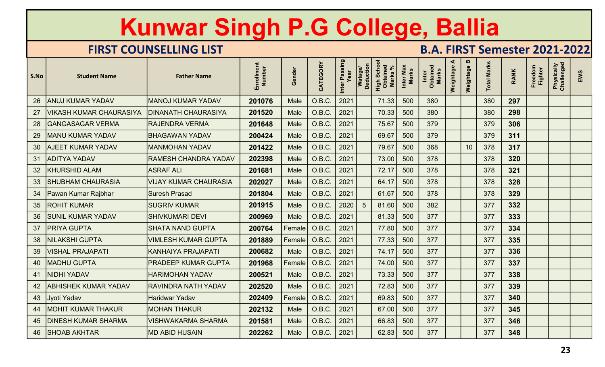|      |                                | Kunwar Singh P.G College, Ballia |                      |             |                 |                       |                             |                                        |                           |                                      |                |                |                    |             |                    |                          |     |
|------|--------------------------------|----------------------------------|----------------------|-------------|-----------------|-----------------------|-----------------------------|----------------------------------------|---------------------------|--------------------------------------|----------------|----------------|--------------------|-------------|--------------------|--------------------------|-----|
|      |                                | <b>FIRST COUNSELLING LIST</b>    |                      |             |                 |                       |                             |                                        |                           | <b>B.A. FIRST Semester 2021-2022</b> |                |                |                    |             |                    |                          |     |
| S.No | <b>Student Name</b>            | <b>Father Name</b>               | Enrollment<br>Number | Gender      | CATEGORY        | Inter Passing<br>Year | Deduction<br><b>Watage/</b> | High Schoo<br>Obtained<br><b>Marks</b> | Inter Max<br><b>Marks</b> | Inter<br>Obtained<br><b>Marks</b>    | ⋖<br>Weightage | m<br>Weightage | <b>Total Marks</b> | <b>RANK</b> | Freedom<br>Fighter | Physically<br>Challenged | EWS |
| 26   | <b>ANUJ KUMAR YADAV</b>        | <b>MANOJ KUMAR YADAV</b>         | 201076               | <b>Male</b> | O.B.C.          | 2021                  |                             | 71.33                                  | 500                       | 380                                  |                |                | 380                | 297         |                    |                          |     |
| 27   | <b>/IKASH KUMAR CHAURASIYA</b> | <b>DINANATH CHAURASIYA</b>       | 201520               | <b>Male</b> | O.B.C.          | 2021                  |                             | 70.33                                  | 500                       | 380                                  |                |                | 380                | 298         |                    |                          |     |
| 28   | <b>GANGASAGAR VERMA</b>        | <b>RAJENDRA VERMA</b>            | 201648               | Male        | O.B.C.          | 2021                  |                             | 75.67                                  | 500                       | 379                                  |                |                | 379                | 306         |                    |                          |     |
| 29   | <b>MANU KUMAR YADAV</b>        | <b>BHAGAWAN YADAV</b>            | 200424               | <b>Male</b> | O.B.C.          | 2021                  |                             | 69.67                                  | 500                       | 379                                  |                |                | 379                | 311         |                    |                          |     |
| 30   | <b>AJEET KUMAR YADAV</b>       | <b>MANMOHAN YADAV</b>            | 201422               | Male        | O.B.C.          | 2021                  |                             | 79.67                                  | 500                       | 368                                  |                | 10             | 378                | 317         |                    |                          |     |
| 31   | <b>ADITYA YADAV</b>            | <b>RAMESH CHANDRA YADAV</b>      | 202398               | <b>Male</b> | O.B.C.          | 2021                  |                             | 73.00                                  | 500                       | 378                                  |                |                | 378                | 320         |                    |                          |     |
| 32   | <b>KHURSHID ALAM</b>           | <b>ASRAF ALI</b>                 | 201681               | Male        | O.B.C.          | 2021                  |                             | 72.17                                  | 500                       | 378                                  |                |                | 378                | 321         |                    |                          |     |
| 33   | <b>SHUBHAM CHAURASIA</b>       | <b>VIJAY KUMAR CHAURASIA</b>     | 202027               | Male        | O.B.C.          | 2021                  |                             | 64.17                                  | 500                       | 378                                  |                |                | 378                | 328         |                    |                          |     |
| 34   | Pawan Kumar Rajbhar            | Suresh Prasad                    | 201804               | Male        | O.B.C.          | $\vert 2021 \vert$    |                             | 61.67                                  | 500                       | 378                                  |                |                | 378                | 329         |                    |                          |     |
|      | 35   ROHIT KUMAR               | <b>SUGRIV KUMAR</b>              | 201915               | Male        | O.B.C.          | 2020                  | $5\overline{5}$             | 81.60                                  | 500                       | 382                                  |                |                | 377                | 332         |                    |                          |     |
|      | 36   SUNIL KUMAR YADAV         | SHIVKUMARI DEVI                  | 200969               | Male        | O.B.C.          | 2021                  |                             | 81.33                                  | 500                       | 377                                  |                |                | 377                | 333         |                    |                          |     |
|      | 37   PRIYA GUPTA               | <b>SHATA NAND GUPTA</b>          | 200764               |             | Female   O.B.C. | 2021                  |                             | 77.80                                  | 500                       | 377                                  |                |                | 377                | 334         |                    |                          |     |
| 38   | <b>NILAKSHI GUPTA</b>          | <b>VIMLESH KUMAR GUPTA</b>       | 201889               |             | Female   O.B.C. | 2021                  |                             | 77.33                                  | 500                       | 377                                  |                |                | 377                | 335         |                    |                          |     |
| 39   | VISHAL PRAJAPATI               | KANHAIYA PRAJAPATI               | 200682               | Male        | O.B.C.          | 2021                  |                             | 74.17                                  | 500                       | 377                                  |                |                | 377                | 336         |                    |                          |     |
|      | 40   MADHU GUPTA               | PRADEEP KUMAR GUPTA              | 201968               |             | Female   O.B.C. | 2021                  |                             | 74.00                                  | 500                       | 377                                  |                |                | 377                | 337         |                    |                          |     |
|      | 41   NIDHI YADAV               | <b>HARIMOHAN YADAV</b>           | 200521               | Male        | O.B.C.          | 2021                  |                             | 73.33                                  | 500                       | 377                                  |                |                | 377                | 338         |                    |                          |     |
|      | 42   ABHISHEK KUMAR YADAV      | <b>RAVINDRA NATH YADAV</b>       | 202520               | Male        | O.B.C.          | 2021                  |                             | 72.83                                  | 500                       | 377                                  |                |                | 377                | 339         |                    |                          |     |
|      | 43 Jyoti Yadav                 | <b>Haridwar Yadav</b>            | 202409               |             | Female   O.B.C. | 2021                  |                             | 69.83                                  | 500                       | 377                                  |                |                | 377                | 340         |                    |                          |     |
|      | 44   MOHIT KUMAR THAKUR        | <b>MOHAN THAKUR</b>              | 202132               | Male        | O.B.C.          | 2021                  |                             | 67.00                                  | 500                       | 377                                  |                |                | 377                | 345         |                    |                          |     |
|      | 45   DINESH KUMAR SHARMA       | <b>VISHWAKARMA SHARMA</b>        | 201581               | Male        | O.B.C.          | 2021                  |                             | 66.83                                  | 500                       | 377                                  |                |                | 377                | 346         |                    |                          |     |
|      | 46 SHOAB AKHTAR                | <b>MD ABID HUSAIN</b>            | 202262               | Male        | O.B.C.          | 2021                  |                             | 62.83                                  | 500                       | 377                                  |                |                | 377                | 348         |                    |                          |     |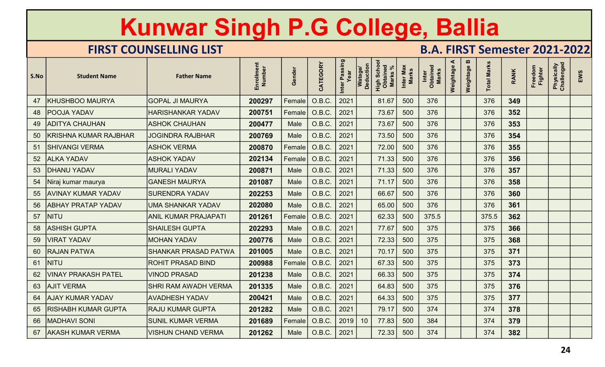|      |                           | Kunwar Singh P.G College, Ballia |                      |        |                             |                       |                                    |                                                |                           |                                      |                |             |                    |             |                    |                          |     |
|------|---------------------------|----------------------------------|----------------------|--------|-----------------------------|-----------------------|------------------------------------|------------------------------------------------|---------------------------|--------------------------------------|----------------|-------------|--------------------|-------------|--------------------|--------------------------|-----|
|      |                           | <b>FIRST COUNSELLING LIST</b>    |                      |        |                             |                       |                                    |                                                |                           | <b>B.A. FIRST Semester 2021-2022</b> |                |             |                    |             |                    |                          |     |
| S.No | <b>Student Name</b>       | <b>Father Name</b>               | Enrollment<br>Number | Gender | CATEGORY                    | Inter Passing<br>Year | <b>Deduction</b><br><b>Watage/</b> | <b>High Schoon</b><br>Obtained<br><b>Marks</b> | Inter Max<br><b>Marks</b> | Inter<br>Obtained<br><b>Marks</b>    | ⋖<br>Weightage | Weightage B | <b>Total Marks</b> | <b>RANK</b> | Freedom<br>Fighter | Physically<br>Challenged | EWS |
| 47   | <b>KHUSHBOO MAURYA</b>    | <b>GOPAL JI MAURYA</b>           | 200297               | Female | O.B.C.                      | 2021                  |                                    | 81.67                                          | 500                       | 376                                  |                |             | 376                | 349         |                    |                          |     |
| 48   | POOJA YADAV               | <b>HARISHANKAR YADAV</b>         | 200751               | Female | O.B.C.                      | 2021                  |                                    | 73.67                                          | 500                       | 376                                  |                |             | 376                | 352         |                    |                          |     |
| 49   | <b>ADITYA CHAUHAN</b>     | <b>ASHOK CHAUHAN</b>             | 200477               | Male   | O.B.C.                      | 2021                  |                                    | 73.67                                          | 500                       | 376                                  |                |             | 376                | 353         |                    |                          |     |
| 50   | KRISHNA KUMAR RAJBHAR     | <b>JOGINDRA RAJBHAR</b>          | 200769               | Male   | O.B.C.                      | 2021                  |                                    | 73.50                                          | 500                       | 376                                  |                |             | 376                | 354         |                    |                          |     |
| 51   | <b>SHIVANGI VERMA</b>     | <b>ASHOK VERMA</b>               | 200870               | Female | O.B.C.                      | 2021                  |                                    | 72.00                                          | 500                       | 376                                  |                |             | 376                | 355         |                    |                          |     |
| 52   | <b>ALKA YADAV</b>         | <b>ASHOK YADAV</b>               | 202134               | Female | O.B.C.                      | 2021                  |                                    | 71.33                                          | 500                       | 376                                  |                |             | 376                | 356         |                    |                          |     |
| 53   | <b>DHANU YADAV</b>        | <b>MURALI YADAV</b>              | 200871               | Male   | O.B.C.                      | 2021                  |                                    | 71.33                                          | 500                       | 376                                  |                |             | 376                | 357         |                    |                          |     |
| 54   | Niraj kumar maurya        | <b>GANESH MAURYA</b>             | 201087               | Male   | O.B.C.                      | 2021                  |                                    | 71.17                                          | 500                       | 376                                  |                |             | 376                | 358         |                    |                          |     |
| 55   | <b>AVINAY KUMAR YADAV</b> | <b>SURENDRA YADAV</b>            | 202253               | Male   | O.B.C.                      |                       |                                    | 66.67                                          | 500                       | 376                                  |                |             | 376                | 360         |                    |                          |     |
|      | 56   ABHAY PRATAP YADAV   | UMA SHANKAR YADAV                | 202080               | Male   | O.B.C.                      |                       |                                    | 65.00                                          | 500                       | 376                                  |                |             | 376                | 361         |                    |                          |     |
|      | 57   NITU                 | <b>ANIL KUMAR PRAJAPATI</b>      | 201261               |        | Female   O.B.C.             |                       |                                    | 62.33                                          | 500                       | 375.5                                |                |             | 375.5              | 362         |                    |                          |     |
|      | 58   ASHISH GUPTA         | <b>SHAILESH GUPTA</b>            | 202293               | Male   | $O.B.C.$ 2021               |                       |                                    | 77.67                                          | 500                       | 375                                  |                |             | 375                | 366         |                    |                          |     |
|      | 59   VIRAT YADAV          | <b>MOHAN YADAV</b>               | 200776               | Male   | $O.B.C.$ 2021               |                       |                                    | 72.33                                          | 500                       | 375                                  |                |             | 375                | 368         |                    |                          |     |
|      | 60 RAJAN PATWA            | <b>SHANKAR PRASAD PATWA</b>      | 201005               | Male   | O.B.C.                      | 2021                  |                                    | 70.17                                          | 500                       | 375                                  |                |             | 375                | 371         |                    |                          |     |
| 61   | <b>NITU</b>               | <b>ROHIT PRASAD BIND</b>         | 200988               |        | Female   O.B.C.             | $\vert 2021 \vert$    |                                    | 67.33                                          | 500                       | 375                                  |                |             | 375                | 373         |                    |                          |     |
|      | 62   VINAY PRAKASH PATEL  | <b>VINOD PRASAD</b>              | 201238               | Male   | O.B.C.                      | 2021                  |                                    | 66.33                                          | 500                       | 375                                  |                |             | 375                | 374         |                    |                          |     |
|      | 63 AJIT VERMA             | SHRI RAM AWADH VERMA             | 201335               | Male   | $O.B.C.$ 2021               |                       |                                    | 64.83                                          | 500                       | 375                                  |                |             | 375                | 376         |                    |                          |     |
| 64   | <b>AJAY KUMAR YADAV</b>   | <b>AVADHESH YADAV</b>            | 200421               | Male   | O.B.C.                      | $ 2021\rangle$        |                                    | 64.33                                          | 500                       | 375                                  |                |             | 375                | 377         |                    |                          |     |
|      | 65   RISHABH KUMAR GUPTA  | <b>RAJU KUMAR GUPTA</b>          | 201282               | Male   | O.B.C.                      | $ 2021\rangle$        |                                    | 79.17                                          | 500                       | 374                                  |                |             | 374                | 378         |                    |                          |     |
| 66   | <b>MADHAVI SONI</b>       | <b>SUNIL KUMAR VERMA</b>         | 201689               |        | Female   O.B.C.   2019      |                       | 10                                 | 77.83                                          | 500                       | 384                                  |                |             | 374                | 379         |                    |                          |     |
|      | 67 AKASH KUMAR VERMA      | <b>VISHUN CHAND VERMA</b>        | 201262               | Male   | $\vert$ O.B.C. $\vert$ 2021 |                       |                                    | 72.33                                          | 500                       | 374                                  |                |             | 374                | 382         |                    |                          |     |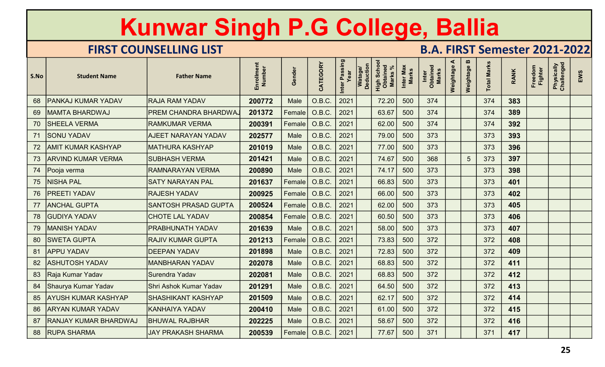|      |                              | Kunwar Singh P.G College, Ballia |                      |                |                        |                       |                                    |                                                |                           |                                      |                |                 |                    |             |                    |                          |     |
|------|------------------------------|----------------------------------|----------------------|----------------|------------------------|-----------------------|------------------------------------|------------------------------------------------|---------------------------|--------------------------------------|----------------|-----------------|--------------------|-------------|--------------------|--------------------------|-----|
|      |                              | <b>FIRST COUNSELLING LIST</b>    |                      |                |                        |                       |                                    |                                                |                           | <b>B.A. FIRST Semester 2021-2022</b> |                |                 |                    |             |                    |                          |     |
| S.No | <b>Student Name</b>          | <b>Father Name</b>               | Enrollment<br>Number | Gender         | CATEGORY               | Inter Passing<br>Year | <b>Deduction</b><br><b>Watage/</b> | <b>High Schoon</b><br>Obtained<br><b>Marks</b> | Inter Max<br><b>Marks</b> | Inter<br>Obtained<br><b>Marks</b>    | ⋖<br>Weightage | Weightage B     | <b>Total Marks</b> | <b>RANK</b> | Freedom<br>Fighter | Physically<br>Challenged | EWS |
| 68   | <b>PANKAJ KUMAR YADAV</b>    | <b>RAJA RAM YADAV</b>            | 200772               | Male           | O.B.C.                 | 2021                  |                                    | 72.20                                          | 500                       | 374                                  |                |                 | 374                | 383         |                    |                          |     |
| 69   | <b>MAMTA BHARDWAJ</b>        | PREM CHANDRA BHARDWA,            | 201372               | Female         | O.B.C.                 | 2021                  |                                    | 63.67                                          | 500                       | 374                                  |                |                 | 374                | 389         |                    |                          |     |
| 70   | <b>SHEELA VERMA</b>          | <b>RAMKUMAR VERMA</b>            | 200391               | <b>Female</b>  | O.B.C.                 | 2021                  |                                    | 62.00                                          | 500                       | 374                                  |                |                 | 374                | 392         |                    |                          |     |
| 71   | <b>SONU YADAV</b>            | <b>AJEET NARAYAN YADAV</b>       | 202577               | Male           | O.B.C.                 | 2021                  |                                    | 79.00                                          | 500                       | 373                                  |                |                 | 373                | 393         |                    |                          |     |
| 72   | <b>AMIT KUMAR KASHYAP</b>    | <b>MATHURA KASHYAP</b>           | 201019               | <b>Male</b>    | O.B.C.                 | 2021                  |                                    | 77.00                                          | 500                       | 373                                  |                |                 | 373                | 396         |                    |                          |     |
| 73   | <b>ARVIND KUMAR VERMA</b>    | SUBHASH VERMA                    | 201421               | <b>Male</b>    | O.B.C.                 | 2021                  |                                    | 74.67                                          | 500                       | 368                                  |                | $5\phantom{.0}$ | 373                | 397         |                    |                          |     |
| 74   | Pooja verma                  | <b>RAMNARAYAN VERMA</b>          | 200890               | Male           | O.B.C.                 | 2021                  |                                    | 74.17                                          | 500                       | 373                                  |                |                 | 373                | 398         |                    |                          |     |
| 75   | NISHA PAL                    | SATY NARAYAN PAL                 | 201637               | Female         | O.B.C.                 | 2021                  |                                    | 66.83                                          | 500                       | 373                                  |                |                 | 373                | 401         |                    |                          |     |
| 76   | <b>PREETI YADAV</b>          | <b>RAJESH YADAV</b>              | 200925               | $ $ Female $ $ | $O.B.C.$ 2021          |                       |                                    | 66.00                                          | 500                       | 373                                  |                |                 | 373                | 402         |                    |                          |     |
|      | 77   ANCHAL GUPTA            | SANTOSH PRASAD GUPTA             | 200524               |                | Female 0.B.C.          |                       |                                    | 62.00                                          | 500                       | 373                                  |                |                 | 373                | 405         |                    |                          |     |
|      | 78 GUDIYA YADAV              | <b>CHOTE LAL YADAV</b>           | 200854               |                | Female   O.B.C.   2021 |                       |                                    | 60.50                                          | 500                       | 373                                  |                |                 | 373                | 406         |                    |                          |     |
|      | 79   MANISH YADAV            | PRABHUNATH YADAV                 | 201639               | Male           | $O.B.C.$ 2021          |                       |                                    | 58.00                                          | 500                       | 373                                  |                |                 | 373                | 407         |                    |                          |     |
|      | 80 SWETA GUPTA               | <b>RAJIV KUMAR GUPTA</b>         | 201213               |                | Female   O.B.C.        | 2021                  |                                    | 73.83                                          | 500                       | 372                                  |                |                 | 372                | 408         |                    |                          |     |
|      | 81 APPU YADAV                | <b>DEEPAN YADAV</b>              | 201898               | Male           | O.B.C.                 | 2021                  |                                    | 72.83                                          | 500                       | 372                                  |                |                 | 372                | 409         |                    |                          |     |
|      | 82   ASHUTOSH YADAV          | <b>MANBHARAN YADAV</b>           | 202078               | Male           | O.B.C.                 |                       |                                    | 68.83                                          | 500                       | 372                                  |                |                 | 372                | 411         |                    |                          |     |
|      | 83 Raja Kumar Yadav          | Surendra Yadav                   | 202081               | Male           | O.B.C.                 | $\vert 2021 \vert$    |                                    | 68.83                                          | 500                       | 372                                  |                |                 | 372                | 412         |                    |                          |     |
|      | 84   Shaurya Kumar Yadav     | Shri Ashok Kumar Yadav           | 201291               | Male           | $O.B.C.$ 2021          |                       |                                    | 64.50                                          | 500                       | 372                                  |                |                 | 372                | 413         |                    |                          |     |
|      | 85   AYUSH KUMAR KASHYAP     | <b>SHASHIKANT KASHYAP</b>        | 201509               | Male           | O.B.C.                 | $ 2021\rangle$        |                                    | 62.17                                          | 500                       | 372                                  |                |                 | 372                | 414         |                    |                          |     |
|      | 86   ARYAN KUMAR YADAV       | <b>KANHAIYA YADAV</b>            | 200410               | Male           | O.B.C.                 | $ 2021\rangle$        |                                    | 61.00                                          | 500                       | 372                                  |                |                 | 372                | 415         |                    |                          |     |
| 87   | <b>RANJAY KUMAR BHARDWAJ</b> | <b>BHUWAL RAJBHAR</b>            | 202225               | Male           | O.B.C.                 |                       |                                    | 58.67                                          | 500                       | 372                                  |                |                 | 372                | 416         |                    |                          |     |
|      | 88   RUPA SHARMA             | <b>JAY PRAKASH SHARMA</b>        | 200539               |                | Female   O.B.C.   2021 |                       |                                    | 77.67                                          | 500                       | 371                                  |                |                 | 371                | 417         |                    |                          |     |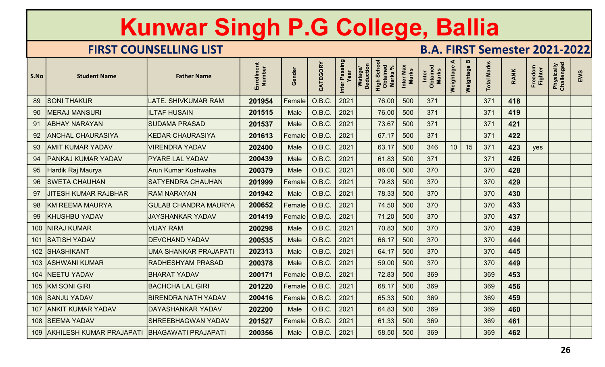|      |                              | Kunwar Singh P.G College, Ballia |                      |        |                 |                       |                                                                   |                           |                                      |                |                                    |                    |             |                           |                          |     |
|------|------------------------------|----------------------------------|----------------------|--------|-----------------|-----------------------|-------------------------------------------------------------------|---------------------------|--------------------------------------|----------------|------------------------------------|--------------------|-------------|---------------------------|--------------------------|-----|
|      |                              | <b>FIRST COUNSELLING LIST</b>    |                      |        |                 |                       |                                                                   |                           | <b>B.A. FIRST Semester 2021-2022</b> |                |                                    |                    |             |                           |                          |     |
| S.No | <b>Student Name</b>          | <b>Father Name</b>               | Enrollment<br>Number | Gender | CATEGORY        | Inter Passing<br>Year | Watage/<br>Deduction<br><b>High Schoon</b><br>Obtained<br>Marks % | Inter Max<br><b>Marks</b> | Inter<br>Obtained<br>Marks           | ⋖<br>Weightage | $\boldsymbol{\omega}$<br>Weightage | <b>Total Marks</b> | <b>RANK</b> | Freedom<br><b>Fighter</b> | Physically<br>Challenged | EWS |
| 89   | <b>SONI THAKUR</b>           | LATE. SHIVKUMAR RAM              | 201954               | Female | O.B.C.          | 2021                  | 76.00                                                             | 500                       | 371                                  |                |                                    | 371                | 418         |                           |                          |     |
| 90   | <b>MERAJ MANSURI</b>         | <b>ILTAF HUSAIN</b>              | 201515               | Male   | O.B.C.          | 2021                  | 76.00                                                             | 500                       | 371                                  |                |                                    | 371                | 419         |                           |                          |     |
| 91   | <b>ABHAY NARAYAN</b>         | <b>SUDAMA PRASAD</b>             | 201537               | Male   | O.B.C.          | 2021                  | 73.67                                                             | 500                       | 371                                  |                |                                    | 371                | 421         |                           |                          |     |
| 92   | <b>ANCHAL CHAURASIYA</b>     | <b>KEDAR CHAURASIYA</b>          | 201613               | Female | O.B.C.          | 2021                  | 67.17                                                             | 500                       | 371                                  |                |                                    | 371                | 422         |                           |                          |     |
| 93   | AMIT KUMAR YADAV             | <b>VIRENDRA YADAV</b>            | 202400               | Male   | O.B.C.          | 2021                  | 63.17                                                             | 500                       | 346                                  | 10             | 15                                 | 371                | 423         | yes                       |                          |     |
| 94   | PANKAJ KUMAR YADAV           | <b>PYARE LAL YADAV</b>           | 200439               | Male   | O.B.C.          | 2021                  | 61.83                                                             | 500                       | 371                                  |                |                                    | 371                | 426         |                           |                          |     |
| 95   | Hardik Raj Maurya            | Arun Kumar Kushwaha              | 200379               | Male   | O.B.C.          | 2021                  | 86.00                                                             | 500                       | 370                                  |                |                                    | 370                | 428         |                           |                          |     |
| 96   | <b>SWETA CHAUHAN</b>         | <b>SATYENDRA CHAUHAN</b>         | 201999               | Female | O.B.C.          | 2021                  | 79.83                                                             | 500                       | 370                                  |                |                                    | 370                | 429         |                           |                          |     |
| 97   | <b>JITESH KUMAR RAJBHAR</b>  | <b>RAM NARAYAN</b>               | 201942               | Male   | $O.B.C.$ 2021   |                       | 78.33                                                             | 500                       | 370                                  |                |                                    | 370                | 430         |                           |                          |     |
|      | 98   KM REEMA MAURYA         | <b>GULAB CHANDRA MAURYA</b>      | 200652               | Female | O.B.C.          | 2021                  | 74.50                                                             | 500                       | 370                                  |                |                                    | 370                | 433         |                           |                          |     |
|      | 99   KHUSHBU YADAV           | <b>JAYSHANKAR YADAV</b>          | 201419               |        | Female   O.B.C. | 2021                  | 71.20                                                             | 500                       | 370                                  |                |                                    | 370                | 437         |                           |                          |     |
|      | 100   NIRAJ KUMAR            | <b>VIJAY RAM</b>                 | 200298               | Male   | $O.B.C.$ 2021   |                       | 70.83                                                             | 500                       | 370                                  |                |                                    | 370                | 439         |                           |                          |     |
|      | 101 SATISH YADAV             | <b>DEVCHAND YADAV</b>            | 200535               | Male   | O.B.C.          |                       | 66.17                                                             | 500                       | 370                                  |                |                                    | 370                | 444         |                           |                          |     |
|      | 102 SHASHIKANT               | UMA SHANKAR PRAJAPATI            | 202313               | Male   | O.B.C.          | 2021                  | 64.17                                                             | 500                       | 370                                  |                |                                    | 370                | 445         |                           |                          |     |
|      | 103 ASHWANI KUMAR            | <b>RADHESHYAM PRASAD</b>         | 200378               | Male   | O.B.C.          | 2021                  | 59.00                                                             | 500                       | 370                                  |                |                                    | 370                | 449         |                           |                          |     |
|      | 104   NEETU YADAV            | <b>BHARAT YADAV</b>              | 200171               |        | Female   O.B.C. | 2021                  | 72.83                                                             | 500                       | 369                                  |                |                                    | 369                | 453         |                           |                          |     |
|      | 105 KM SONI GIRI             | <b>BACHCHA LAL GIRI</b>          | 201220               |        | Female   O.B.C. | 2021                  | 68.17                                                             | 500                       | 369                                  |                |                                    | 369                | 456         |                           |                          |     |
|      | 106 SANJU YADAV              | <b>BIRENDRA NATH YADAV</b>       | 200416               |        | Female   O.B.C. | 2021                  | 65.33                                                             | 500                       | 369                                  |                |                                    | 369                | 459         |                           |                          |     |
|      | 107 ANKIT KUMAR YADAV        | DAYASHANKAR YADAV                | 202200               | Male   | O.B.C.          | 2021                  | 64.83                                                             | 500                       | 369                                  |                |                                    | 369                | 460         |                           |                          |     |
|      | 108 SEEMA YADAV              | SHREEBHAGWAN YADAV               | 201527               |        | Female   O.B.C. | 2021                  | 61.33                                                             | 500                       | 369                                  |                |                                    | 369                | 461         |                           |                          |     |
|      | 109 AKHILESH KUMAR PRAJAPATI | <b>BHAGAWATI PRAJAPATI</b>       | 200356               | Male   | O.B.C.          | $\mid 2021$           | 58.50                                                             | 500                       | 369                                  |                |                                    | 369                | 462         |                           |                          |     |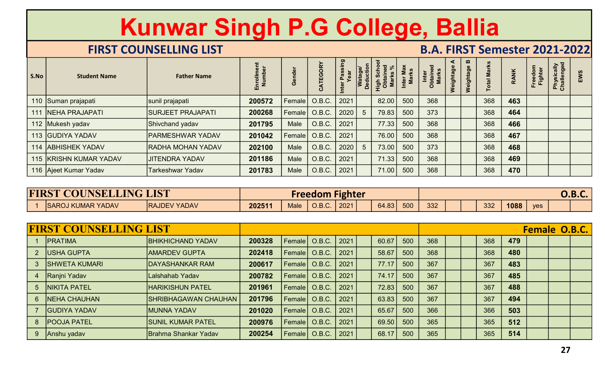|                |                               | Kunwar Singh P.G College, Ballia<br><b>FIRST COUNSELLING LIST</b> |                      |                        |                        |                       |                      |                                           |                           | <b>B.A. FIRST Semester 2021-2022</b> |                |             |                    |             |                    |                          |               |
|----------------|-------------------------------|-------------------------------------------------------------------|----------------------|------------------------|------------------------|-----------------------|----------------------|-------------------------------------------|---------------------------|--------------------------------------|----------------|-------------|--------------------|-------------|--------------------|--------------------------|---------------|
| S.No           | <b>Student Name</b>           | <b>Father Name</b>                                                | Enrollment<br>Number | Gender                 | CATEGORY               | Inter Passing<br>Year | Watage/<br>Deduction | <b>High Schoon</b><br>Obtained<br>Marks % | Inter Max<br><b>Marks</b> | Inter<br>Obtained<br>Marks           | ⋖<br>Weightage | Weightage B | <b>Total Marks</b> | <b>RANK</b> | Freedom<br>Fighter | Physically<br>Challenged | EWS           |
|                | 110 Suman prajapati           | sunil prajapati                                                   | 200572               | Female                 | O.B.C.                 | 2021                  |                      | 82.00                                     | 500                       | 368                                  |                |             | 368                | 463         |                    |                          |               |
|                | 111 NEHA PRAJAPATI            | <b>SURJEET PRAJAPATI</b>                                          | 200268               | Female                 | O.B.C.                 | 2020                  | 5                    | 79.83                                     | 500                       | 373                                  |                |             | 368                | 464         |                    |                          |               |
|                | 112 Mukesh yadav              | Shivchand yadav                                                   | 201795               | Male                   | O.B.C.                 | 2021                  |                      | 77.33                                     | 500                       | 368                                  |                |             | 368                | 466         |                    |                          |               |
|                | 113 GUDIYA YADAV              | <b>PARMESHWAR YADAV</b>                                           | 201042               | Female                 | O.B.C.                 | 2021                  |                      | 76.00                                     | 500                       | 368                                  |                |             | 368                | 467         |                    |                          |               |
| 114            | <b>ABHISHEK YADAV</b>         | <b>RADHA MOHAN YADAV</b>                                          | 202100               | Male                   | O.B.C.                 | 2020                  | 5                    | 73.00                                     | 500                       | 373                                  |                |             | 368                | 468         |                    |                          |               |
|                | 115 KRISHN KUMAR YADAV        | <b>JITENDRA YADAV</b>                                             | 201186               | Male                   | O.B.C.                 | 2021                  |                      | 71.33                                     | 500                       | 368                                  |                |             | 368                | 469         |                    |                          |               |
|                | 116 Ajeet Kumar Yadav         | <b>Tarkeshwar Yadav</b>                                           | 201783               | Male                   | O.B.C.                 | 2021                  |                      | 71.00                                     | 500                       | 368                                  |                |             | 368                | 470         |                    |                          |               |
|                |                               |                                                                   |                      |                        |                        |                       |                      |                                           |                           |                                      |                |             |                    |             |                    |                          |               |
|                | <b>FIRST COUNSELLING LIST</b> |                                                                   |                      |                        | <b>Freedom Fighter</b> |                       |                      |                                           |                           |                                      |                |             |                    |             |                    |                          | <b>O.B.C.</b> |
|                | <b>SAROJ KUMAR YADAV</b>      | <b>RAJDEV YADAV</b>                                               | 202511               | <b>Male</b>            | $O.B.C.$ 2021          |                       |                      | 64.83                                     | 500                       | 332                                  |                |             | 332                | 1088        | yes                |                          |               |
|                | <b>FIRST COUNSELLING LIST</b> |                                                                   |                      |                        |                        |                       |                      |                                           |                           |                                      |                |             |                    |             |                    | <b>Female O.B.C.</b>     |               |
|                | <b>PRATIMA</b>                | <b>BHIKHICHAND YADAV</b>                                          | 200328               | Female $\vert$ O.B.C.  |                        | 2021                  |                      | 60.67                                     | 500                       | 368                                  |                |             | 368                | 479         |                    |                          |               |
| 2 <sup>2</sup> | <b>USHA GUPTA</b>             | <b>AMARDEV GUPTA</b>                                              | 202418               |                        | Female   O.B.C.        | 2021                  |                      | 58.67                                     | 500                       | 368                                  |                |             | 368                | 480         |                    |                          |               |
| 3              | <b>SHWETA KUMARI</b>          | <b>DAYASHANKAR RAM</b>                                            | 200617               | Female   O.B.C.        |                        | $ 2021\rangle$        |                      | 77.17                                     | 500                       | 367                                  |                |             | 367                | 483         |                    |                          |               |
| $\overline{4}$ | <b>Ranjni Yadav</b>           | Lalshahab Yadav                                                   | 200782               |                        | Female $\vert$ O.B.C.  | 2021                  |                      | 74.17                                     | 500                       | 367                                  |                |             | 367                | 485         |                    |                          |               |
|                | 5  NIKITA PATEL               | <b>HARIKISHUN PATEL</b>                                           | 201961               | Female   O.B.C.   2021 |                        |                       |                      | 72.83                                     | 500                       | 367                                  |                |             | 367                | 488         |                    |                          |               |

| <b>FIRST COUNSELLING LIST</b> |                     |        |             | <b>Freedom</b> | Fighter |       |     |     |     |      |            | $\bigcap$ $\bigcap$ $\bigcap$<br>U.D.L. |  |
|-------------------------------|---------------------|--------|-------------|----------------|---------|-------|-----|-----|-----|------|------------|-----------------------------------------|--|
| <b>SAROJ KUMAR YADAV</b>      | <b>RAJDEV YADAV</b> | 202511 | <b>Male</b> | <b>O.B.C.</b>  | 2021    | 64.83 | 500 | 332 | 332 | 1088 | <b>ves</b> |                                         |  |

|                | 111 NEHA PRAJAPATI            | <b>SURJEET PRAJAPATI</b>    | 200268 | Female          | O.B.C.                 | 2020 | $5\phantom{1}$ | 79.83 | 500 | 373 |  | 368 | 464  |               |    |               |
|----------------|-------------------------------|-----------------------------|--------|-----------------|------------------------|------|----------------|-------|-----|-----|--|-----|------|---------------|----|---------------|
|                | 112 Mukesh yadav              | Shivchand yadav             | 201795 | Male            | O.B.C.                 | 2021 |                | 77.33 | 500 | 368 |  | 368 | 466  |               |    |               |
|                | 113 GUDIYA YADAV              | PARMESHWAR YADAV            | 201042 | Female          | O.B.C.                 | 2021 |                | 76.00 | 500 | 368 |  | 368 | 467  |               |    |               |
|                | 114 ABHISHEK YADAV            | <b>RADHA MOHAN YADAV</b>    | 202100 | Male            | O.B.C.                 | 2020 | 5              | 73.00 | 500 | 373 |  | 368 | 468  |               |    |               |
|                | 115 KRISHN KUMAR YADAV        | <b>JITENDRA YADAV</b>       | 201186 | Male            | O.B.C.                 | 2021 |                | 71.33 | 500 | 368 |  | 368 | 469  |               |    |               |
|                | 116 Ajeet Kumar Yadav         | <b>Tarkeshwar Yadav</b>     | 201783 | Male            | O.B.C.                 | 2021 |                | 71.00 | 500 | 368 |  | 368 | 470  |               |    |               |
|                |                               |                             |        |                 |                        |      |                |       |     |     |  |     |      |               |    |               |
|                | <b>FIRST COUNSELLING LIST</b> |                             |        |                 | <b>Freedom Fighter</b> |      |                |       |     |     |  |     |      |               |    | <b>O.B.C.</b> |
|                | 1 SAROJ KUMAR YADAV           | <b>RAJDEV YADAV</b>         | 202511 | Male            | O.B.C.                 | 2021 |                | 64.83 | 500 | 332 |  | 332 | 1088 | yes           |    |               |
|                |                               |                             |        |                 |                        |      |                |       |     |     |  |     |      |               |    |               |
|                | <b>FIRST COUNSELLING LIST</b> |                             |        |                 |                        |      |                |       |     |     |  |     |      | Female O.B.C. |    |               |
| $\overline{1}$ | <b>PRATIMA</b>                | <b>BHIKHICHAND YADAV</b>    | 200328 | Female          | O.B.C.                 | 2021 |                | 60.67 | 500 | 368 |  | 368 | 479  |               |    |               |
|                | <b>USHA GUPTA</b>             | <b>AMARDEV GUPTA</b>        | 202418 | Female          | O.B.C.                 | 2021 |                | 58.67 | 500 | 368 |  | 368 | 480  |               |    |               |
| 3              | <b>SHWETA KUMARI</b>          | <b>DAYASHANKAR RAM</b>      | 200617 | <b>Female</b>   | O.B.C.                 | 2021 |                | 77.17 | 500 | 367 |  | 367 | 483  |               |    |               |
|                | Ranjni Yadav                  | Lalshahab Yadav             | 200782 | Female          | O.B.C.                 | 2021 |                | 74.17 | 500 | 367 |  | 367 | 485  |               |    |               |
| $\overline{5}$ | <b>NIKITA PATEL</b>           | <b>HARIKISHUN PATEL</b>     | 201961 | Female          | O.B.C.                 | 2021 |                | 72.83 | 500 | 367 |  | 367 | 488  |               |    |               |
| $6\phantom{1}$ | <b>NEHA CHAUHAN</b>           | <b>SHRIBHAGAWAN CHAUHAN</b> | 201796 | Female          | O.B.C.                 | 2021 |                | 63.83 | 500 | 367 |  | 367 | 494  |               |    |               |
|                | <b>GUDIYA YADAV</b>           | <b>MUNNA YADAV</b>          | 201020 | <b>Female</b>   | O.B.C.                 | 2021 |                | 65.67 | 500 | 366 |  | 366 | 503  |               |    |               |
| 8              | <b>POOJA PATEL</b>            | <b>SUNIL KUMAR PATEL</b>    | 200976 | Female          | O.B.C.                 | 2021 |                | 69.50 | 500 | 365 |  | 365 | 512  |               |    |               |
| 9              | Anshu yadav                   | <b>Brahma Shankar Yadav</b> | 200254 | Female   O.B.C. |                        | 2021 |                | 68.17 | 500 | 365 |  | 365 | 514  |               |    |               |
|                |                               |                             |        |                 |                        |      |                |       |     |     |  |     |      |               | 27 |               |
|                |                               |                             |        |                 |                        |      |                |       |     |     |  |     |      |               |    |               |
|                |                               |                             |        |                 |                        |      |                |       |     |     |  |     |      |               |    |               |